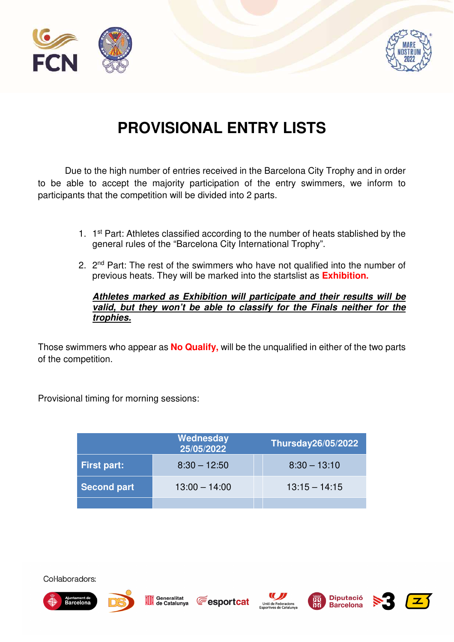



# **PROVISIONAL ENTRY LISTS**

Due to the high number of entries received in the Barcelona City Trophy and in order to be able to accept the majority participation of the entry swimmers, we inform to participants that the competition will be divided into 2 parts.

- 1. 1<sup>st</sup> Part: Athletes classified according to the number of heats stablished by the general rules of the "Barcelona City International Trophy".
- 2. 2<sup>nd</sup> Part: The rest of the swimmers who have not qualified into the number of previous heats. They will be marked into the startslist as **Exhibition.**

# **Athletes marked as Exhibition will participate and their results will be valid, but they won't be able to classify for the Finals neither for the trophies.**

Those swimmers who appear as **No Qualify,** will be the unqualified in either of the two parts of the competition.

Provisional timing for morning sessions:

|                    | Thursday26/05/2022 |                 |
|--------------------|--------------------|-----------------|
| <b>First part:</b> | $8:30 - 12:50$     | $8:30 - 13:10$  |
| <b>Second part</b> | $13:00 - 14:00$    | $13:15 - 14:15$ |
|                    |                    |                 |







Generalitat de Catalunya









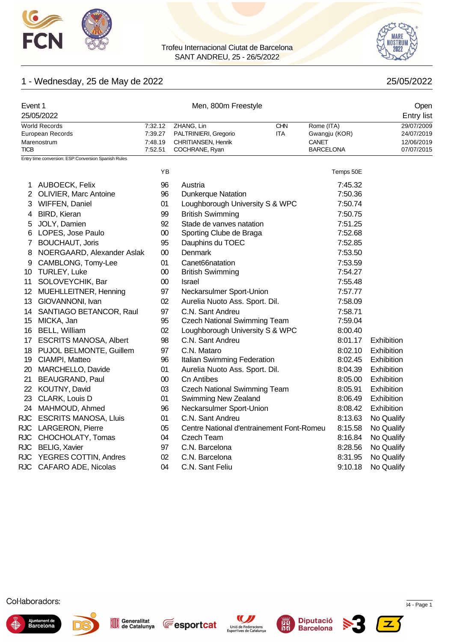



# 1 - Wednesday, 25 de May de 2022 **25/05/2022** 25/05/2022

| Event 1        |                                                     |                    | Open                                         |            |                        |                          |
|----------------|-----------------------------------------------------|--------------------|----------------------------------------------|------------|------------------------|--------------------------|
|                | 25/05/2022                                          |                    |                                              |            |                        | <b>Entry list</b>        |
|                | <b>World Records</b>                                | 7:32.12            | ZHANG, Lin                                   | <b>CHN</b> | Rome (ITA)             | 29/07/2009               |
|                | European Records<br>Marenostrum                     | 7:39.27<br>7:48.19 | PALTRINIERI, Gregorio<br>CHRITIANSEN, Henrik | <b>ITA</b> | Gwangju (KOR)<br>CANET | 24/07/2019<br>12/06/2019 |
| <b>TICB</b>    |                                                     | 7:52.51            | COCHRANE, Ryan                               |            | <b>BARCELONA</b>       | 07/07/2015               |
|                | Entry time conversion: ESP:Conversion Spanish Rules |                    |                                              |            |                        |                          |
|                |                                                     | YB                 |                                              |            | Temps 50E              |                          |
| 1              | AUBOECK, Felix                                      | 96                 | Austria                                      |            | 7:45.32                |                          |
| $\overline{2}$ | OLIVIER, Marc Antoine                               | 96                 | <b>Dunkerque Natation</b>                    |            | 7:50.36                |                          |
| 3              | WIFFEN, Daniel                                      | 01                 | Loughborough University S & WPC              |            | 7:50.74                |                          |
| 4              | <b>BIRD, Kieran</b>                                 | 99                 | <b>British Swimming</b>                      |            | 7:50.75                |                          |
| 5              | JOLY, Damien                                        | 92                 | Stade de vanves natation                     |            | 7:51.25                |                          |
| 6              | LOPES, Jose Paulo                                   | 00                 | Sporting Clube de Braga                      |            | 7:52.68                |                          |
| 7              | <b>BOUCHAUT, Joris</b>                              | 95                 | Dauphins du TOEC                             |            | 7:52.85                |                          |
| 8              | NOERGAARD, Alexander Aslak                          | 00                 | <b>Denmark</b>                               |            | 7:53.50                |                          |
| 9              | CAMBLONG, Tomy-Lee                                  | 01                 | Canet66natation                              |            | 7:53.59                |                          |
|                | 10 TURLEY, Luke                                     | $00\,$             | <b>British Swimming</b>                      |            | 7:54.27                |                          |
| 11             | SOLOVEYCHIK, Bar                                    | 00                 | Israel                                       |            | 7:55.48                |                          |
|                | 12 MUEHLLEITNER, Henning                            | 97                 | Neckarsulmer Sport-Union                     |            | 7:57.77                |                          |
|                | 13 GIOVANNONI, Ivan                                 | 02                 | Aurelia Nuoto Ass. Sport. Dil.               |            | 7:58.09                |                          |
|                | 14 SANTIAGO BETANCOR, Raul                          | 97                 | C.N. Sant Andreu                             |            | 7:58.71                |                          |
|                | 15 MICKA, Jan                                       | 95                 | <b>Czech National Swimming Team</b>          |            | 7:59.04                |                          |
|                | 16 BELL, William                                    | 02                 | Loughborough University S & WPC              |            | 8:00.40                |                          |
|                | 17 ESCRITS MANOSA, Albert                           | 98                 | C.N. Sant Andreu                             |            | 8:01.17                | Exhibition               |
|                | 18 PUJOL BELMONTE, Guillem                          | 97                 | C.N. Mataro                                  |            | 8:02.10                | Exhibition               |
| 19             | CIAMPI, Matteo                                      | 96                 | Italian Swimming Federation                  |            | 8:02.45                | Exhibition               |
| 20             | MARCHELLO, Davide                                   | 01                 | Aurelia Nuoto Ass. Sport. Dil.               |            | 8:04.39                | Exhibition               |
| 21             | BEAUGRAND, Paul                                     | 00                 | <b>Cn Antibes</b>                            |            | 8:05.00                | Exhibition               |
|                | 22 KOUTNY, David                                    | 03                 | <b>Czech National Swimming Team</b>          |            | 8:05.91                | Exhibition               |
| 23             | CLARK, Louis D                                      | 01                 | Swimming New Zealand                         |            | 8:06.49                | Exhibition               |
| 24             | MAHMOUD, Ahmed                                      | 96                 | Neckarsulmer Sport-Union                     |            | 8:08.42                | Exhibition               |
|                | RJC ESCRITS MANOSA, Lluis                           | 01                 | C.N. Sant Andreu                             |            | 8:13.63                | No Qualify               |
|                | RJC LARGERON, Pierre                                | 05                 | Centre National d'entrainement Font-Romeu    |            | 8:15.58                | No Qualify               |
|                | RJC CHOCHOLATY, Tomas                               | 04                 | Czech Team                                   |            | 8:16.84                | No Qualify               |
|                | RJC BELIG, Xavier                                   | 97                 | C.N. Barcelona                               |            | 8:28.56                | No Qualify               |
|                | RJC YEGRES COTTIN, Andres                           | 02                 | C.N. Barcelona                               |            | 8:31.95                | No Qualify               |
|                | RJC CAFARO ADE, Nicolas                             | 04                 | C.N. Sant Feliu                              |            | 9:10.18                | No Qualify               |













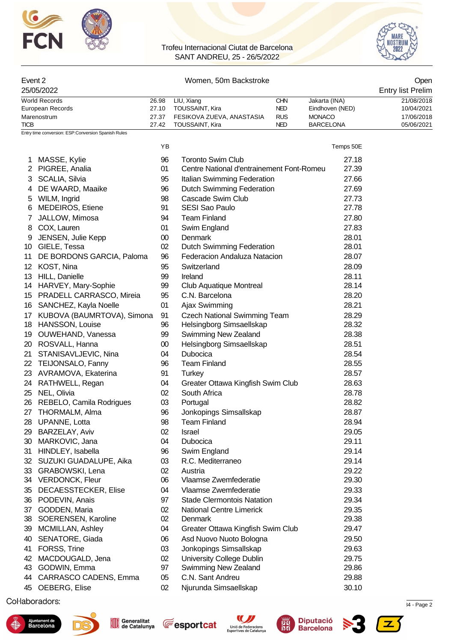



#### Event 2 Communication of the UV Women, 50m Backstroke Communication of the UV Open

| 25/05/2022       |       |                           |            |                  | <b>Entry list Prelim</b> |
|------------------|-------|---------------------------|------------|------------------|--------------------------|
| World Records    | 26.98 | LIU, Xiang                | CHN        | Jakarta (INA)    | 21/08/2018               |
| European Records | 27.10 | TOUSSAINT, Kira           | NED        | Eindhoven (NED)  | 10/04/2021               |
| Marenostrum      | 27.37 | FESIKOVA ZUEVA, ANASTASIA | <b>RUS</b> | <b>MONACO</b>    | 17/06/2018               |
| <b>TICB</b>      | 27.42 | TOUSSAINT, Kira           | <b>NED</b> | <b>BARCELONA</b> | 05/06/2021               |

YB Temps 50E

Entry time conversion: ESP:Conversion Spanish Rules

| 1.               | MASSE, Kylie                | 96     | <b>Toronto Swim Club</b>                  | 27.18 |
|------------------|-----------------------------|--------|-------------------------------------------|-------|
|                  | 2 PIGREE, Analia            | 01     | Centre National d'entrainement Font-Romeu | 27.39 |
| 3                | SCALIA, Silvia              | 95     | Italian Swimming Federation               | 27.66 |
| 4                | DE WAARD, Maaike            | 96     | <b>Dutch Swimming Federation</b>          | 27.69 |
| 5                | WILM, Ingrid                | 98     | Cascade Swim Club                         | 27.73 |
| 6                | MEDEIROS, Etiene            | 91     | <b>SESI Sao Paulo</b>                     | 27.78 |
| 7                | JALLOW, Mimosa              | 94     | <b>Team Finland</b>                       | 27.80 |
| 8                | COX, Lauren                 | 01     | Swim England                              | 27.83 |
| 9                | JENSEN, Julie Kepp          | $00\,$ | Denmark                                   | 28.01 |
|                  | 10 GIELE, Tessa             | 02     | <b>Dutch Swimming Federation</b>          | 28.01 |
| 11               | DE BORDONS GARCIA, Paloma   | 96     | Federacion Andaluza Natacion              | 28.07 |
| 12 <sup>12</sup> | KOST, Nina                  | 95     | Switzerland                               | 28.09 |
|                  | 13 HILL, Danielle           | 99     | Ireland                                   | 28.11 |
|                  | 14 HARVEY, Mary-Sophie      | 99     | Club Aquatique Montreal                   | 28.14 |
|                  | 15 PRADELL CARRASCO, Mireia | 95     | C.N. Barcelona                            | 28.20 |
|                  | 16 SANCHEZ, Kayla Noelle    | 01     | Ajax Swimming                             | 28.21 |
| 17 <sup>1</sup>  | KUBOVA (BAUMRTOVA), Simona  | 91     | <b>Czech National Swimming Team</b>       | 28.29 |
|                  | 18 HANSSON, Louise          | 96     | Helsingborg Simsaellskap                  | 28.32 |
|                  | 19 OUWEHAND, Vanessa        | 99     | Swimming New Zealand                      | 28.38 |
|                  | 20 ROSVALL, Hanna           | 00     | Helsingborg Simsaellskap                  | 28.51 |
| 21               | STANISAVLJEVIC, Nina        | 04     | Dubocica                                  | 28.54 |
|                  | 22 TEIJONSALO, Fanny        | 96     | <b>Team Finland</b>                       | 28.55 |
| 23               | AVRAMOVA, Ekaterina         | 91     | <b>Turkey</b>                             | 28.57 |
| 24               | RATHWELL, Regan             | 04     | Greater Ottawa Kingfish Swim Club         | 28.63 |
|                  | 25 NEL, Olivia              | 02     | South Africa                              | 28.78 |
|                  | 26 REBELO, Camila Rodrigues | 03     | Portugal                                  | 28.82 |
|                  | 27 THORMALM, Alma           | 96     | Jonkopings Simsallskap                    | 28.87 |
| 28               | UPANNE, Lotta               | 98     | <b>Team Finland</b>                       | 28.94 |
| 29               | BARZELAY, Aviv              | 02     | Israel                                    | 29.05 |
| 30               | MARKOVIC, Jana              | 04     | Dubocica                                  | 29.11 |
| 31               | HINDLEY, Isabella           | 96     | Swim England                              | 29.14 |
| 32               | SUZUKI GUADALUPE, Aika      | 03     | R.C. Mediterraneo                         | 29.14 |
| 33               | GRABOWSKI, Lena             | 02     | Austria                                   | 29.22 |
|                  | 34 VERDONCK, Fleur          | 06     | Vlaamse Zwemfederatie                     | 29.30 |
|                  | 35 DECAESSTECKER, Elise     | 04     | Vlaamse Zwemfederatie                     | 29.33 |
| 36               | PODEVIN, Anais              | 97     | <b>Stade Clermontois Natation</b>         | 29.34 |
| 37               | GODDEN, Maria               | 02     | <b>National Centre Limerick</b>           | 29.35 |
| 38               | SOERENSEN, Karoline         | 02     | Denmark                                   | 29.38 |
| 39               | MCMILLAN, Ashley            | 04     | Greater Ottawa Kingfish Swim Club         | 29.47 |
| 40               | SENATORE, Giada             | 06     | Asd Nuovo Nuoto Bologna                   | 29.50 |
| 41               | FORSS, Trine                | 03     | Jonkopings Simsallskap                    | 29.63 |
| 42               | MACDOUGALD, Jena            | 02     | <b>University College Dublin</b>          | 29.75 |
| 43               | GODWIN, Emma                | 97     | Swimming New Zealand                      | 29.86 |
| 44               | CARRASCO CADENS, Emma       | 05     | C.N. Sant Andreu                          | 29.88 |
| 45               | OEBERG, Elise               | 02     | Njurunda Simsaellskap                     | 30.10 |
|                  |                             |        |                                           |       |

 $\mathcal{S}_1$ .72967  $\mathcal{S}_2$ .72967  $\mathcal{S}_3$  and  $\mathcal{S}_4$  - Page 2022 12:35  $\mathcal{S}_4$  - Page 2022 12:35  $\mathcal{S}_4$  - Page 2023 12:35











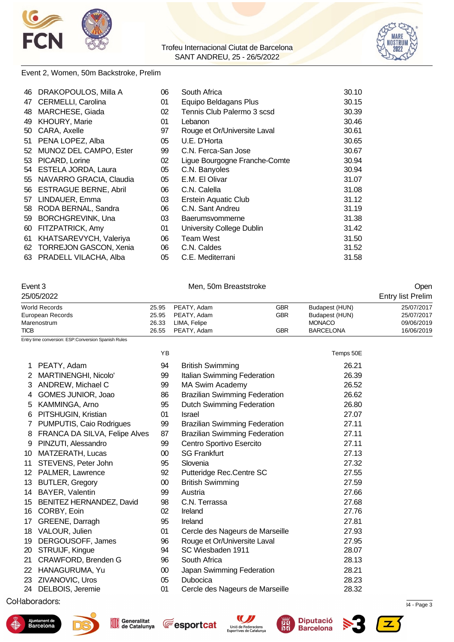



#### Event 2, Women, 50m Backstroke, Prelim

| 46 | DRAKOPOULOS, Milla A       | 06 | South Africa                  | 30.10 |
|----|----------------------------|----|-------------------------------|-------|
| 47 | CERMELLI, Carolina         | 01 | Equipo Beldagans Plus         | 30.15 |
| 48 | MARCHESE, Giada            | 02 | Tennis Club Palermo 3 scsd    | 30.39 |
| 49 | <b>KHOURY, Marie</b>       | 01 | Lebanon                       | 30.46 |
| 50 | CARA, Axelle               | 97 | Rouge et Or/Universite Laval  | 30.61 |
| 51 | PENA LOPEZ, Alba           | 05 | U.E. D'Horta                  | 30.65 |
| 52 | MUNOZ DEL CAMPO, Ester     | 99 | C.N. Ferca-San Jose           | 30.67 |
| 53 | PICARD, Lorine             | 02 | Ligue Bourgogne Franche-Comte | 30.94 |
|    | 54 ESTELA JORDA, Laura     | 05 | C.N. Banyoles                 | 30.94 |
|    | 55 NAVARRO GRACIA, Claudia | 05 | E.M. El Olivar                | 31.07 |
|    | 56 ESTRAGUE BERNE, Abril   | 06 | C.N. Calella                  | 31.08 |
| 57 | LINDAUER, Emma             | 03 | <b>Erstein Aquatic Club</b>   | 31.12 |
| 58 | RODA BERNAL, Sandra        | 06 | C.N. Sant Andreu              | 31.19 |
| 59 | <b>BORCHGREVINK, Una</b>   | 03 | Baerumsvommerne               | 31.38 |
| 60 | FITZPATRICK, Amy           | 01 | University College Dublin     | 31.42 |
| 61 | KHATSAREVYCH, Valeriya     | 06 | Team West                     | 31.50 |
|    | 62 TORREJON GASCON, Xenia  | 06 | C.N. Caldes                   | 31.52 |
|    | 63 PRADELL VILACHA, Alba   | 05 | C.E. Mediterrani              | 31.58 |

#### Event 3 Communication of Men, 50m Breaststroke Communication of the Open

| 25/05/2022       |       |              | <b>Entry list Prelim</b> |                  |            |  |
|------------------|-------|--------------|--------------------------|------------------|------------|--|
| World Records    | 25.95 | PEATY, Adam  | GBR                      | Budapest (HUN)   | 25/07/2017 |  |
| European Records | 25.95 | PEATY, Adam  | GBR                      | Budapest (HUN)   | 25/07/2017 |  |
| Marenostrum      | 26.33 | LIMA, Felipe |                          | <b>MONACO</b>    | 09/06/2019 |  |
| <b>TICB</b>      | 26.55 | PEATY, Adam  | GBR                      | <b>BARCELONA</b> | 16/06/2019 |  |

Entry time conversion: ESP:Conversion Spanish Rules

|    |                               | YB              |                                      | Temps 50E |  |
|----|-------------------------------|-----------------|--------------------------------------|-----------|--|
| 1  | PEATY, Adam                   | 94              | <b>British Swimming</b>              | 26.21     |  |
| 2  | MARTINENGHI, Nicolo'          | 99              | Italian Swimming Federation          | 26.39     |  |
| 3  | ANDREW, Michael C             | 99              | MA Swim Academy                      | 26.52     |  |
| 4  | GOMES JUNIOR, Joao            | 86              | <b>Brazilian Swimming Federation</b> | 26.62     |  |
| 5  | KAMMINGA, Arno                | 95              | <b>Dutch Swimming Federation</b>     | 26.80     |  |
| 6  | PITSHUGIN, Kristian           | 01              | Israel                               | 27.07     |  |
| 7  | PUMPUTIS, Caio Rodrigues      | 99              | <b>Brazilian Swimming Federation</b> | 27.11     |  |
| 8  | FRANCA DA SILVA, Felipe Alves | 87              | <b>Brazilian Swimming Federation</b> | 27.11     |  |
| 9  | PINZUTI, Alessandro           | 99              | Centro Sportivo Esercito             | 27.11     |  |
| 10 | MATZERATH, Lucas              | $00\,$          | <b>SG Frankfurt</b>                  | 27.13     |  |
| 11 | STEVENS, Peter John           | 95              | Slovenia                             | 27.32     |  |
| 12 | PALMER, Lawrence              | 92              | Putteridge Rec.Centre SC             | 27.55     |  |
| 13 | <b>BUTLER, Gregory</b>        | 00 <sup>°</sup> | <b>British Swimming</b>              | 27.59     |  |
| 14 | BAYER, Valentin               | 99              | Austria                              | 27.66     |  |
| 15 | BENITEZ HERNANDEZ, David      | 98              | C.N. Terrassa                        | 27.68     |  |
| 16 | CORBY, Eoin                   | 02              | Ireland                              | 27.76     |  |
| 17 | GREENE, Darragh               | 95              | Ireland                              | 27.81     |  |
| 18 | VALOUR, Julien                | 01              | Cercle des Nageurs de Marseille      | 27.93     |  |
| 19 | DERGOUSOFF, James             | 96              | Rouge et Or/Universite Laval         | 27.95     |  |
| 20 | STRUIJF, Kingue               | 94              | SC Wiesbaden 1911                    | 28.07     |  |
| 21 | CRAWFORD, Brenden G           | 96              | South Africa                         | 28.13     |  |
| 22 | HANAGURUMA, Yu                | $00\,$          | Japan Swimming Federation            | 28.21     |  |
| 23 | ZIVANOVIC, Uros               | 05              | Dubocica                             | 28.23     |  |
| 24 | DELBOIS, Jeremie              | 01              | Cercle des Nageurs de Marseille      | 28.32     |  |
|    |                               |                 |                                      |           |  |

 $\mathcal{S}_1$ .72967  $\mathcal{S}_2$ .72967  $\mathcal{S}_3$  .72967  $\mathcal{S}_4$  - Page 3











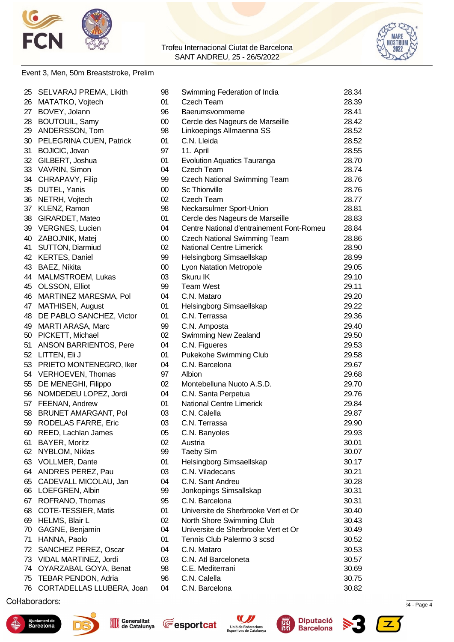



#### Event 3, Men, 50m Breaststroke, Prelim

|    | 25 SELVARAJ PREMA, Likith  | 98     | Swimming Federation of India              | 28.34 |
|----|----------------------------|--------|-------------------------------------------|-------|
| 26 | MATATKO, Vojtech           | 01     | Czech Team                                | 28.39 |
| 27 | BOVEY, Jolann              | 96     | Baerumsvommerne                           | 28.41 |
| 28 | <b>BOUTOUIL, Samy</b>      | $00\,$ | Cercle des Nageurs de Marseille           | 28.42 |
| 29 | ANDERSSON, Tom             | 98     | Linkoepings Allmaenna SS                  | 28.52 |
| 30 | PELEGRINA CUEN, Patrick    | 01     | C.N. Lleida                               | 28.52 |
| 31 | <b>BOJICIC, Jovan</b>      | 97     | 11. April                                 | 28.55 |
| 32 | GILBERT, Joshua            | 01     | <b>Evolution Aquatics Tauranga</b>        | 28.70 |
| 33 | VAVRIN, Simon              | 04     | Czech Team                                | 28.74 |
| 34 | CHRAPAVY, Filip            | 99     | <b>Czech National Swimming Team</b>       | 28.76 |
| 35 | DUTEL, Yanis               | $00\,$ | <b>Sc Thionville</b>                      | 28.76 |
| 36 | NETRH, Vojtech             | 02     | Czech Team                                | 28.77 |
| 37 | KLENZ, Ramon               | 98     | Neckarsulmer Sport-Union                  | 28.81 |
| 38 | GIRARDET, Mateo            | 01     | Cercle des Nageurs de Marseille           | 28.83 |
| 39 | <b>VERGNES, Lucien</b>     | 04     | Centre National d'entrainement Font-Romeu | 28.84 |
| 40 | ZABOJNIK, Matej            | $00\,$ | <b>Czech National Swimming Team</b>       | 28.86 |
| 41 | SUTTON, Diarmiud           | 02     | <b>National Centre Limerick</b>           | 28.90 |
| 42 | <b>KERTES, Daniel</b>      | 99     | Helsingborg Simsaellskap                  | 28.99 |
| 43 | BAEZ, Nikita               | $00\,$ | <b>Lyon Natation Metropole</b>            | 29.05 |
| 44 | MALMSTROEM, Lukas          | 03     | Skuru IK                                  | 29.10 |
| 45 | OLSSON, Elliot             | 99     | <b>Team West</b>                          | 29.11 |
| 46 | MARTINEZ MARESMA, Pol      | 04     | C.N. Mataro                               | 29.20 |
| 47 | MATHISEN, August           | 01     | Helsingborg Simsaellskap                  | 29.22 |
| 48 | DE PABLO SANCHEZ, Victor   | 01     | C.N. Terrassa                             | 29.36 |
| 49 | MARTI ARASA, Marc          | 99     | C.N. Amposta                              | 29.40 |
| 50 | PICKETT, Michael           | 02     | Swimming New Zealand                      | 29.50 |
| 51 | ANSON BARRIENTOS, Pere     | 04     | C.N. Figueres                             | 29.53 |
| 52 | LITTEN, Eli J              | 01     | Pukekohe Swimming Club                    | 29.58 |
| 53 | PRIETO MONTENEGRO, Iker    | 04     | C.N. Barcelona                            | 29.67 |
| 54 | VERHOEVEN, Thomas          | 97     | Albion                                    | 29.68 |
| 55 | DE MENEGHI, Filippo        | 02     | Montebelluna Nuoto A.S.D.                 | 29.70 |
| 56 | NOMDEDEU LOPEZ, Jordi      | 04     | C.N. Santa Perpetua                       | 29.76 |
|    | 57 FEENAN, Andrew          | 01     | <b>National Centre Limerick</b>           | 29.84 |
|    | 58 BRUNET AMARGANT, Pol    | 03     | C.N. Calella                              | 29.87 |
|    | 59 RODELAS FARRE, Eric     | 03     | C.N. Terrassa                             | 29.90 |
| 60 | REED, Lachlan James        | 05     | C.N. Banyoles                             | 29.93 |
| 61 | BAYER, Moritz              | 02     | Austria                                   | 30.01 |
| 62 | NYBLOM, Niklas             | 99     | <b>Taeby Sim</b>                          | 30.07 |
| 63 | <b>VOLLMER, Dante</b>      | 01     | Helsingborg Simsaellskap                  | 30.17 |
| 64 | ANDRES PEREZ, Pau          | 03     | C.N. Viladecans                           | 30.21 |
| 65 | CADEVALL MICOLAU, Jan      | 04     | C.N. Sant Andreu                          | 30.28 |
| 66 | LOEFGREN, Albin            | 99     | Jonkopings Simsallskap                    | 30.31 |
| 67 | ROFRANO, Thomas            | 95     | C.N. Barcelona                            | 30.31 |
| 68 | COTE-TESSIER, Matis        | 01     | Universite de Sherbrooke Vert et Or       | 30.40 |
|    | 69 HELMS, Blair L          | 02     | North Shore Swimming Club                 | 30.43 |
| 70 | GAGNE, Benjamin            | 04     | Universite de Sherbrooke Vert et Or       | 30.49 |
| 71 | HANNA, Paolo               | 01     | Tennis Club Palermo 3 scsd                | 30.52 |
| 72 | SANCHEZ PEREZ, Oscar       | 04     | C.N. Mataro                               | 30.53 |
| 73 | VIDAL MARTINEZ, Jordi      | 03     | C.N. Atl Barceloneta                      | 30.57 |
| 74 | OYARZABAL GOYA, Benat      | 98     | C.E. Mediterrani                          | 30.69 |
| 75 | <b>TEBAR PENDON, Adria</b> | 96     | C.N. Calella                              | 30.75 |
| 76 | CORTADELLAS LLUBERA, Joan  | 04     | C.N. Barcelona                            | 30.82 |

 $\mathcal{S}_1$ .72967  $\mathcal{S}_2$ .72967  $\mathcal{S}_3$  and  $\mathcal{S}_4$  - Page 4











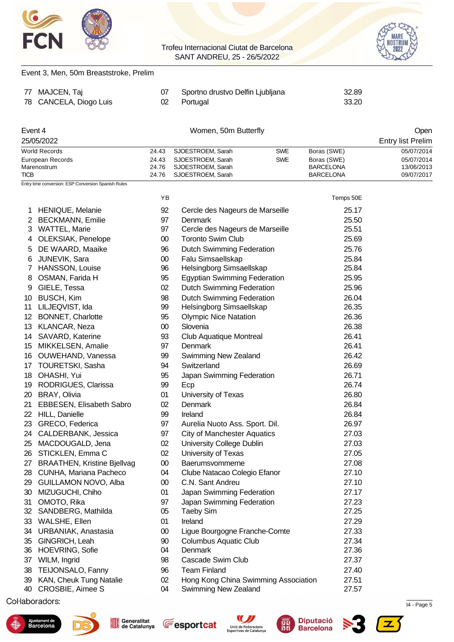

Event 3, Men, 50m Breaststroke, Prelim

#### Trofeu Internacional Ciutat de Barcelona SANT ANDREU, 25 - 26/5/2022



| 78          | 77 MAJCEN, Taj<br>CANCELA, Diogo Luis               | 07<br>02 | Sportno drustvo Delfin Ljubljana<br>Portugal | 32.89<br>33.20   |                                  |
|-------------|-----------------------------------------------------|----------|----------------------------------------------|------------------|----------------------------------|
|             |                                                     |          |                                              |                  |                                  |
| Event 4     | 25/05/2022                                          |          | Women, 50m Butterfly                         |                  | Open<br><b>Entry list Prelim</b> |
|             | <b>World Records</b>                                | 24.43    | SJOESTROEM, Sarah<br><b>SWE</b>              | Boras (SWE)      | 05/07/2014                       |
|             | European Records                                    | 24.43    | SJOESTROEM, Sarah<br><b>SWE</b>              | Boras (SWE)      | 05/07/2014                       |
|             | Marenostrum                                         | 24.76    | SJOESTROEM, Sarah                            | <b>BARCELONA</b> | 13/06/2013                       |
| <b>TICB</b> |                                                     | 24.76    | SJOESTROEM, Sarah                            | <b>BARCELONA</b> | 09/07/2017                       |
|             | Entry time conversion: ESP:Conversion Spanish Rules |          |                                              |                  |                                  |
|             |                                                     | ΥB       |                                              | Temps 50E        |                                  |
|             | 1 HENIQUE, Melanie                                  | 92       | Cercle des Nageurs de Marseille              | 25.17            |                                  |
|             | 2 BECKMANN, Emilie                                  | 97       | Denmark                                      | 25.50            |                                  |
|             | 3 WATTEL, Marie                                     | 97       | Cercle des Nageurs de Marseille              | 25.51            |                                  |
| 4           | OLEKSIAK, Penelope                                  | $00\,$   | <b>Toronto Swim Club</b>                     | 25.69            |                                  |
| 5           | DE WAARD, Maaike                                    | 96       | Dutch Swimming Federation                    | 25.76            |                                  |
| 6           | JUNEVIK, Sara                                       | $00\,$   | Falu Simsaellskap                            | 25.84            |                                  |
| 7           | HANSSON, Louise                                     | 96       | Helsingborg Simsaellskap                     | 25.84            |                                  |
| 8           | OSMAN, Farida H                                     | 95       | <b>Egyptian Swimming Federation</b>          | 25.95            |                                  |
| 9           | GIELE, Tessa                                        | 02       | <b>Dutch Swimming Federation</b>             | 25.96            |                                  |
| 10          | <b>BUSCH, Kim</b>                                   | 98       | <b>Dutch Swimming Federation</b>             | 26.04            |                                  |
| 11          | LILJEQVIST, Ida                                     | 99       | Helsingborg Simsaellskap                     | 26.35            |                                  |
|             | 12 BONNET, Charlotte                                | 95       | <b>Olympic Nice Natation</b>                 | 26.36            |                                  |
|             | 13 KLANCAR, Neza                                    | $00\,$   | Slovenia                                     | 26.38            |                                  |
|             | 14 SAVARD, Katerine                                 | 93       | <b>Club Aquatique Montreal</b>               | 26.41            |                                  |
| 15          | MIKKELSEN, Amalie                                   | 97       | Denmark                                      | 26.41            |                                  |
| 16          | OUWEHAND, Vanessa                                   | 99       | Swimming New Zealand                         | 26.42            |                                  |
|             | 17 TOURETSKI, Sasha                                 | 94       | Switzerland                                  | 26.69            |                                  |
| 18          | OHASHI, Yui                                         | 95       | Japan Swimming Federation                    | 26.71            |                                  |
| 19          | <b>RODRIGUES, Clarissa</b>                          | 99       | Ecp                                          | 26.74            |                                  |
| 20          | <b>BRAY, Olivia</b>                                 | 01       | University of Texas                          | 26.80            |                                  |
| 21          | <b>EBBESEN, Elisabeth Sabro</b>                     | 02       | Denmark                                      | 26.84            |                                  |
| 22          | <b>HILL, Danielle</b>                               | 99       | Ireland                                      | 26.84            |                                  |
| 23          | GRECO, Federica                                     | 97       | Aurelia Nuoto Ass. Sport. Dil.               | 26.97            |                                  |
| 24          | CALDERBANK, Jessica                                 | 97       | <b>City of Manchester Aquatics</b>           | 27.03            |                                  |
| 25          | MACDOUGALD, Jena                                    | 02       | University College Dublin                    | 27.03            |                                  |
| 26          | STICKLEN, Emma C                                    | 02       | University of Texas                          | 27.05            |                                  |
| 27          | <b>BRAATHEN, Kristine Bjellvag</b>                  | $00\,$   | Baerumsvommerne                              | 27.08            |                                  |
| 28          | CUNHA, Mariana Pacheco                              | 04       | Clube Natacao Colegio Efanor                 | 27.10            |                                  |
| 29          | GUILLAMON NOVO, Alba                                | $00\,$   | C.N. Sant Andreu                             | 27.10            |                                  |
| 30          | MIZUGUCHI, Chiho                                    | 01       | Japan Swimming Federation                    | 27.17            |                                  |
| 31          | OMOTO, Rika                                         | 97       | Japan Swimming Federation                    | 27.23            |                                  |
| 32          | SANDBERG, Mathilda                                  | 05       | <b>Taeby Sim</b>                             | 27.25            |                                  |
| 33          | WALSHE, Ellen                                       | 01       | Ireland                                      | 27.29            |                                  |
| 34          | URBANIAK, Anastasia                                 | $00\,$   | Ligue Bourgogne Franche-Comte                | 27.33            |                                  |
| 35<br>36    | GINGRICH, Leah<br><b>HOEVRING, Sofie</b>            | 90<br>04 | <b>Columbus Aquatic Club</b><br>Denmark      | 27.34<br>27.36   |                                  |
| 37          | WILM, Ingrid                                        | 98       | Cascade Swim Club                            | 27.37            |                                  |
| 38          | TEIJONSALO, Fanny                                   | 96       | <b>Team Finland</b>                          | 27.40            |                                  |
| 39          | KAN, Cheuk Tung Natalie                             | 02       | Hong Kong China Swimming Association         | 27.51            |                                  |
| 40          | CROSBIE, Aimee S                                    | 04       | Swimming New Zealand                         | 27.57            |                                  |

 $\mathcal{L}$  Splash Meet Manager, 11.72967  $\mathcal{L}$  . The cataluna 12-05/2022 12:34 - Page 5  $\mathcal{L}$ 











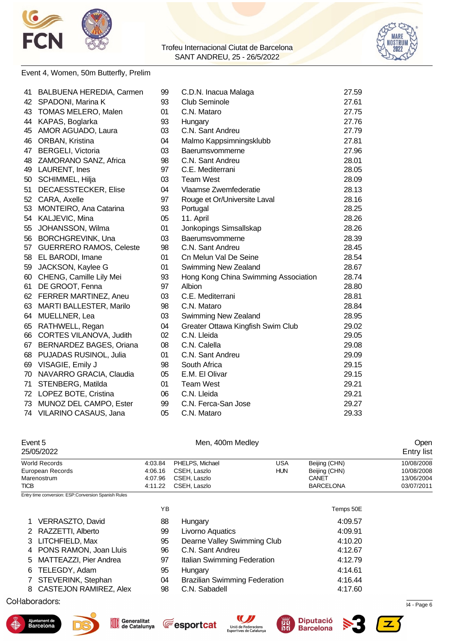



#### Event 4, Women, 50m Butterfly, Prelim

| 41 | <b>BALBUENA HEREDIA, Carmen</b> | 99 | C.D.N. Inacua Malaga                 | 27.59 |
|----|---------------------------------|----|--------------------------------------|-------|
| 42 | SPADONI, Marina K               | 93 | <b>Club Seminole</b>                 | 27.61 |
| 43 | <b>TOMAS MELERO, Malen</b>      | 01 | C.N. Mataro                          | 27.75 |
| 44 | KAPAS, Boglarka                 | 93 | Hungary                              | 27.76 |
| 45 | AMOR AGUADO, Laura              | 03 | C.N. Sant Andreu                     | 27.79 |
| 46 | ORBAN, Kristina                 | 04 | Malmo Kappsimningsklubb              | 27.81 |
| 47 | <b>BERGELI, Victoria</b>        | 03 | Baerumsvommerne                      | 27.96 |
| 48 | ZAMORANO SANZ, Africa           | 98 | C.N. Sant Andreu                     | 28.01 |
|    | 49 LAURENT, Ines                | 97 | C.E. Mediterrani                     | 28.05 |
| 50 | SCHIMMEL, Hilja                 | 03 | <b>Team West</b>                     | 28.09 |
| 51 | DECAESSTECKER, Elise            | 04 | Vlaamse Zwemfederatie                | 28.13 |
| 52 | CARA, Axelle                    | 97 | Rouge et Or/Universite Laval         | 28.16 |
| 53 | MONTEIRO, Ana Catarina          | 93 | Portugal                             | 28.25 |
| 54 | KALJEVIC, Mina                  | 05 | 11. April                            | 28.26 |
| 55 | JOHANSSON, Wilma                | 01 | Jonkopings Simsallskap               | 28.26 |
| 56 | <b>BORCHGREVINK, Una</b>        | 03 | Baerumsvommerne                      | 28.39 |
| 57 | <b>GUERRERO RAMOS, Celeste</b>  | 98 | C.N. Sant Andreu                     | 28.45 |
|    | 58 EL BARODI, Imane             | 01 | Cn Melun Val De Seine                | 28.54 |
| 59 | JACKSON, Kaylee G               | 01 | Swimming New Zealand                 | 28.67 |
| 60 | CHENG, Camille Lily Mei         | 93 | Hong Kong China Swimming Association | 28.74 |
| 61 | DE GROOT, Fenna                 | 97 | Albion                               | 28.80 |
| 62 | <b>FERRER MARTINEZ, Aneu</b>    | 03 | C.E. Mediterrani                     | 28.81 |
| 63 | <b>MARTI BALLESTER, Marilo</b>  | 98 | C.N. Mataro                          | 28.84 |
| 64 | MUELLNER, Lea                   | 03 | Swimming New Zealand                 | 28.95 |
| 65 | RATHWELL, Regan                 | 04 | Greater Ottawa Kingfish Swim Club    | 29.02 |
| 66 | CORTES VILANOVA, Judith         | 02 | C.N. Lleida                          | 29.05 |
| 67 | BERNARDEZ BAGES, Oriana         | 08 | C.N. Calella                         | 29.08 |
|    | 68 PUJADAS RUSINOL, Julia       | 01 | C.N. Sant Andreu                     | 29.09 |
|    | 69 VISAGIE, Emily J             | 98 | South Africa                         | 29.15 |
| 70 | NAVARRO GRACIA, Claudia         | 05 | E.M. El Olivar                       | 29.15 |
| 71 | STENBERG, Matilda               | 01 | <b>Team West</b>                     | 29.21 |
|    | 72 LOPEZ BOTE, Cristina         | 06 | C.N. Lleida                          | 29.21 |
| 73 | MUNOZ DEL CAMPO, Ester          | 99 | C.N. Ferca-San Jose                  | 29.27 |
| 74 | VILARINO CASAUS, Jana           | 05 | C.N. Mataro                          | 29.33 |

### Event 5 Channels Chemical Men, 400m Medley Chemical Chemical Chemical Chemical Chemical Chemical Chemical Chem

| 25/05/2022       |         |                 |            |                  | <b>Entry list</b> |
|------------------|---------|-----------------|------------|------------------|-------------------|
| World Records    | 4:03.84 | PHELPS, Michael | USA        | Beijing (CHN)    | 10/08/2008        |
| European Records | 4:06.16 | CSEH. Laszlo    | <b>HUN</b> | Beijing (CHN)    | 10/08/2008        |
| Marenostrum      | 4:07.96 | CSEH, Laszlo    |            | CANET            | 13/06/2004        |
| TICB             | 4:11.22 | CSEH. Laszlo    |            | <b>BARCELONA</b> | 03/07/2011        |

Entry time conversion: ESP:Conversion Spanish Rules

|                                                                                                                                                                                               |                                      | Temps 50E |
|-----------------------------------------------------------------------------------------------------------------------------------------------------------------------------------------------|--------------------------------------|-----------|
| 88                                                                                                                                                                                            | Hungary                              | 4:09.57   |
| 99                                                                                                                                                                                            | Livorno Aquatics                     | 4:09.91   |
| 95                                                                                                                                                                                            | Dearne Valley Swimming Club          | 4:10.20   |
| 96                                                                                                                                                                                            | C.N. Sant Andreu                     | 4:12.67   |
| 97                                                                                                                                                                                            | Italian Swimming Federation          | 4:12.79   |
| 95                                                                                                                                                                                            | Hungary                              | 4:14.61   |
| 04                                                                                                                                                                                            | <b>Brazilian Swimming Federation</b> | 4:16.44   |
| 98                                                                                                                                                                                            | C.N. Sabadell                        | 4:17.60   |
| 1 VERRASZTO, David<br>2 RAZZETTI, Alberto<br>3 LITCHFIELD, Max<br>4 PONS RAMON, Joan Lluis<br>5 MATTEAZZI, Pier Andrea<br>6 TELEGDY, Adam<br>7 STEVERINK, Stephan<br>8 CASTEJON RAMIREZ, Alex | YΒ                                   |           |

 $\mathcal{S}_1$ .72967  $\mathcal{S}_2$ .72967  $\mathcal{S}_3$  .72967  $\mathcal{S}_4$  - Page 6











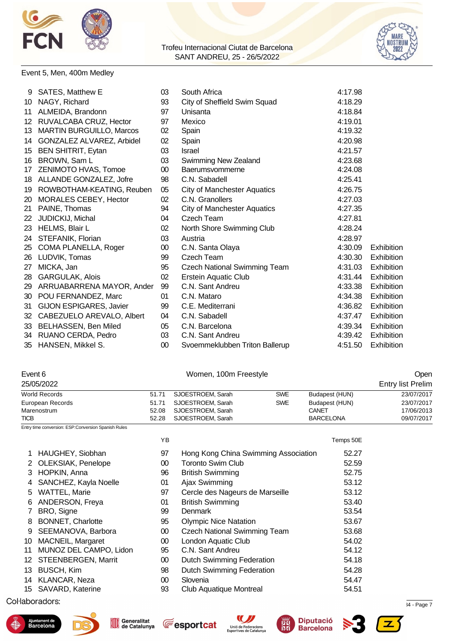



#### Event 5, Men, 400m Medley

|    | 9 SATES, Matthew E              | 03              | South Africa                        | 4:17.98 |                   |
|----|---------------------------------|-----------------|-------------------------------------|---------|-------------------|
| 10 | NAGY, Richard                   | 93              | City of Sheffield Swim Squad        | 4:18.29 |                   |
| 11 | ALMEIDA, Brandonn               | 97              | Unisanta                            | 4:18.84 |                   |
|    | 12 RUVALCABA CRUZ, Hector       | 97              | Mexico                              | 4:19.01 |                   |
| 13 | <b>MARTIN BURGUILLO, Marcos</b> | 02              | Spain                               | 4:19.32 |                   |
| 14 | GONZALEZ ALVAREZ, Arbidel       | 02              | Spain                               | 4:20.98 |                   |
| 15 | <b>BEN SHITRIT, Eytan</b>       | 03              | <b>Israel</b>                       | 4:21.57 |                   |
| 16 | BROWN, Sam L                    | 03              | Swimming New Zealand                | 4:23.68 |                   |
| 17 | ZENIMOTO HVAS, Tomoe            | 00 <sup>°</sup> | Baerumsvommerne                     | 4:24.08 |                   |
| 18 | ALLANDE GONZALEZ, Jofre         | 98              | C.N. Sabadell                       | 4:25.41 |                   |
| 19 | ROWBOTHAM-KEATING, Reuben       | 05              | <b>City of Manchester Aquatics</b>  | 4:26.75 |                   |
| 20 | <b>MORALES CEBEY, Hector</b>    | 02              | C.N. Granollers                     | 4:27.03 |                   |
| 21 | PAINE, Thomas                   | 94              | <b>City of Manchester Aquatics</b>  | 4:27.35 |                   |
| 22 | JUDICKIJ, Michal                | 04              | Czech Team                          | 4:27.81 |                   |
| 23 | <b>HELMS, Blair L</b>           | 02              | North Shore Swimming Club           | 4:28.24 |                   |
| 24 | STEFANIK, Florian               | 03              | Austria                             | 4:28.97 |                   |
| 25 | COMA PLANELLA, Roger            | 00              | C.N. Santa Olaya                    | 4:30.09 | Exhibition        |
| 26 | LUDVIK, Tomas                   | 99              | Czech Team                          | 4:30.30 | Exhibition        |
| 27 | MICKA, Jan                      | 95              | <b>Czech National Swimming Team</b> | 4:31.03 | Exhibition        |
| 28 | <b>GARGULAK, Alois</b>          | 02              | <b>Erstein Aquatic Club</b>         | 4:31.44 | Exhibition        |
| 29 | ARRUABARRENA MAYOR, Ander       | 99              | C.N. Sant Andreu                    | 4:33.38 | Exhibition        |
| 30 | POU FERNANDEZ, Marc             | 01              | C.N. Mataro                         | 4:34.38 | Exhibition        |
| 31 | GIJON ESPIGARES, Javier         | 99              | C.E. Mediterrani                    | 4:36.82 | Exhibition        |
| 32 | CABEZUELO AREVALO, Albert       | 04              | C.N. Sabadell                       | 4:37.47 | <b>Exhibition</b> |
| 33 | <b>BELHASSEN, Ben Miled</b>     | 05              | C.N. Barcelona                      | 4:39.34 | Exhibition        |
|    | 34 RUANO CERDA, Pedro           | 03              | C.N. Sant Andreu                    | 4:39.42 | <b>Exhibition</b> |
|    | 35 HANSEN, Mikkel S.            | $00\,$          | Svoemmeklubben Triton Ballerup      | 4:51.50 | Exhibition        |

| Open |
|------|
|      |

| 25/05/2022           |       |                   |            |                  | <b>Entry list Prelim</b> |
|----------------------|-------|-------------------|------------|------------------|--------------------------|
| <b>World Records</b> | 51.71 | SJOESTROEM, Sarah | <b>SWE</b> | Budapest (HUN)   | 23/07/2017               |
| European Records     | 51.71 | SJOESTROEM, Sarah | <b>SWE</b> | Budapest (HUN)   | 23/07/2017               |
| Marenostrum          | 52.08 | SJOESTROEM. Sarah |            | CANET            | 17/06/2013               |
| <b>TICB</b>          | 52.28 | SJOESTROEM, Sarah |            | <b>BARCELONA</b> | 09/07/2017               |

Entry time conversion: ESP:Conversion Spanish Rules

|    |                          | ΥB              |                                      | Temps 50E |
|----|--------------------------|-----------------|--------------------------------------|-----------|
|    | HAUGHEY, Siobhan         | 97              | Hong Kong China Swimming Association | 52.27     |
|    | 2 OLEKSIAK, Penelope     | 00 <sup>°</sup> | <b>Toronto Swim Club</b>             | 52.59     |
|    | 3 HOPKIN, Anna           | 96              | <b>British Swimming</b>              | 52.75     |
| 4  | SANCHEZ, Kayla Noelle    | 01              | Ajax Swimming                        | 53.12     |
| 5  | <b>WATTEL, Marie</b>     | 97              | Cercle des Nageurs de Marseille      | 53.12     |
| 6  | ANDERSON, Freya          | 01              | <b>British Swimming</b>              | 53.40     |
|    | BRO, Signe               | 99              | Denmark                              | 53.54     |
| 8  | <b>BONNET, Charlotte</b> | 95              | <b>Olympic Nice Natation</b>         | 53.67     |
| 9  | SEEMANOVA, Barbora       | $00\,$          | <b>Czech National Swimming Team</b>  | 53.68     |
| 10 | MACNEIL, Margaret        | $00\,$          | London Aquatic Club                  | 54.02     |
| 11 | MUNOZ DEL CAMPO, Lidon   | 95              | C.N. Sant Andreu                     | 54.12     |
|    | 12 STEENBERGEN, Marrit   | $00\,$          | <b>Dutch Swimming Federation</b>     | 54.18     |
| 13 | <b>BUSCH, Kim</b>        | 98              | <b>Dutch Swimming Federation</b>     | 54.28     |
|    | 14 KLANCAR, Neza         | $00\,$          | Slovenia                             | 54.47     |
|    | 15 SAVARD, Katerine      | 93              | <b>Club Aquatique Montreal</b>       | 54.51     |
|    |                          |                 |                                      |           |

### $\mathcal{S}_1$ .72967  $\mathcal{S}_2$ .72967  $\mathcal{S}_3$  .72967  $\mathcal{S}_4$  - Page 7











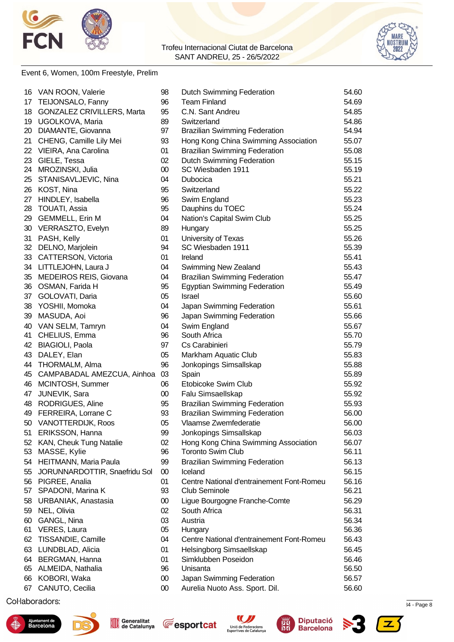



#### Event 6, Women, 100m Freestyle, Prelim

| TEIJONSALO, Fanny<br>96<br><b>Team Finland</b><br>54.69<br>17<br><b>GONZALEZ CRIVILLERS, Marta</b><br>95<br>C.N. Sant Andreu<br>54.85<br>18<br>89<br>19 UGOLKOVA, Maria<br>Switzerland<br>54.86<br>97<br>20<br>DIAMANTE, Giovanna<br><b>Brazilian Swimming Federation</b><br>54.94<br>93<br>Hong Kong China Swimming Association<br>55.07<br>21<br>CHENG, Camille Lily Mei<br>VIEIRA, Ana Carolina<br>01<br><b>Brazilian Swimming Federation</b><br>55.08<br>22<br><b>Dutch Swimming Federation</b><br>23<br>GIELE, Tessa<br>02<br>55.15<br>$00\,$<br>SC Wiesbaden 1911<br>55.19<br>24<br>MROZINSKI, Julia<br>STANISAVLJEVIC, Nina<br>04<br>55.21<br>25<br>Dubocica<br>KOST, Nina<br>95<br>Switzerland<br>55.22<br>26<br>96<br>55.23<br>HINDLEY, Isabella<br>Swim England<br>27<br><b>TOUATI, Assia</b><br>95<br>55.24<br>28<br>Dauphins du TOEC<br><b>GEMMELL, Erin M</b><br>04<br>Nation's Capital Swim Club<br>55.25<br>29<br>VERRASZTO, Evelyn<br>89<br>55.25<br>30<br>Hungary<br>PASH, Kelly<br>01<br>University of Texas<br>55.26<br>31<br>SC Wiesbaden 1911<br>32<br>DELNO, Marjolein<br>94<br>55.39<br>33 CATTERSON, Victoria<br>01<br>Ireland<br>55.41<br>34 LITTLEJOHN, Laura J<br>04<br>Swimming New Zealand<br>55.43<br>MEDEIROS REIS, Giovana<br>35<br><b>Brazilian Swimming Federation</b><br>55.47<br>04<br>95<br>36<br>OSMAN, Farida H<br><b>Egyptian Swimming Federation</b><br>55.49<br>05<br>55.60<br>37<br>GOLOVATI, Daria<br>Israel<br>38<br>YOSHII, Momoka<br>04<br>55.61<br>Japan Swimming Federation<br>39<br>MASUDA, Aoi<br>96<br>Japan Swimming Federation<br>55.66<br>VAN SELM, Tamryn<br>04<br>Swim England<br>55.67<br>40<br>96<br>South Africa<br>55.70<br>41<br>CHELIUS, Emma<br><b>BIAGIOLI, Paola</b><br>97<br>Cs Carabinieri<br>55.79<br>42<br>43<br>DALEY, Elan<br>05<br>Markham Aquatic Club<br>55.83<br>THORMALM, Alma<br>96<br>Jonkopings Simsallskap<br>55.88<br>44<br>03<br>55.89<br>45<br>CAMPABADAL AMEZCUA, Ainhoa<br>Spain<br>MCINTOSH, Summer<br>06<br>Etobicoke Swim Club<br>55.92<br>46<br>47<br>JUNEVIK, Sara<br>$00\,$<br>Falu Simsaellskap<br>55.92<br>48 RODRIGUES, Aline<br><b>Brazilian Swimming Federation</b><br>55.93<br>95<br>49 FERREIRA, Lorrane C<br>93<br><b>Brazilian Swimming Federation</b><br>56.00<br>50 VANOTTERDIJK, Roos<br>05<br>Vlaamse Zwemfederatie<br>56.00<br>ERIKSSON, Hanna<br>Jonkopings Simsallskap<br>51<br>99<br>56.03<br>Hong Kong China Swimming Association<br>KAN, Cheuk Tung Natalie<br>02<br>56.07<br>52<br>96<br><b>Toronto Swim Club</b><br>56.11<br>53<br>MASSE, Kylie<br>HEITMANN, Maria Paula<br>99<br><b>Brazilian Swimming Federation</b><br>56.13<br>54<br>55<br>JORUNNARDOTTIR, Snaefridu Sol<br>$00\,$<br>Iceland<br>56.15<br>56.16<br>56 PIGREE, Analia<br>01<br>Centre National d'entrainement Font-Romeu<br>SPADONI, Marina K<br>93<br><b>Club Seminole</b><br>56.21<br>57<br>56.29<br>58<br>URBANIAK, Anastasia<br>00<br>Ligue Bourgogne Franche-Comte<br>NEL, Olivia<br>02<br>South Africa<br>56.31<br>59<br>GANGL, Nina<br>03<br>Austria<br>56.34<br>60<br>05<br>56.36<br>61<br>VERES, Laura<br>Hungary<br>TISSANDIE, Camille<br>04<br>Centre National d'entrainement Font-Romeu<br>56.43<br>62<br>LUNDBLAD, Alicia<br>01<br>Helsingborg Simsaellskap<br>56.45<br>63<br>BERGMAN, Hanna<br>01<br>Simklubben Poseidon<br>56.46<br>64<br>56.50<br>65<br>ALMEIDA, Nathalia<br>96<br>Unisanta<br>KOBORI, Waka<br>$00\,$<br>Japan Swimming Federation<br>56.57<br>66<br>CANUTO, Cecilia<br>Aurelia Nuoto Ass. Sport. Dil.<br>56.60<br>67<br>00 | 16 | VAN ROON, Valerie | 98 | <b>Dutch Swimming Federation</b> | 54.60 |
|-------------------------------------------------------------------------------------------------------------------------------------------------------------------------------------------------------------------------------------------------------------------------------------------------------------------------------------------------------------------------------------------------------------------------------------------------------------------------------------------------------------------------------------------------------------------------------------------------------------------------------------------------------------------------------------------------------------------------------------------------------------------------------------------------------------------------------------------------------------------------------------------------------------------------------------------------------------------------------------------------------------------------------------------------------------------------------------------------------------------------------------------------------------------------------------------------------------------------------------------------------------------------------------------------------------------------------------------------------------------------------------------------------------------------------------------------------------------------------------------------------------------------------------------------------------------------------------------------------------------------------------------------------------------------------------------------------------------------------------------------------------------------------------------------------------------------------------------------------------------------------------------------------------------------------------------------------------------------------------------------------------------------------------------------------------------------------------------------------------------------------------------------------------------------------------------------------------------------------------------------------------------------------------------------------------------------------------------------------------------------------------------------------------------------------------------------------------------------------------------------------------------------------------------------------------------------------------------------------------------------------------------------------------------------------------------------------------------------------------------------------------------------------------------------------------------------------------------------------------------------------------------------------------------------------------------------------------------------------------------------------------------------------------------------------------------------------------------------------------------------------------------------------------------------------------------------------------------------------------------------------------------------------------------------------------------------------------------------------------------------------------------------------------------------------------------------------------------------------------------------------------------------------------------------|----|-------------------|----|----------------------------------|-------|
|                                                                                                                                                                                                                                                                                                                                                                                                                                                                                                                                                                                                                                                                                                                                                                                                                                                                                                                                                                                                                                                                                                                                                                                                                                                                                                                                                                                                                                                                                                                                                                                                                                                                                                                                                                                                                                                                                                                                                                                                                                                                                                                                                                                                                                                                                                                                                                                                                                                                                                                                                                                                                                                                                                                                                                                                                                                                                                                                                                                                                                                                                                                                                                                                                                                                                                                                                                                                                                                                                                                                                 |    |                   |    |                                  |       |
|                                                                                                                                                                                                                                                                                                                                                                                                                                                                                                                                                                                                                                                                                                                                                                                                                                                                                                                                                                                                                                                                                                                                                                                                                                                                                                                                                                                                                                                                                                                                                                                                                                                                                                                                                                                                                                                                                                                                                                                                                                                                                                                                                                                                                                                                                                                                                                                                                                                                                                                                                                                                                                                                                                                                                                                                                                                                                                                                                                                                                                                                                                                                                                                                                                                                                                                                                                                                                                                                                                                                                 |    |                   |    |                                  |       |
|                                                                                                                                                                                                                                                                                                                                                                                                                                                                                                                                                                                                                                                                                                                                                                                                                                                                                                                                                                                                                                                                                                                                                                                                                                                                                                                                                                                                                                                                                                                                                                                                                                                                                                                                                                                                                                                                                                                                                                                                                                                                                                                                                                                                                                                                                                                                                                                                                                                                                                                                                                                                                                                                                                                                                                                                                                                                                                                                                                                                                                                                                                                                                                                                                                                                                                                                                                                                                                                                                                                                                 |    |                   |    |                                  |       |
|                                                                                                                                                                                                                                                                                                                                                                                                                                                                                                                                                                                                                                                                                                                                                                                                                                                                                                                                                                                                                                                                                                                                                                                                                                                                                                                                                                                                                                                                                                                                                                                                                                                                                                                                                                                                                                                                                                                                                                                                                                                                                                                                                                                                                                                                                                                                                                                                                                                                                                                                                                                                                                                                                                                                                                                                                                                                                                                                                                                                                                                                                                                                                                                                                                                                                                                                                                                                                                                                                                                                                 |    |                   |    |                                  |       |
|                                                                                                                                                                                                                                                                                                                                                                                                                                                                                                                                                                                                                                                                                                                                                                                                                                                                                                                                                                                                                                                                                                                                                                                                                                                                                                                                                                                                                                                                                                                                                                                                                                                                                                                                                                                                                                                                                                                                                                                                                                                                                                                                                                                                                                                                                                                                                                                                                                                                                                                                                                                                                                                                                                                                                                                                                                                                                                                                                                                                                                                                                                                                                                                                                                                                                                                                                                                                                                                                                                                                                 |    |                   |    |                                  |       |
|                                                                                                                                                                                                                                                                                                                                                                                                                                                                                                                                                                                                                                                                                                                                                                                                                                                                                                                                                                                                                                                                                                                                                                                                                                                                                                                                                                                                                                                                                                                                                                                                                                                                                                                                                                                                                                                                                                                                                                                                                                                                                                                                                                                                                                                                                                                                                                                                                                                                                                                                                                                                                                                                                                                                                                                                                                                                                                                                                                                                                                                                                                                                                                                                                                                                                                                                                                                                                                                                                                                                                 |    |                   |    |                                  |       |
|                                                                                                                                                                                                                                                                                                                                                                                                                                                                                                                                                                                                                                                                                                                                                                                                                                                                                                                                                                                                                                                                                                                                                                                                                                                                                                                                                                                                                                                                                                                                                                                                                                                                                                                                                                                                                                                                                                                                                                                                                                                                                                                                                                                                                                                                                                                                                                                                                                                                                                                                                                                                                                                                                                                                                                                                                                                                                                                                                                                                                                                                                                                                                                                                                                                                                                                                                                                                                                                                                                                                                 |    |                   |    |                                  |       |
|                                                                                                                                                                                                                                                                                                                                                                                                                                                                                                                                                                                                                                                                                                                                                                                                                                                                                                                                                                                                                                                                                                                                                                                                                                                                                                                                                                                                                                                                                                                                                                                                                                                                                                                                                                                                                                                                                                                                                                                                                                                                                                                                                                                                                                                                                                                                                                                                                                                                                                                                                                                                                                                                                                                                                                                                                                                                                                                                                                                                                                                                                                                                                                                                                                                                                                                                                                                                                                                                                                                                                 |    |                   |    |                                  |       |
|                                                                                                                                                                                                                                                                                                                                                                                                                                                                                                                                                                                                                                                                                                                                                                                                                                                                                                                                                                                                                                                                                                                                                                                                                                                                                                                                                                                                                                                                                                                                                                                                                                                                                                                                                                                                                                                                                                                                                                                                                                                                                                                                                                                                                                                                                                                                                                                                                                                                                                                                                                                                                                                                                                                                                                                                                                                                                                                                                                                                                                                                                                                                                                                                                                                                                                                                                                                                                                                                                                                                                 |    |                   |    |                                  |       |
|                                                                                                                                                                                                                                                                                                                                                                                                                                                                                                                                                                                                                                                                                                                                                                                                                                                                                                                                                                                                                                                                                                                                                                                                                                                                                                                                                                                                                                                                                                                                                                                                                                                                                                                                                                                                                                                                                                                                                                                                                                                                                                                                                                                                                                                                                                                                                                                                                                                                                                                                                                                                                                                                                                                                                                                                                                                                                                                                                                                                                                                                                                                                                                                                                                                                                                                                                                                                                                                                                                                                                 |    |                   |    |                                  |       |
|                                                                                                                                                                                                                                                                                                                                                                                                                                                                                                                                                                                                                                                                                                                                                                                                                                                                                                                                                                                                                                                                                                                                                                                                                                                                                                                                                                                                                                                                                                                                                                                                                                                                                                                                                                                                                                                                                                                                                                                                                                                                                                                                                                                                                                                                                                                                                                                                                                                                                                                                                                                                                                                                                                                                                                                                                                                                                                                                                                                                                                                                                                                                                                                                                                                                                                                                                                                                                                                                                                                                                 |    |                   |    |                                  |       |
|                                                                                                                                                                                                                                                                                                                                                                                                                                                                                                                                                                                                                                                                                                                                                                                                                                                                                                                                                                                                                                                                                                                                                                                                                                                                                                                                                                                                                                                                                                                                                                                                                                                                                                                                                                                                                                                                                                                                                                                                                                                                                                                                                                                                                                                                                                                                                                                                                                                                                                                                                                                                                                                                                                                                                                                                                                                                                                                                                                                                                                                                                                                                                                                                                                                                                                                                                                                                                                                                                                                                                 |    |                   |    |                                  |       |
|                                                                                                                                                                                                                                                                                                                                                                                                                                                                                                                                                                                                                                                                                                                                                                                                                                                                                                                                                                                                                                                                                                                                                                                                                                                                                                                                                                                                                                                                                                                                                                                                                                                                                                                                                                                                                                                                                                                                                                                                                                                                                                                                                                                                                                                                                                                                                                                                                                                                                                                                                                                                                                                                                                                                                                                                                                                                                                                                                                                                                                                                                                                                                                                                                                                                                                                                                                                                                                                                                                                                                 |    |                   |    |                                  |       |
|                                                                                                                                                                                                                                                                                                                                                                                                                                                                                                                                                                                                                                                                                                                                                                                                                                                                                                                                                                                                                                                                                                                                                                                                                                                                                                                                                                                                                                                                                                                                                                                                                                                                                                                                                                                                                                                                                                                                                                                                                                                                                                                                                                                                                                                                                                                                                                                                                                                                                                                                                                                                                                                                                                                                                                                                                                                                                                                                                                                                                                                                                                                                                                                                                                                                                                                                                                                                                                                                                                                                                 |    |                   |    |                                  |       |
|                                                                                                                                                                                                                                                                                                                                                                                                                                                                                                                                                                                                                                                                                                                                                                                                                                                                                                                                                                                                                                                                                                                                                                                                                                                                                                                                                                                                                                                                                                                                                                                                                                                                                                                                                                                                                                                                                                                                                                                                                                                                                                                                                                                                                                                                                                                                                                                                                                                                                                                                                                                                                                                                                                                                                                                                                                                                                                                                                                                                                                                                                                                                                                                                                                                                                                                                                                                                                                                                                                                                                 |    |                   |    |                                  |       |
|                                                                                                                                                                                                                                                                                                                                                                                                                                                                                                                                                                                                                                                                                                                                                                                                                                                                                                                                                                                                                                                                                                                                                                                                                                                                                                                                                                                                                                                                                                                                                                                                                                                                                                                                                                                                                                                                                                                                                                                                                                                                                                                                                                                                                                                                                                                                                                                                                                                                                                                                                                                                                                                                                                                                                                                                                                                                                                                                                                                                                                                                                                                                                                                                                                                                                                                                                                                                                                                                                                                                                 |    |                   |    |                                  |       |
|                                                                                                                                                                                                                                                                                                                                                                                                                                                                                                                                                                                                                                                                                                                                                                                                                                                                                                                                                                                                                                                                                                                                                                                                                                                                                                                                                                                                                                                                                                                                                                                                                                                                                                                                                                                                                                                                                                                                                                                                                                                                                                                                                                                                                                                                                                                                                                                                                                                                                                                                                                                                                                                                                                                                                                                                                                                                                                                                                                                                                                                                                                                                                                                                                                                                                                                                                                                                                                                                                                                                                 |    |                   |    |                                  |       |
|                                                                                                                                                                                                                                                                                                                                                                                                                                                                                                                                                                                                                                                                                                                                                                                                                                                                                                                                                                                                                                                                                                                                                                                                                                                                                                                                                                                                                                                                                                                                                                                                                                                                                                                                                                                                                                                                                                                                                                                                                                                                                                                                                                                                                                                                                                                                                                                                                                                                                                                                                                                                                                                                                                                                                                                                                                                                                                                                                                                                                                                                                                                                                                                                                                                                                                                                                                                                                                                                                                                                                 |    |                   |    |                                  |       |
|                                                                                                                                                                                                                                                                                                                                                                                                                                                                                                                                                                                                                                                                                                                                                                                                                                                                                                                                                                                                                                                                                                                                                                                                                                                                                                                                                                                                                                                                                                                                                                                                                                                                                                                                                                                                                                                                                                                                                                                                                                                                                                                                                                                                                                                                                                                                                                                                                                                                                                                                                                                                                                                                                                                                                                                                                                                                                                                                                                                                                                                                                                                                                                                                                                                                                                                                                                                                                                                                                                                                                 |    |                   |    |                                  |       |
|                                                                                                                                                                                                                                                                                                                                                                                                                                                                                                                                                                                                                                                                                                                                                                                                                                                                                                                                                                                                                                                                                                                                                                                                                                                                                                                                                                                                                                                                                                                                                                                                                                                                                                                                                                                                                                                                                                                                                                                                                                                                                                                                                                                                                                                                                                                                                                                                                                                                                                                                                                                                                                                                                                                                                                                                                                                                                                                                                                                                                                                                                                                                                                                                                                                                                                                                                                                                                                                                                                                                                 |    |                   |    |                                  |       |
|                                                                                                                                                                                                                                                                                                                                                                                                                                                                                                                                                                                                                                                                                                                                                                                                                                                                                                                                                                                                                                                                                                                                                                                                                                                                                                                                                                                                                                                                                                                                                                                                                                                                                                                                                                                                                                                                                                                                                                                                                                                                                                                                                                                                                                                                                                                                                                                                                                                                                                                                                                                                                                                                                                                                                                                                                                                                                                                                                                                                                                                                                                                                                                                                                                                                                                                                                                                                                                                                                                                                                 |    |                   |    |                                  |       |
|                                                                                                                                                                                                                                                                                                                                                                                                                                                                                                                                                                                                                                                                                                                                                                                                                                                                                                                                                                                                                                                                                                                                                                                                                                                                                                                                                                                                                                                                                                                                                                                                                                                                                                                                                                                                                                                                                                                                                                                                                                                                                                                                                                                                                                                                                                                                                                                                                                                                                                                                                                                                                                                                                                                                                                                                                                                                                                                                                                                                                                                                                                                                                                                                                                                                                                                                                                                                                                                                                                                                                 |    |                   |    |                                  |       |
|                                                                                                                                                                                                                                                                                                                                                                                                                                                                                                                                                                                                                                                                                                                                                                                                                                                                                                                                                                                                                                                                                                                                                                                                                                                                                                                                                                                                                                                                                                                                                                                                                                                                                                                                                                                                                                                                                                                                                                                                                                                                                                                                                                                                                                                                                                                                                                                                                                                                                                                                                                                                                                                                                                                                                                                                                                                                                                                                                                                                                                                                                                                                                                                                                                                                                                                                                                                                                                                                                                                                                 |    |                   |    |                                  |       |
|                                                                                                                                                                                                                                                                                                                                                                                                                                                                                                                                                                                                                                                                                                                                                                                                                                                                                                                                                                                                                                                                                                                                                                                                                                                                                                                                                                                                                                                                                                                                                                                                                                                                                                                                                                                                                                                                                                                                                                                                                                                                                                                                                                                                                                                                                                                                                                                                                                                                                                                                                                                                                                                                                                                                                                                                                                                                                                                                                                                                                                                                                                                                                                                                                                                                                                                                                                                                                                                                                                                                                 |    |                   |    |                                  |       |
|                                                                                                                                                                                                                                                                                                                                                                                                                                                                                                                                                                                                                                                                                                                                                                                                                                                                                                                                                                                                                                                                                                                                                                                                                                                                                                                                                                                                                                                                                                                                                                                                                                                                                                                                                                                                                                                                                                                                                                                                                                                                                                                                                                                                                                                                                                                                                                                                                                                                                                                                                                                                                                                                                                                                                                                                                                                                                                                                                                                                                                                                                                                                                                                                                                                                                                                                                                                                                                                                                                                                                 |    |                   |    |                                  |       |
|                                                                                                                                                                                                                                                                                                                                                                                                                                                                                                                                                                                                                                                                                                                                                                                                                                                                                                                                                                                                                                                                                                                                                                                                                                                                                                                                                                                                                                                                                                                                                                                                                                                                                                                                                                                                                                                                                                                                                                                                                                                                                                                                                                                                                                                                                                                                                                                                                                                                                                                                                                                                                                                                                                                                                                                                                                                                                                                                                                                                                                                                                                                                                                                                                                                                                                                                                                                                                                                                                                                                                 |    |                   |    |                                  |       |
|                                                                                                                                                                                                                                                                                                                                                                                                                                                                                                                                                                                                                                                                                                                                                                                                                                                                                                                                                                                                                                                                                                                                                                                                                                                                                                                                                                                                                                                                                                                                                                                                                                                                                                                                                                                                                                                                                                                                                                                                                                                                                                                                                                                                                                                                                                                                                                                                                                                                                                                                                                                                                                                                                                                                                                                                                                                                                                                                                                                                                                                                                                                                                                                                                                                                                                                                                                                                                                                                                                                                                 |    |                   |    |                                  |       |
|                                                                                                                                                                                                                                                                                                                                                                                                                                                                                                                                                                                                                                                                                                                                                                                                                                                                                                                                                                                                                                                                                                                                                                                                                                                                                                                                                                                                                                                                                                                                                                                                                                                                                                                                                                                                                                                                                                                                                                                                                                                                                                                                                                                                                                                                                                                                                                                                                                                                                                                                                                                                                                                                                                                                                                                                                                                                                                                                                                                                                                                                                                                                                                                                                                                                                                                                                                                                                                                                                                                                                 |    |                   |    |                                  |       |
|                                                                                                                                                                                                                                                                                                                                                                                                                                                                                                                                                                                                                                                                                                                                                                                                                                                                                                                                                                                                                                                                                                                                                                                                                                                                                                                                                                                                                                                                                                                                                                                                                                                                                                                                                                                                                                                                                                                                                                                                                                                                                                                                                                                                                                                                                                                                                                                                                                                                                                                                                                                                                                                                                                                                                                                                                                                                                                                                                                                                                                                                                                                                                                                                                                                                                                                                                                                                                                                                                                                                                 |    |                   |    |                                  |       |
|                                                                                                                                                                                                                                                                                                                                                                                                                                                                                                                                                                                                                                                                                                                                                                                                                                                                                                                                                                                                                                                                                                                                                                                                                                                                                                                                                                                                                                                                                                                                                                                                                                                                                                                                                                                                                                                                                                                                                                                                                                                                                                                                                                                                                                                                                                                                                                                                                                                                                                                                                                                                                                                                                                                                                                                                                                                                                                                                                                                                                                                                                                                                                                                                                                                                                                                                                                                                                                                                                                                                                 |    |                   |    |                                  |       |
|                                                                                                                                                                                                                                                                                                                                                                                                                                                                                                                                                                                                                                                                                                                                                                                                                                                                                                                                                                                                                                                                                                                                                                                                                                                                                                                                                                                                                                                                                                                                                                                                                                                                                                                                                                                                                                                                                                                                                                                                                                                                                                                                                                                                                                                                                                                                                                                                                                                                                                                                                                                                                                                                                                                                                                                                                                                                                                                                                                                                                                                                                                                                                                                                                                                                                                                                                                                                                                                                                                                                                 |    |                   |    |                                  |       |
|                                                                                                                                                                                                                                                                                                                                                                                                                                                                                                                                                                                                                                                                                                                                                                                                                                                                                                                                                                                                                                                                                                                                                                                                                                                                                                                                                                                                                                                                                                                                                                                                                                                                                                                                                                                                                                                                                                                                                                                                                                                                                                                                                                                                                                                                                                                                                                                                                                                                                                                                                                                                                                                                                                                                                                                                                                                                                                                                                                                                                                                                                                                                                                                                                                                                                                                                                                                                                                                                                                                                                 |    |                   |    |                                  |       |
|                                                                                                                                                                                                                                                                                                                                                                                                                                                                                                                                                                                                                                                                                                                                                                                                                                                                                                                                                                                                                                                                                                                                                                                                                                                                                                                                                                                                                                                                                                                                                                                                                                                                                                                                                                                                                                                                                                                                                                                                                                                                                                                                                                                                                                                                                                                                                                                                                                                                                                                                                                                                                                                                                                                                                                                                                                                                                                                                                                                                                                                                                                                                                                                                                                                                                                                                                                                                                                                                                                                                                 |    |                   |    |                                  |       |
|                                                                                                                                                                                                                                                                                                                                                                                                                                                                                                                                                                                                                                                                                                                                                                                                                                                                                                                                                                                                                                                                                                                                                                                                                                                                                                                                                                                                                                                                                                                                                                                                                                                                                                                                                                                                                                                                                                                                                                                                                                                                                                                                                                                                                                                                                                                                                                                                                                                                                                                                                                                                                                                                                                                                                                                                                                                                                                                                                                                                                                                                                                                                                                                                                                                                                                                                                                                                                                                                                                                                                 |    |                   |    |                                  |       |
|                                                                                                                                                                                                                                                                                                                                                                                                                                                                                                                                                                                                                                                                                                                                                                                                                                                                                                                                                                                                                                                                                                                                                                                                                                                                                                                                                                                                                                                                                                                                                                                                                                                                                                                                                                                                                                                                                                                                                                                                                                                                                                                                                                                                                                                                                                                                                                                                                                                                                                                                                                                                                                                                                                                                                                                                                                                                                                                                                                                                                                                                                                                                                                                                                                                                                                                                                                                                                                                                                                                                                 |    |                   |    |                                  |       |
|                                                                                                                                                                                                                                                                                                                                                                                                                                                                                                                                                                                                                                                                                                                                                                                                                                                                                                                                                                                                                                                                                                                                                                                                                                                                                                                                                                                                                                                                                                                                                                                                                                                                                                                                                                                                                                                                                                                                                                                                                                                                                                                                                                                                                                                                                                                                                                                                                                                                                                                                                                                                                                                                                                                                                                                                                                                                                                                                                                                                                                                                                                                                                                                                                                                                                                                                                                                                                                                                                                                                                 |    |                   |    |                                  |       |
|                                                                                                                                                                                                                                                                                                                                                                                                                                                                                                                                                                                                                                                                                                                                                                                                                                                                                                                                                                                                                                                                                                                                                                                                                                                                                                                                                                                                                                                                                                                                                                                                                                                                                                                                                                                                                                                                                                                                                                                                                                                                                                                                                                                                                                                                                                                                                                                                                                                                                                                                                                                                                                                                                                                                                                                                                                                                                                                                                                                                                                                                                                                                                                                                                                                                                                                                                                                                                                                                                                                                                 |    |                   |    |                                  |       |
|                                                                                                                                                                                                                                                                                                                                                                                                                                                                                                                                                                                                                                                                                                                                                                                                                                                                                                                                                                                                                                                                                                                                                                                                                                                                                                                                                                                                                                                                                                                                                                                                                                                                                                                                                                                                                                                                                                                                                                                                                                                                                                                                                                                                                                                                                                                                                                                                                                                                                                                                                                                                                                                                                                                                                                                                                                                                                                                                                                                                                                                                                                                                                                                                                                                                                                                                                                                                                                                                                                                                                 |    |                   |    |                                  |       |
|                                                                                                                                                                                                                                                                                                                                                                                                                                                                                                                                                                                                                                                                                                                                                                                                                                                                                                                                                                                                                                                                                                                                                                                                                                                                                                                                                                                                                                                                                                                                                                                                                                                                                                                                                                                                                                                                                                                                                                                                                                                                                                                                                                                                                                                                                                                                                                                                                                                                                                                                                                                                                                                                                                                                                                                                                                                                                                                                                                                                                                                                                                                                                                                                                                                                                                                                                                                                                                                                                                                                                 |    |                   |    |                                  |       |
|                                                                                                                                                                                                                                                                                                                                                                                                                                                                                                                                                                                                                                                                                                                                                                                                                                                                                                                                                                                                                                                                                                                                                                                                                                                                                                                                                                                                                                                                                                                                                                                                                                                                                                                                                                                                                                                                                                                                                                                                                                                                                                                                                                                                                                                                                                                                                                                                                                                                                                                                                                                                                                                                                                                                                                                                                                                                                                                                                                                                                                                                                                                                                                                                                                                                                                                                                                                                                                                                                                                                                 |    |                   |    |                                  |       |
|                                                                                                                                                                                                                                                                                                                                                                                                                                                                                                                                                                                                                                                                                                                                                                                                                                                                                                                                                                                                                                                                                                                                                                                                                                                                                                                                                                                                                                                                                                                                                                                                                                                                                                                                                                                                                                                                                                                                                                                                                                                                                                                                                                                                                                                                                                                                                                                                                                                                                                                                                                                                                                                                                                                                                                                                                                                                                                                                                                                                                                                                                                                                                                                                                                                                                                                                                                                                                                                                                                                                                 |    |                   |    |                                  |       |
|                                                                                                                                                                                                                                                                                                                                                                                                                                                                                                                                                                                                                                                                                                                                                                                                                                                                                                                                                                                                                                                                                                                                                                                                                                                                                                                                                                                                                                                                                                                                                                                                                                                                                                                                                                                                                                                                                                                                                                                                                                                                                                                                                                                                                                                                                                                                                                                                                                                                                                                                                                                                                                                                                                                                                                                                                                                                                                                                                                                                                                                                                                                                                                                                                                                                                                                                                                                                                                                                                                                                                 |    |                   |    |                                  |       |
|                                                                                                                                                                                                                                                                                                                                                                                                                                                                                                                                                                                                                                                                                                                                                                                                                                                                                                                                                                                                                                                                                                                                                                                                                                                                                                                                                                                                                                                                                                                                                                                                                                                                                                                                                                                                                                                                                                                                                                                                                                                                                                                                                                                                                                                                                                                                                                                                                                                                                                                                                                                                                                                                                                                                                                                                                                                                                                                                                                                                                                                                                                                                                                                                                                                                                                                                                                                                                                                                                                                                                 |    |                   |    |                                  |       |
|                                                                                                                                                                                                                                                                                                                                                                                                                                                                                                                                                                                                                                                                                                                                                                                                                                                                                                                                                                                                                                                                                                                                                                                                                                                                                                                                                                                                                                                                                                                                                                                                                                                                                                                                                                                                                                                                                                                                                                                                                                                                                                                                                                                                                                                                                                                                                                                                                                                                                                                                                                                                                                                                                                                                                                                                                                                                                                                                                                                                                                                                                                                                                                                                                                                                                                                                                                                                                                                                                                                                                 |    |                   |    |                                  |       |
|                                                                                                                                                                                                                                                                                                                                                                                                                                                                                                                                                                                                                                                                                                                                                                                                                                                                                                                                                                                                                                                                                                                                                                                                                                                                                                                                                                                                                                                                                                                                                                                                                                                                                                                                                                                                                                                                                                                                                                                                                                                                                                                                                                                                                                                                                                                                                                                                                                                                                                                                                                                                                                                                                                                                                                                                                                                                                                                                                                                                                                                                                                                                                                                                                                                                                                                                                                                                                                                                                                                                                 |    |                   |    |                                  |       |
|                                                                                                                                                                                                                                                                                                                                                                                                                                                                                                                                                                                                                                                                                                                                                                                                                                                                                                                                                                                                                                                                                                                                                                                                                                                                                                                                                                                                                                                                                                                                                                                                                                                                                                                                                                                                                                                                                                                                                                                                                                                                                                                                                                                                                                                                                                                                                                                                                                                                                                                                                                                                                                                                                                                                                                                                                                                                                                                                                                                                                                                                                                                                                                                                                                                                                                                                                                                                                                                                                                                                                 |    |                   |    |                                  |       |
|                                                                                                                                                                                                                                                                                                                                                                                                                                                                                                                                                                                                                                                                                                                                                                                                                                                                                                                                                                                                                                                                                                                                                                                                                                                                                                                                                                                                                                                                                                                                                                                                                                                                                                                                                                                                                                                                                                                                                                                                                                                                                                                                                                                                                                                                                                                                                                                                                                                                                                                                                                                                                                                                                                                                                                                                                                                                                                                                                                                                                                                                                                                                                                                                                                                                                                                                                                                                                                                                                                                                                 |    |                   |    |                                  |       |
|                                                                                                                                                                                                                                                                                                                                                                                                                                                                                                                                                                                                                                                                                                                                                                                                                                                                                                                                                                                                                                                                                                                                                                                                                                                                                                                                                                                                                                                                                                                                                                                                                                                                                                                                                                                                                                                                                                                                                                                                                                                                                                                                                                                                                                                                                                                                                                                                                                                                                                                                                                                                                                                                                                                                                                                                                                                                                                                                                                                                                                                                                                                                                                                                                                                                                                                                                                                                                                                                                                                                                 |    |                   |    |                                  |       |
|                                                                                                                                                                                                                                                                                                                                                                                                                                                                                                                                                                                                                                                                                                                                                                                                                                                                                                                                                                                                                                                                                                                                                                                                                                                                                                                                                                                                                                                                                                                                                                                                                                                                                                                                                                                                                                                                                                                                                                                                                                                                                                                                                                                                                                                                                                                                                                                                                                                                                                                                                                                                                                                                                                                                                                                                                                                                                                                                                                                                                                                                                                                                                                                                                                                                                                                                                                                                                                                                                                                                                 |    |                   |    |                                  |       |
|                                                                                                                                                                                                                                                                                                                                                                                                                                                                                                                                                                                                                                                                                                                                                                                                                                                                                                                                                                                                                                                                                                                                                                                                                                                                                                                                                                                                                                                                                                                                                                                                                                                                                                                                                                                                                                                                                                                                                                                                                                                                                                                                                                                                                                                                                                                                                                                                                                                                                                                                                                                                                                                                                                                                                                                                                                                                                                                                                                                                                                                                                                                                                                                                                                                                                                                                                                                                                                                                                                                                                 |    |                   |    |                                  |       |
|                                                                                                                                                                                                                                                                                                                                                                                                                                                                                                                                                                                                                                                                                                                                                                                                                                                                                                                                                                                                                                                                                                                                                                                                                                                                                                                                                                                                                                                                                                                                                                                                                                                                                                                                                                                                                                                                                                                                                                                                                                                                                                                                                                                                                                                                                                                                                                                                                                                                                                                                                                                                                                                                                                                                                                                                                                                                                                                                                                                                                                                                                                                                                                                                                                                                                                                                                                                                                                                                                                                                                 |    |                   |    |                                  |       |
|                                                                                                                                                                                                                                                                                                                                                                                                                                                                                                                                                                                                                                                                                                                                                                                                                                                                                                                                                                                                                                                                                                                                                                                                                                                                                                                                                                                                                                                                                                                                                                                                                                                                                                                                                                                                                                                                                                                                                                                                                                                                                                                                                                                                                                                                                                                                                                                                                                                                                                                                                                                                                                                                                                                                                                                                                                                                                                                                                                                                                                                                                                                                                                                                                                                                                                                                                                                                                                                                                                                                                 |    |                   |    |                                  |       |

 $S_1$ .72967  $S_2$ .72967  $A$ .72967  $A$ .72967  $A$ .72967  $A$ 











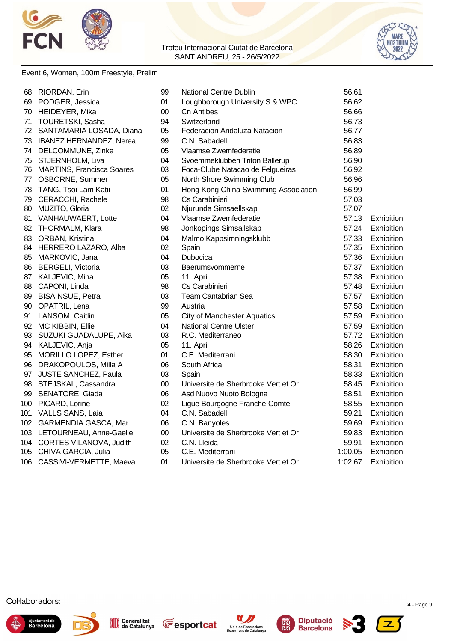



### Event 6, Women, 100m Freestyle, Prelim

| 68  | RIORDAN, Erin                  | 99     | National Centre Dublin               | 56.61   |                   |
|-----|--------------------------------|--------|--------------------------------------|---------|-------------------|
| 69  | PODGER, Jessica                | 01     | Loughborough University S & WPC      | 56.62   |                   |
|     | 70 HEIDEYER, Mika              | 00     | <b>Cn Antibes</b>                    | 56.66   |                   |
| 71  | TOURETSKI, Sasha               | 94     | Switzerland                          | 56.73   |                   |
|     | 72 SANTAMARIA LOSADA, Diana    | 05     | Federacion Andaluza Natacion         | 56.77   |                   |
| 73  | <b>IBANEZ HERNANDEZ, Nerea</b> | 99     | C.N. Sabadell                        | 56.83   |                   |
| 74  | DELCOMMUNE, Zinke              | 05     | Vlaamse Zwemfederatie                | 56.89   |                   |
| 75  | STJERNHOLM, Liva               | 04     | Svoemmeklubben Triton Ballerup       | 56.90   |                   |
|     | 76 MARTINS, Francisca Soares   | 03     | Foca-Clube Natacao de Felgueiras     | 56.92   |                   |
|     | 77 OSBORNE, Summer             | 05     | North Shore Swimming Club            | 56.96   |                   |
| 78  | TANG, Tsoi Lam Katii           | 01     | Hong Kong China Swimming Association | 56.99   |                   |
| 79  | CERACCHI, Rachele              | 98     | Cs Carabinieri                       | 57.03   |                   |
|     | 80 MUZITO, Gloria              | 02     | Njurunda Simsaellskap                | 57.07   |                   |
| 81  | VANHAUWAERT, Lotte             | 04     | Vlaamse Zwemfederatie                | 57.13   | Exhibition        |
|     | 82 THORMALM, Klara             | 98     | Jonkopings Simsallskap               | 57.24   | Exhibition        |
|     | 83 ORBAN, Kristina             | 04     | Malmo Kappsimningsklubb              | 57.33   | Exhibition        |
|     | 84 HERRERO LAZARO, Alba        | 02     | Spain                                | 57.35   | Exhibition        |
| 85  | MARKOVIC, Jana                 | 04     | Dubocica                             | 57.36   | Exhibition        |
|     | 86 BERGELI, Victoria           | 03     | Baerumsvommerne                      | 57.37   | <b>Exhibition</b> |
|     | 87 KALJEVIC, Mina              | 05     | 11. April                            | 57.38   | Exhibition        |
| 88  | CAPONI, Linda                  | 98     | Cs Carabinieri                       | 57.48   | Exhibition        |
| 89  | <b>BISA NSUE, Petra</b>        | 03     | Team Cantabrian Sea                  | 57.57   | Exhibition        |
| 90  | OPATRIL, Lena                  | 99     | Austria                              | 57.58   | Exhibition        |
| 91  | LANSOM, Caitlin                | 05     | <b>City of Manchester Aquatics</b>   | 57.59   | Exhibition        |
|     | 92 MC KIBBIN, Ellie            | 04     | <b>National Centre Ulster</b>        | 57.59   | Exhibition        |
|     | 93 SUZUKI GUADALUPE, Aika      | 03     | R.C. Mediterraneo                    | 57.72   | Exhibition        |
|     | 94 KALJEVIC, Anja              | 05     | 11. April                            | 58.26   | Exhibition        |
|     | 95 MORILLO LOPEZ, Esther       | 01     | C.E. Mediterrani                     | 58.30   | Exhibition        |
|     | 96 DRAKOPOULOS, Milla A        | 06     | South Africa                         | 58.31   | Exhibition        |
|     | 97 JUSTE SANCHEZ, Paula        | 03     | Spain                                | 58.33   | Exhibition        |
| 98  | STEJSKAL, Cassandra            | 00     | Universite de Sherbrooke Vert et Or  | 58.45   | Exhibition        |
| 99  | SENATORE, Giada                | 06     | Asd Nuovo Nuoto Bologna              | 58.51   | Exhibition        |
| 100 | PICARD, Lorine                 | 02     | Ligue Bourgogne Franche-Comte        | 58.55   | Exhibition        |
|     | 101 VALLS SANS, Laia           | 04     | C.N. Sabadell                        | 59.21   | Exhibition        |
|     | 102 GARMENDIA GASCA, Mar       | 06     | C.N. Banyoles                        | 59.69   | Exhibition        |
|     | 103 LETOURNEAU, Anne-Gaelle    | $00\,$ | Universite de Sherbrooke Vert et Or  | 59.83   | Exhibition        |
|     | 104 CORTES VILANOVA, Judith    | 02     | C.N. Lleida                          | 59.91   | Exhibition        |
|     | 105 CHIVA GARCIA, Julia        | 05     | C.E. Mediterrani                     | 1:00.05 | Exhibition        |
|     | 106 CASSIVI-VERMETTE, Maeva    | 01     | Universite de Sherbrooke Vert et Or  | 1:02.67 | Exhibition        |













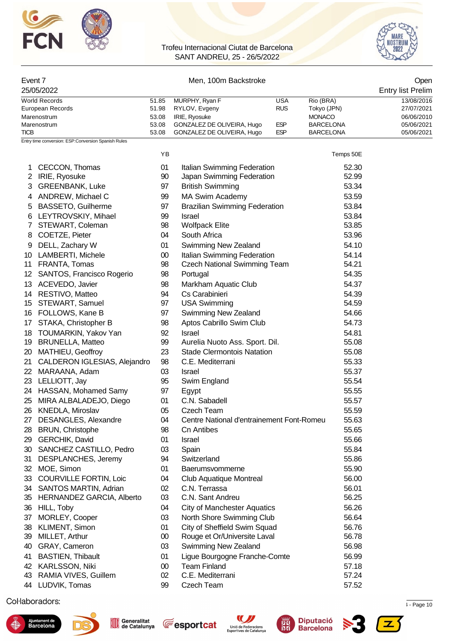



| Event 7     |                                                     |                | Men, 100m Backstroke                                      |                                   | Open                     |
|-------------|-----------------------------------------------------|----------------|-----------------------------------------------------------|-----------------------------------|--------------------------|
|             | 25/05/2022                                          |                |                                                           |                                   | <b>Entry list Prelim</b> |
|             | <b>World Records</b>                                | 51.85          | MURPHY, Ryan F<br><b>USA</b>                              | Rio (BRA)                         | 13/08/2016               |
|             | European Records                                    | 51.98          | <b>RUS</b><br>RYLOV, Evgeny                               | Tokyo (JPN)                       | 27/07/2021               |
|             | Marenostrum                                         | 53.08<br>53.08 | IRIE, Ryosuke<br>GONZALEZ DE OLIVEIRA, Hugo<br><b>ESP</b> | <b>MONACO</b><br><b>BARCELONA</b> | 06/06/2010<br>05/06/2021 |
| <b>TICB</b> | Marenostrum                                         | 53.08          | <b>ESP</b><br>GONZALEZ DE OLIVEIRA, Hugo                  | <b>BARCELONA</b>                  | 05/06/2021               |
|             | Entry time conversion: ESP:Conversion Spanish Rules |                |                                                           |                                   |                          |
|             |                                                     | YB             |                                                           | Temps 50E                         |                          |
| 1           | CECCON, Thomas                                      | 01             | Italian Swimming Federation                               | 52.30                             |                          |
|             | 2 IRIE, Ryosuke                                     | 90             | Japan Swimming Federation                                 | 52.99                             |                          |
| 3           | <b>GREENBANK, Luke</b>                              | 97             | <b>British Swimming</b>                                   | 53.34                             |                          |
| 4           | ANDREW, Michael C                                   | 99             | MA Swim Academy                                           | 53.59                             |                          |
| 5           | <b>BASSETO, Guilherme</b>                           | 97             | <b>Brazilian Swimming Federation</b>                      | 53.84                             |                          |
| 6           | LEYTROVSKIY, Mihael                                 | 99             | <b>Israel</b>                                             | 53.84                             |                          |
| 7           | STEWART, Coleman                                    | 98             | <b>Wolfpack Elite</b>                                     | 53.85                             |                          |
| 8           | COETZE, Pieter                                      | 04             | South Africa                                              | 53.96                             |                          |
| 9           | DELL, Zachary W                                     | 01             | Swimming New Zealand                                      | 54.10                             |                          |
| 10          | <b>LAMBERTI, Michele</b>                            | $00\,$         | Italian Swimming Federation                               | 54.14                             |                          |
|             | 11 FRANTA, Tomas                                    | 98             | <b>Czech National Swimming Team</b>                       | 54.21                             |                          |
| 12          | SANTOS, Francisco Rogerio                           | 98             | Portugal                                                  | 54.35                             |                          |
| 13          | ACEVEDO, Javier                                     | 98             | Markham Aquatic Club                                      | 54.37                             |                          |
| 14          | RESTIVO, Matteo                                     | 94             | Cs Carabinieri                                            | 54.39                             |                          |
| 15          | STEWART, Samuel                                     | 97             | <b>USA Swimming</b>                                       | 54.59                             |                          |
| 16          | FOLLOWS, Kane B                                     | 97             | Swimming New Zealand                                      | 54.66                             |                          |
| 17          | STAKA, Christopher B                                | 98             | Aptos Cabrillo Swim Club                                  | 54.73                             |                          |
| 18          | TOUMARKIN, Yakov Yan                                | 92             | Israel                                                    | 54.81                             |                          |
| 19          | <b>BRUNELLA, Matteo</b>                             | 99             | Aurelia Nuoto Ass. Sport. Dil.                            | 55.08                             |                          |
| 20          | MATHIEU, Geoffroy                                   | 23             | <b>Stade Clermontois Natation</b>                         | 55.08                             |                          |
| 21          | CALDERON IGLESIAS, Alejandro                        | 98             | C.E. Mediterrani                                          | 55.33                             |                          |
| 22          | MARAANA, Adam                                       | 03             | Israel                                                    | 55.37                             |                          |
| 23          | LELLIOTT, Jay                                       | 95             | Swim England                                              | 55.54                             |                          |
|             | 24 HASSAN, Mohamed Samy                             | 97             | Egypt                                                     | 55.55                             |                          |
| 25          | MIRA ALBALADEJO, Diego                              | 01             | C.N. Sabadell                                             | 55.57                             |                          |
| 26          | KNEDLA, Miroslav                                    | 05             | <b>Czech Team</b>                                         | 55.59                             |                          |
| 27          | DESANGLES, Alexandre                                | 04             | Centre National d'entrainement Font-Romeu                 | 55.63                             |                          |
| 28          | <b>BRUN, Christophe</b>                             | 98             | <b>Cn Antibes</b>                                         | 55.65                             |                          |
| 29          | <b>GERCHIK, David</b>                               | 01             | Israel                                                    | 55.66                             |                          |
| 30          | SANCHEZ CASTILLO, Pedro                             | 03             | Spain                                                     | 55.84                             |                          |
| 31          | DESPLANCHES, Jeremy                                 | 94             | Switzerland                                               | 55.86                             |                          |
| 32          | MOE, Simon                                          | 01             | Baerumsvommerne                                           | 55.90                             |                          |
| 33          | <b>COURVILLE FORTIN, Loic</b>                       | 04             | <b>Club Aquatique Montreal</b>                            | 56.00                             |                          |
| 34          | <b>SANTOS MARTIN, Adrian</b>                        | 02             | C.N. Terrassa                                             | 56.01                             |                          |
| 35          | HERNANDEZ GARCIA, Alberto                           | 03             | C.N. Sant Andreu                                          | 56.25                             |                          |
| 36          | HILL, Toby                                          | 04             | <b>City of Manchester Aquatics</b>                        | 56.26                             |                          |
| 37          | MORLEY, Cooper                                      | 03             | North Shore Swimming Club                                 | 56.64                             |                          |
| 38          | KLIMENT, Simon                                      | 01             | City of Sheffield Swim Squad                              | 56.76                             |                          |
| 39          | MILLET, Arthur                                      | $00\,$         | Rouge et Or/Universite Laval                              | 56.78                             |                          |
| 40          | GRAY, Cameron                                       | 03             | Swimming New Zealand                                      | 56.98                             |                          |

Ajuntament de<br>Barcelona





 BASTIEN, Thibault 01 Ligue Bourgogne Franche-Comte 56.99 KARLSSON, Niki 00 Team Finland 57.18 RAMIA VIVES, Guillem 02 C.E. Mediterrani 57.24 LUDVIK, Tomas 99 Czech Team 57.52





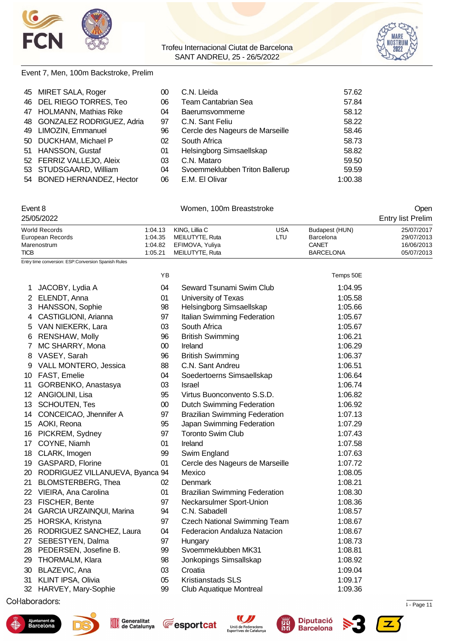



#### Event 7, Men, 100m Backstroke, Prelim

| 45 MIRET SALA, Roger         | 00 | C.N. Lleida                     | 57.62   |
|------------------------------|----|---------------------------------|---------|
| 46 DEL RIEGO TORRES, Teo     | 06 | <b>Team Cantabrian Sea</b>      | 57.84   |
| 47 HOLMANN, Mathias Rike     | 04 | Baerumsvommerne                 | 58.12   |
| 48 GONZALEZ RODRIGUEZ, Adria | 97 | C.N. Sant Feliu                 | 58.22   |
| 49 LIMOZIN, Emmanuel         | 96 | Cercle des Nageurs de Marseille | 58.46   |
| 50 DUCKHAM, Michael P        | 02 | South Africa                    | 58.73   |
| 51 HANSSON, Gustaf           | 01 | Helsingborg Simsaellskap        | 58.82   |
| 52 FERRIZ VALLEJO, Aleix     | 03 | C.N. Mataro                     | 59.50   |
| 53 STUDSGAARD, William       | 04 | Svoemmeklubben Triton Ballerup  | 59.59   |
| 54 BONED HERNANDEZ, Hector   | 06 | E.M. El Olivar                  | 1:00.38 |

### Event 8 Communication of the UV Women, 100m Breaststroke Communication of the UV Open

| 25/05/2022       |         |                         |      |                  | <b>Entry list Prelim</b> |
|------------------|---------|-------------------------|------|------------------|--------------------------|
| World Records    |         | 1:04.13 KING, Lillia C  | USA  | Budapest (HUN)   | 25/07/2017               |
| European Records | 1:04.35 | MEILUTYTE, Ruta         | LTU. | Barcelona        | 29/07/2013               |
| Marenostrum      |         | 1:04.82 EFIMOVA, Yuliya |      | CANET            | 16/06/2013               |
| TICB             | 1:05.21 | MEILUTYTE, Ruta         |      | <b>BARCELONA</b> | 05/07/2013               |

Entry time conversion: ESP:Conversion Spanish Rules

|                 |                                 | ΥB     |                                      | Temps 50E |
|-----------------|---------------------------------|--------|--------------------------------------|-----------|
| 1               | JACOBY, Lydia A                 | 04     | Seward Tsunami Swim Club             | 1:04.95   |
| $\overline{2}$  | ELENDT, Anna                    | 01     | University of Texas                  | 1:05.58   |
|                 | 3 HANSSON, Sophie               | 98     | Helsingborg Simsaellskap             | 1:05.66   |
| 4               | CASTIGLIONI, Arianna            | 97     | Italian Swimming Federation          | 1:05.67   |
| 5               | VAN NIEKERK, Lara               | 03     | South Africa                         | 1:05.67   |
| 6               | <b>RENSHAW, Molly</b>           | 96     | <b>British Swimming</b>              | 1:06.21   |
| $7^{\circ}$     | MC SHARRY, Mona                 | $00\,$ | Ireland                              | 1:06.29   |
|                 | 8 VASEY, Sarah                  | 96     | <b>British Swimming</b>              | 1:06.37   |
| 9               | VALL MONTERO, Jessica           | 88     | C.N. Sant Andreu                     | 1:06.51   |
| 10              | FAST, Emelie                    | 04     | Soedertoerns Simsaellskap            | 1:06.64   |
| 11              | GORBENKO, Anastasya             | 03     | <b>Israel</b>                        | 1:06.74   |
| 12 <sup>°</sup> | ANGIOLINI, Lisa                 | 95     | Virtus Buonconvento S.S.D.           | 1:06.82   |
| 13              | <b>SCHOUTEN, Tes</b>            | $00\,$ | <b>Dutch Swimming Federation</b>     | 1:06.92   |
|                 | 14 CONCEICAO, Jhennifer A       | 97     | <b>Brazilian Swimming Federation</b> | 1:07.13   |
| 15              | AOKI, Reona                     | 95     | Japan Swimming Federation            | 1:07.29   |
| 16              | PICKREM, Sydney                 | 97     | <b>Toronto Swim Club</b>             | 1:07.43   |
| 17              | COYNE, Niamh                    | 01     | Ireland                              | 1:07.58   |
| 18              | CLARK, Imogen                   | 99     | Swim England                         | 1:07.63   |
| 19              | GASPARD, Florine                | 01     | Cercle des Nageurs de Marseille      | 1:07.72   |
| 20              | RODRIGUEZ VILLANUEVA, Byanca 94 |        | Mexico                               | 1:08.05   |
| 21              | <b>BLOMSTERBERG, Thea</b>       | 02     | <b>Denmark</b>                       | 1:08.21   |
| 22              | VIEIRA, Ana Carolina            | 01     | <b>Brazilian Swimming Federation</b> | 1:08.30   |
| 23              | FISCHER, Bente                  | 97     | Neckarsulmer Sport-Union             | 1:08.36   |
| 24              | <b>GARCIA URZAINQUI, Marina</b> | 94     | C.N. Sabadell                        | 1:08.57   |
| 25              | HORSKA, Kristyna                | 97     | <b>Czech National Swimming Team</b>  | 1:08.67   |
| 26              | RODRIGUEZ SANCHEZ, Laura        | 04     | Federacion Andaluza Natacion         | 1:08.67   |
| 27              | SEBESTYEN, Dalma                | 97     | Hungary                              | 1:08.73   |
| 28              | PEDERSEN, Josefine B.           | 99     | Svoemmeklubben MK31                  | 1:08.81   |
| 29              | THORMALM, Klara                 | 98     | Jonkopings Simsallskap               | 1:08.92   |
| 30              | BLAZEVIC, Ana                   | 03     | Croatia                              | 1:09.04   |
| 31              | <b>KLINT IPSA, Olivia</b>       | 05     | <b>Kristianstads SLS</b>             | 1:09.17   |
| 32              | HARVEY, Mary-Sophie             | 99     | <b>Club Aquatique Montreal</b>       | 1:09.36   |
|                 |                                 |        |                                      |           |

 $\Omega$ Splash Meet Manager, 11.72967  $\mu$  . Page 11.72967  $\mu$  . Page 11.72967  $\mu$  . Page 11











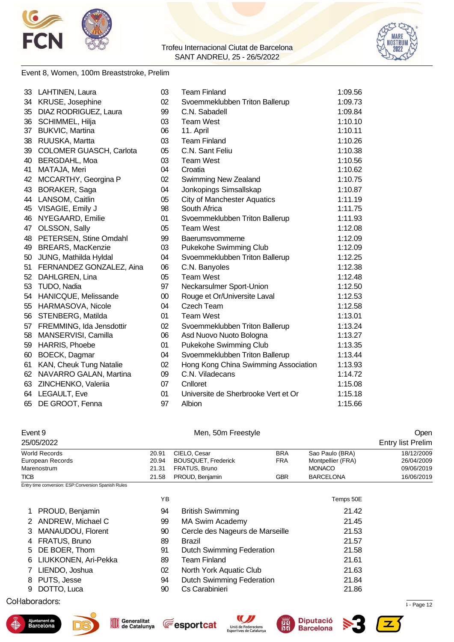



#### Event 8, Women, 100m Breaststroke, Prelim

|    | 33 LAHTINEN, Laura        | 03     | <b>Team Finland</b>                  | 1:09.56 |
|----|---------------------------|--------|--------------------------------------|---------|
|    | 34 KRUSE, Josephine       | 02     | Svoemmeklubben Triton Ballerup       | 1:09.73 |
| 35 | DIAZ RODRIGUEZ, Laura     | 99     | C.N. Sabadell                        | 1:09.84 |
| 36 | SCHIMMEL, Hilja           | 03     | <b>Team West</b>                     | 1:10.10 |
| 37 | <b>BUKVIC, Martina</b>    | 06     | 11. April                            | 1:10.11 |
| 38 | RUUSKA, Martta            | 03     | <b>Team Finland</b>                  | 1:10.26 |
| 39 | COLOMER GUASCH, Carlota   | 05     | C.N. Sant Feliu                      | 1:10.38 |
| 40 | BERGDAHL, Moa             | 03     | <b>Team West</b>                     | 1:10.56 |
| 41 | MATAJA, Meri              | 04     | Croatia                              | 1:10.62 |
| 42 | MCCARTHY, Georgina P      | 02     | Swimming New Zealand                 | 1:10.75 |
| 43 | BORAKER, Saga             | 04     | Jonkopings Simsallskap               | 1:10.87 |
| 44 | LANSOM, Caitlin           | 05     | <b>City of Manchester Aquatics</b>   | 1:11.19 |
| 45 | VISAGIE, Emily J          | 98     | South Africa                         | 1:11.75 |
| 46 | NYEGAARD, Emilie          | 01     | Svoemmeklubben Triton Ballerup       | 1:11.93 |
|    | 47 OLSSON, Sally          | 05     | <b>Team West</b>                     | 1:12.08 |
| 48 | PETERSEN, Stine Omdahl    | 99     | Baerumsvommerne                      | 1:12.09 |
| 49 | <b>BREARS, MacKenzie</b>  | 03     | Pukekohe Swimming Club               | 1:12.09 |
| 50 | JUNG, Mathilda Hyldal     | 04     | Svoemmeklubben Triton Ballerup       | 1:12.25 |
| 51 | FERNANDEZ GONZALEZ, Aina  | 06     | C.N. Banyoles                        | 1:12.38 |
| 52 | DAHLGREN, Lina            | 05     | <b>Team West</b>                     | 1:12.48 |
| 53 | TUDO, Nadia               | 97     | Neckarsulmer Sport-Union             | 1:12.50 |
|    | 54 HANICQUE, Melissande   | $00\,$ | Rouge et Or/Universite Laval         | 1:12.53 |
| 55 | HARMASOVA, Nicole         | 04     | Czech Team                           | 1:12.58 |
| 56 | STENBERG, Matilda         | 01     | <b>Team West</b>                     | 1:13.01 |
| 57 | FREMMING, Ida Jensdottir  | 02     | Svoemmeklubben Triton Ballerup       | 1:13.24 |
| 58 | MANSERVISI, Camilla       | 06     | Asd Nuovo Nuoto Bologna              | 1:13.27 |
| 59 | HARRIS, Phoebe            | 01     | <b>Pukekohe Swimming Club</b>        | 1:13.35 |
| 60 | BOECK, Dagmar             | 04     | Svoemmeklubben Triton Ballerup       | 1:13.44 |
| 61 | KAN, Cheuk Tung Natalie   | 02     | Hong Kong China Swimming Association | 1:13.93 |
|    | 62 NAVARRO GALAN, Martina | 09     | C.N. Viladecans                      | 1:14.72 |
| 63 | ZINCHENKO, Valeriia       | 07     | Cnlloret                             | 1:15.08 |
|    | 64 LEGAULT, Eve           | 01     | Universite de Sherbrooke Vert et Or  | 1:15.18 |
| 65 | DE GROOT, Fenna           | 97     | Albion                               | 1:15.66 |

# Event 9 Communication of the Men, 50m Freestyle Communication of the Open 25/05/2022 Entry list Prelim

| World Records    | 20.91 | CIELO, Cesar        | <b>BRA</b> | Sao Paulo (BRA)   | 18/12/2009 |
|------------------|-------|---------------------|------------|-------------------|------------|
| European Records | 20.94 | BOUSQUET, Frederick | FRA        | Montpellier (FRA) | 26/04/2009 |
| Marenostrum      | 21.31 | FRATUS, Bruno       |            | <b>MONACO</b>     | 09/06/2019 |
| <b>TICB</b>      | 21.58 | PROUD, Benjamin     | GBR        | <b>BARCELONA</b>  | 16/06/2019 |

Entry time conversion: ESP:Conversion Spanish Rules

|                        | YΒ |                                  | Temps 50E |
|------------------------|----|----------------------------------|-----------|
| 1 PROUD, Benjamin      | 94 | <b>British Swimming</b>          | 21.42     |
| 2 ANDREW, Michael C    | 99 | MA Swim Academy                  | 21.45     |
| 3 MANAUDOU, Florent    | 90 | Cercle des Nageurs de Marseille  | 21.53     |
| 4 FRATUS, Bruno        | 89 | Brazil                           | 21.57     |
| 5 DE BOER, Thom        | 91 | <b>Dutch Swimming Federation</b> | 21.58     |
| 6 LIUKKONEN, Ari-Pekka | 89 | <b>Team Finland</b>              | 21.61     |
| 7 LIENDO, Joshua       | 02 | North York Aquatic Club          | 21.63     |
| 8 PUTS, Jesse          | 94 | <b>Dutch Swimming Federation</b> | 21.84     |
| 9 DOTTO, Luca          | 90 | Cs Carabinieri                   | 21.86     |

 $\mu$  . Page 12.72967 Registered to  $\mu$  . Page 12  $\mu$  - Page 12  $\mu$  - Page 12











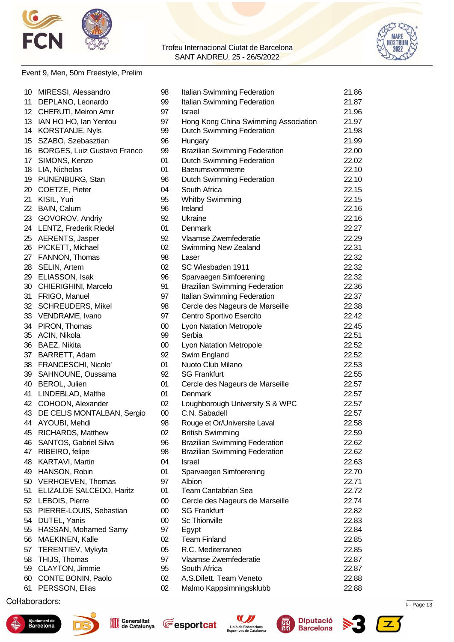



### Event 9, Men, 50m Freestyle, Prelim

|    | 10 MIRESSI, Alessandro        | 98     | Italian Swimming Federation          | 21.86 |
|----|-------------------------------|--------|--------------------------------------|-------|
|    | 11 DEPLANO, Leonardo          | 99     | Italian Swimming Federation          | 21.87 |
|    | 12 CHERUTI, Meiron Amir       | 97     | <b>Israel</b>                        | 21.96 |
|    | 13 IAN HO HO, Ian Yentou      | 97     | Hong Kong China Swimming Association | 21.97 |
|    | 14 KORSTANJE, Nyls            | 99     | <b>Dutch Swimming Federation</b>     | 21.98 |
| 15 | SZABO, Szebasztian            | 96     | Hungary                              | 21.99 |
| 16 | BORGES, Luiz Gustavo Franco   | 99     | <b>Brazilian Swimming Federation</b> | 22.00 |
| 17 | SIMONS, Kenzo                 | 01     | <b>Dutch Swimming Federation</b>     | 22.02 |
|    | 18 LIA, Nicholas              | 01     | Baerumsvommerne                      | 22.10 |
|    | 19 PIJNENBURG, Stan           | 96     | Dutch Swimming Federation            | 22.10 |
|    | 20 COETZE, Pieter             | 04     | South Africa                         | 22.15 |
| 21 | KISIL, Yuri                   | 95     | <b>Whitby Swimming</b>               | 22.15 |
| 22 | BAIN, Calum                   | 96     | Ireland                              | 22.16 |
| 23 | GOVOROV, Andriy               | 92     | Ukraine                              | 22.16 |
|    | 24 LENTZ, Frederik Riedel     | 01     | Denmark                              | 22.27 |
|    |                               | 92     | Vlaamse Zwemfederatie                | 22.29 |
|    | 25 AERENTS, Jasper            | 02     |                                      | 22.31 |
|    | 26 PICKETT, Michael           |        | Swimming New Zealand                 |       |
| 27 | FANNON, Thomas                | 98     | Laser                                | 22.32 |
| 28 | SELIN, Artem                  | 02     | SC Wiesbaden 1911                    | 22.32 |
|    | 29 ELIASSON, Isak             | 96     | Sparvaegen Simfoerening              | 22.32 |
|    | 30 CHIERIGHINI, Marcelo       | 91     | <b>Brazilian Swimming Federation</b> | 22.36 |
| 31 | FRIGO, Manuel                 | 97     | Italian Swimming Federation          | 22.37 |
| 32 | <b>SCHREUDERS, Mikel</b>      | 98     | Cercle des Nageurs de Marseille      | 22.38 |
| 33 | VENDRAME, Ivano               | 97     | Centro Sportivo Esercito             | 22.42 |
|    | 34 PIRON, Thomas              | 00     | <b>Lyon Natation Metropole</b>       | 22.45 |
|    | 35 ACIN, Nikola               | 99     | Serbia                               | 22.51 |
|    | 36 BAEZ, Nikita               | $00\,$ | Lyon Natation Metropole              | 22.52 |
| 37 | BARRETT, Adam                 | 92     | Swim England                         | 22.52 |
| 38 | FRANCESCHI, Nicolo'           | 01     | Nuoto Club Milano                    | 22.53 |
| 39 | SAHNOUNE, Oussama             | 92     | <b>SG Frankfurt</b>                  | 22.55 |
| 40 | BEROL, Julien                 | 01     | Cercle des Nageurs de Marseille      | 22.57 |
| 41 | LINDEBLAD, Malthe             | 01     | <b>Denmark</b>                       | 22.57 |
|    | 42 COHOON, Alexander          | 02     | Loughborough University S & WPC      | 22.57 |
|    | 43 DE CELIS MONTALBAN, Sergio | $00\,$ | C.N. Sabadell                        | 22.57 |
|    | 44 AYOUBI, Mehdi              | 98     | Rouge et Or/Universite Laval         | 22.58 |
| 45 | <b>RICHARDS, Matthew</b>      | 02     | <b>British Swimming</b>              | 22.59 |
| 46 | SANTOS, Gabriel Silva         | 96     | <b>Brazilian Swimming Federation</b> | 22.62 |
| 47 | RIBEIRO, felipe               | 98     | <b>Brazilian Swimming Federation</b> | 22.62 |
| 48 | KARTAVI, Martin               | 04     | <b>Israel</b>                        | 22.63 |
| 49 | HANSON, Robin                 | 01     | Sparvaegen Simfoerening              | 22.70 |
|    | 50 VERHOEVEN, Thomas          | 97     | Albion                               | 22.71 |
| 51 | ELIZALDE SALCEDO, Haritz      | 01     | <b>Team Cantabrian Sea</b>           | 22.72 |
|    | 52 LEBOIS, Pierre             | $00\,$ | Cercle des Nageurs de Marseille      | 22.74 |
|    | 53 PIERRE-LOUIS, Sebastian    | $00\,$ | <b>SG Frankfurt</b>                  | 22.82 |
| 54 | DUTEL, Yanis                  | 00     | <b>Sc Thionville</b>                 | 22.83 |
| 55 | HASSAN, Mohamed Samy          | 97     | Egypt                                | 22.84 |
| 56 | MAEKINEN, Kalle               | 02     | <b>Team Finland</b>                  | 22.85 |
| 57 | TERENTIEV, Mykyta             | 05     | R.C. Mediterraneo                    | 22.85 |
| 58 | THIJS, Thomas                 | 97     | Vlaamse Zwemfederatie                | 22.87 |
|    | 59 CLAYTON, Jimmie            | 95     | South Africa                         | 22.87 |
|    | CONTE BONIN, Paolo            | 02     | A.S.Dilett. Team Veneto              |       |
| 60 |                               |        |                                      | 22.88 |
| 61 | PERSSON, Elias                | 02     | Malmo Kappsimningsklubb              | 22.88 |
|    |                               |        |                                      |       |

 $\mu$  . Page 13.72967  $\mu$  . Page 13.72967  $\mu$  . Page 13.72967  $\mu$  . Page 13.84  $\mu$  . Page 13.84  $\mu$  . Page 13.84  $\mu$  . Page 13.84  $\mu$  . Page 13.84  $\mu$  . Page 13.84  $\mu$  . Page 13.84  $\mu$  . Page 13.84  $\mu$  . Page 13











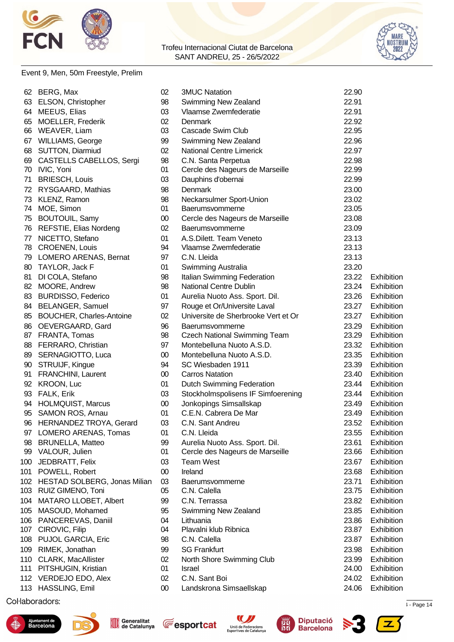



### Event 9, Men, 50m Freestyle, Prelim

| 62  | BERG, Max                        | 02     | <b>3MUC Natation</b>                | 22.90 |            |
|-----|----------------------------------|--------|-------------------------------------|-------|------------|
|     | 63 ELSON, Christopher            | 98     | Swimming New Zealand                | 22.91 |            |
| 64  | MEEUS, Elias                     | 03     | Vlaamse Zwemfederatie               | 22.91 |            |
| 65  | <b>MOELLER, Frederik</b>         | 02     | <b>Denmark</b>                      | 22.92 |            |
| 66  | WEAVER, Liam                     | 03     | Cascade Swim Club                   | 22.95 |            |
|     | 67 WILLIAMS, George              | 99     | Swimming New Zealand                | 22.96 |            |
| 68  | <b>SUTTON, Diarmiud</b>          | 02     | <b>National Centre Limerick</b>     | 22.97 |            |
| 69  | <b>CASTELLS CABELLOS, Sergi</b>  | 98     | C.N. Santa Perpetua                 | 22.98 |            |
|     | 70 IVIC, Yoni                    | 01     | Cercle des Nageurs de Marseille     | 22.99 |            |
| 71  | <b>BRIESCH, Louis</b>            | 03     | Dauphins d'obernai                  | 22.99 |            |
| 72  | RYSGAARD, Mathias                | 98     | <b>Denmark</b>                      | 23.00 |            |
| 73  | KLENZ, Ramon                     | 98     | Neckarsulmer Sport-Union            | 23.02 |            |
| 74  | MOE, Simon                       | 01     | Baerumsvommerne                     | 23.05 |            |
| 75  | <b>BOUTOUIL, Samy</b>            | 00     | Cercle des Nageurs de Marseille     | 23.08 |            |
| 76  | REFSTIE, Elias Nordeng           | 02     | Baerumsvommerne                     | 23.09 |            |
|     | 77 NICETTO, Stefano              | 01     | A.S. Dilett. Team Veneto            | 23.13 |            |
|     | 78 CROENEN, Louis                | 94     | Vlaamse Zwemfederatie               | 23.13 |            |
|     | 79 LOMERO ARENAS, Bernat         | 97     | C.N. Lleida                         | 23.13 |            |
| 80  | TAYLOR, Jack F                   | 01     | Swimming Australia                  | 23.20 |            |
| 81  | DI COLA, Stefano                 | 98     | Italian Swimming Federation         | 23.22 | Exhibition |
| 82  | MOORE, Andrew                    | 98     | National Centre Dublin              | 23.24 | Exhibition |
| 83  | BURDISSO, Federico               | 01     | Aurelia Nuoto Ass. Sport. Dil.      | 23.26 | Exhibition |
| 84  | <b>BELANGER, Samuel</b>          | 97     | Rouge et Or/Universite Laval        | 23.27 | Exhibition |
| 85  | <b>BOUCHER, Charles-Antoine</b>  | 02     | Universite de Sherbrooke Vert et Or | 23.27 | Exhibition |
|     | 86 OEVERGAARD, Gard              | 96     | Baerumsvommerne                     | 23.29 | Exhibition |
|     | 87 FRANTA, Tomas                 | 98     | <b>Czech National Swimming Team</b> | 23.29 | Exhibition |
| 88  | FERRARO, Christian               | 97     | Montebelluna Nuoto A.S.D.           | 23.32 | Exhibition |
| 89  | SERNAGIOTTO, Luca                | $00\,$ | Montebelluna Nuoto A.S.D.           | 23.35 | Exhibition |
| 90  | STRUIJF, Kingue                  | 94     | SC Wiesbaden 1911                   | 23.39 | Exhibition |
| 91  | FRANCHINI, Laurent               | $00\,$ | <b>Carros Natation</b>              | 23.40 | Exhibition |
| 92  | KROON, Luc                       | 01     | Dutch Swimming Federation           | 23.44 | Exhibition |
|     | 93 FALK, Erik                    | 03     | Stockholmspolisens IF Simfoerening  | 23.44 | Exhibition |
|     | 94 HOLMQUIST, Marcus             | $00\,$ | Jonkopings Simsallskap              | 23.49 | Exhibition |
|     | 95 SAMON ROS, Arnau              | 01     | C.E.N. Cabrera De Mar               | 23.49 | Exhibition |
| 96  | <b>HERNANDEZ TROYA, Gerard</b>   | 03     | C.N. Sant Andreu                    | 23.52 | Exhibition |
| 97  | LOMERO ARENAS, Tomas             | 01     | C.N. Lleida                         | 23.55 | Exhibition |
| 98  | <b>BRUNELLA, Matteo</b>          | 99     | Aurelia Nuoto Ass. Sport. Dil.      | 23.61 | Exhibition |
| 99  | VALOUR, Julien                   | 01     | Cercle des Nageurs de Marseille     | 23.66 | Exhibition |
| 100 | JEDBRATT, Felix                  | 03     | <b>Team West</b>                    | 23.67 | Exhibition |
|     | 101 POWELL, Robert               | $00\,$ | Ireland                             | 23.68 | Exhibition |
|     | 102 HESTAD SOLBERG, Jonas Milian | 03     | Baerumsvommerne                     | 23.71 | Exhibition |
|     | 103 RUIZ GIMENO, Toni            | 05     | C.N. Calella                        | 23.75 | Exhibition |
|     | 104 MATARO LLOBET, Albert        | 99     | C.N. Terrassa                       | 23.82 | Exhibition |
| 105 | MASOUD, Mohamed                  | 95     | Swimming New Zealand                | 23.85 | Exhibition |
|     | 106 PANCEREVAS, Daniil           | 04     | Lithuania                           | 23.86 | Exhibition |
| 107 | CIROVIC, Filip                   | 04     | Plavalni klub Ribnica               | 23.87 | Exhibition |
|     | 108 PUJOL GARCIA, Eric           | 98     | C.N. Calella                        | 23.87 | Exhibition |
|     | 109 RIMEK, Jonathan              | 99     | <b>SG Frankfurt</b>                 | 23.98 | Exhibition |
|     | 110 CLARK, MacAllister           | 02     | North Shore Swimming Club           | 23.99 | Exhibition |
|     | 111 PITSHUGIN, Kristian          | 01     | Israel                              | 24.00 | Exhibition |
|     | 112 VERDEJO EDO, Alex            | 02     | C.N. Sant Boi                       | 24.02 | Exhibition |
|     | 113 HASSLING, Emil               | $00\,$ | Landskrona Simsaellskap             | 24.06 | Exhibition |
|     |                                  |        |                                     |       |            |

 $\sim$  11.72967 Page 14.72967 Registered to  $\sim$  11.72967 Registered to  $\sim$  12.735  $\sim$  Page 14.8  $\sim$  Page 14.8  $\sim$  Page 14.8  $\sim$  Page 14.8  $\sim$  Page 14.8  $\sim$  Page 14.8  $\sim$  Page 14.8  $\sim$  Page 14.8  $\sim$  Page 14.8  $\sim$ 











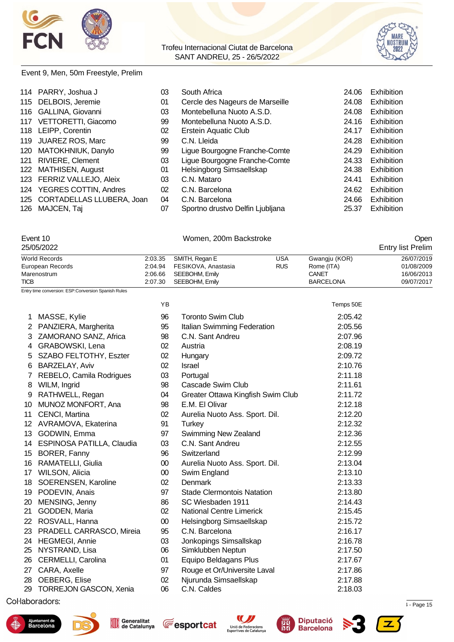



#### Event 9, Men, 50m Freestyle, Prelim

| 114 PARRY, Joshua J           | 03 | South Africa                     | 24.06 | Exhibition        |
|-------------------------------|----|----------------------------------|-------|-------------------|
| 115 DELBOIS, Jeremie          | 01 | Cercle des Nageurs de Marseille  | 24.08 | Exhibition        |
| 116 GALLINA, Giovanni         | 03 | Montebelluna Nuoto A.S.D.        | 24.08 | <b>Exhibition</b> |
| 117 VETTORETTI, Giacomo       | 99 | Montebelluna Nuoto A.S.D.        | 24.16 | Exhibition        |
| 118 LEIPP, Corentin           | 02 | Erstein Aquatic Club             | 24.17 | Exhibition        |
| 119 JUAREZ ROS, Marc          | 99 | C.N. Lleida                      | 24.28 | Exhibition        |
| 120 MATOKHNIUK, Danylo        | 99 | Ligue Bourgogne Franche-Comte    | 24.29 | Exhibition        |
| 121 RIVIERE, Clement          | 03 | Ligue Bourgogne Franche-Comte    | 24.33 | Exhibition        |
| 122 MATHISEN, August          | 01 | Helsingborg Simsaellskap         | 24.38 | Exhibition        |
| 123 FERRIZ VALLEJO, Aleix     | 03 | C.N. Mataro                      | 24.41 | Exhibition        |
| 124 YEGRES COTTIN, Andres     | 02 | C.N. Barcelona                   | 24.62 | Exhibition        |
| 125 CORTADELLAS LLUBERA, Joan | 04 | C.N. Barcelona                   | 24.66 | Exhibition        |
| 126 MAJCEN, Taj               | 07 | Sportno drustvo Delfin Ljubljana | 25.37 | <b>Exhibition</b> |
|                               |    |                                  |       |                   |

|                | Event 10<br>25/05/2022                              |                    | Open                                  |                          |                             |                          |
|----------------|-----------------------------------------------------|--------------------|---------------------------------------|--------------------------|-----------------------------|--------------------------|
|                |                                                     |                    |                                       |                          |                             | <b>Entry list Prelim</b> |
|                | <b>World Records</b><br>European Records            | 2:03.35<br>2:04.94 | SMITH, Regan E<br>FESIKOVA, Anastasia | <b>USA</b><br><b>RUS</b> | Gwangju (KOR)<br>Rome (ITA) | 26/07/2019<br>01/08/2009 |
|                | Marenostrum                                         | 2:06.66            | SEEBOHM, Emily                        |                          | CANET                       | 16/06/2013               |
| <b>TICB</b>    |                                                     | 2:07.30            | SEEBOHM, Emily                        |                          | <b>BARCELONA</b>            | 09/07/2017               |
|                | Entry time conversion: ESP:Conversion Spanish Rules |                    |                                       |                          |                             |                          |
|                |                                                     | YB                 |                                       |                          | Temps 50E                   |                          |
| 1              | MASSE, Kylie                                        | 96                 | <b>Toronto Swim Club</b>              |                          | 2:05.42                     |                          |
| 2              | PANZIERA, Margherita                                | 95                 | Italian Swimming Federation           |                          | 2:05.56                     |                          |
| 3              | ZAMORANO SANZ, Africa                               | 98                 | C.N. Sant Andreu                      |                          | 2:07.96                     |                          |
| 4              | <b>GRABOWSKI, Lena</b>                              | 02                 | Austria                               |                          | 2:08.19                     |                          |
| 5              | SZABO FELTOTHY, Eszter                              | 02                 | Hungary                               |                          | 2:09.72                     |                          |
| 6              | <b>BARZELAY, Aviv</b>                               | 02                 | Israel                                |                          | 2:10.76                     |                          |
| $\overline{7}$ | REBELO, Camila Rodrigues                            | 03                 | Portugal                              |                          | 2:11.18                     |                          |
| 8              | WILM, Ingrid                                        | 98                 | Cascade Swim Club                     |                          | 2:11.61                     |                          |
| 9              | RATHWELL, Regan                                     | 04                 | Greater Ottawa Kingfish Swim Club     |                          | 2:11.72                     |                          |
| 10             | <b>MUNOZ MONFORT, Ana</b>                           | 98                 | E.M. El Olivar                        |                          | 2:12.18                     |                          |
| 11             | CENCI, Martina                                      | 02                 | Aurelia Nuoto Ass. Sport. Dil.        |                          | 2:12.20                     |                          |
|                | 12 AVRAMOVA, Ekaterina                              | 91                 | <b>Turkey</b>                         |                          | 2:12.32                     |                          |
|                | 13 GODWIN, Emma                                     | 97                 | Swimming New Zealand                  |                          | 2:12.36                     |                          |
|                | 14 ESPINOSA PATILLA, Claudia                        | 03                 | C.N. Sant Andreu                      |                          | 2:12.55                     |                          |
|                | 15 BORER, Fanny                                     | 96                 | Switzerland                           |                          | 2:12.99                     |                          |
|                | 16 RAMATELLI, Giulia                                | $00\,$             | Aurelia Nuoto Ass. Sport. Dil.        |                          | 2:13.04                     |                          |
|                | 17 WILSON, Alicia                                   | $00\,$             | Swim England                          |                          | 2:13.10                     |                          |
|                | 18 SOERENSEN, Karoline                              | 02                 | Denmark                               |                          | 2:13.33                     |                          |
|                | 19 PODEVIN, Anais                                   | 97                 | <b>Stade Clermontois Natation</b>     |                          | 2:13.80                     |                          |
|                | 20 MENSING, Jenny                                   | 86                 | SC Wiesbaden 1911                     |                          | 2:14.43                     |                          |
|                | 21 GODDEN, Maria                                    | 02                 | <b>National Centre Limerick</b>       |                          | 2:15.45                     |                          |
|                | 22 ROSVALL, Hanna                                   | $00\,$             | Helsingborg Simsaellskap              |                          | 2:15.72                     |                          |
|                | 23 PRADELL CARRASCO, Mireia                         | 95                 | C.N. Barcelona                        |                          | 2:16.17                     |                          |
|                | 24 HEGMEGI, Annie                                   | 03                 | Jonkopings Simsallskap                |                          | 2:16.78                     |                          |
|                | 25 NYSTRAND, Lisa                                   | 06                 | Simklubben Neptun                     |                          | 2:17.50                     |                          |
|                | 26 CERMELLI, Carolina                               | 01                 | Equipo Beldagans Plus                 |                          | 2:17.67                     |                          |
|                | 27 CARA, Axelle                                     | 97                 | Rouge et Or/Universite Laval          |                          | 2:17.86                     |                          |
|                | 28 OEBERG, Elise                                    | 02                 | Njurunda Simsaellskap                 |                          | 2:17.88                     |                          |
|                | 29 TORREJON GASCON, Xenia                           | 06                 | C.N. Caldes                           |                          | 2:18.03                     |                          |
|                | The Control of the company of the company           |                    |                                       |                          |                             |                          |

 $\mu$  . Page 15.  $\mu$  . Page 15.  $\mu$  . The cataluna is the Cataluna 12/05/2022 12:34  $\mu$  . Page 15











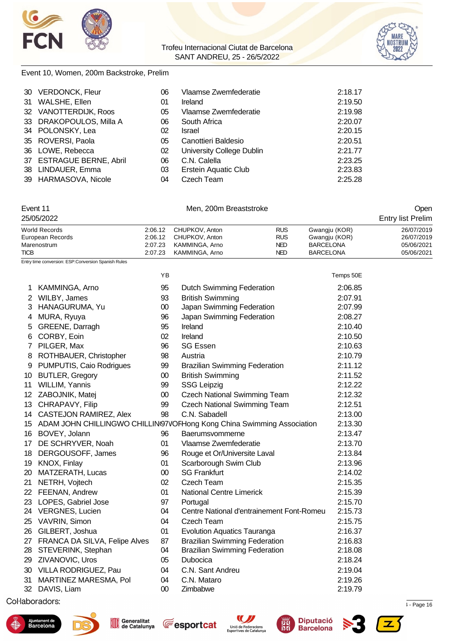



#### Event 10, Women, 200m Backstroke, Prelim

|    | 30 VERDONCK, Fleur       | 06 | Vlaamse Zwemfederatie     | 2:18.17 |
|----|--------------------------|----|---------------------------|---------|
| 31 | WALSHE, Ellen            | 01 | Ireland                   | 2:19.50 |
|    | 32 VANOTTERDIJK, Roos    | 05 | Vlaamse Zwemfederatie     | 2:19.98 |
|    | 33 DRAKOPOULOS, Milla A  | 06 | South Africa              | 2:20.07 |
|    | 34 POLONSKY, Lea         | 02 | Israel                    | 2:20.15 |
|    | 35 ROVERSI, Paola        | 05 | Canottieri Baldesio       | 2:20.51 |
|    | 36 LOWE, Rebecca         | 02 | University College Dublin | 2:21.77 |
|    | 37 ESTRAGUE BERNE, Abril | 06 | C.N. Calella              | 2:23.25 |
|    | 38 LINDAUER, Emma        | 03 | Erstein Aquatic Club      | 2:23.83 |
|    | 39 HARMASOVA, Nicole     | 04 | Czech Team                | 2:25.28 |

#### Event 11 Communication of Men, 200m Breaststroke Communication of Communication of Communication of Communication of Communication of Communication of Communication of Communication of Communication of Communication of Com

| 25/05/2022       | <b>Entry list Prelim</b> |                        |            |                  |            |
|------------------|--------------------------|------------------------|------------|------------------|------------|
| World Records    |                          | 2:06.12 CHUPKOV. Anton | <b>RUS</b> | Gwangju (KOR)    | 26/07/2019 |
| European Records |                          | 2:06.12 CHUPKOV, Anton | <b>RUS</b> | Gwangiu (KOR)    | 26/07/2019 |
| Marenostrum      | 2:07.23                  | KAMMINGA, Arno         | NED.       | <b>BARCELONA</b> | 05/06/2021 |
| <b>TICB</b>      | 2:07.23                  | KAMMINGA, Arno         | NED        | <b>BARCELONA</b> | 05/06/2021 |

Entry time conversion: ESP:Conversion Spanish Rules

|     |                               | ΥB     |                                                                           | Temps 50E |
|-----|-------------------------------|--------|---------------------------------------------------------------------------|-----------|
| 1.  | KAMMINGA, Arno                | 95     | <b>Dutch Swimming Federation</b>                                          | 2:06.85   |
| 2   | WILBY, James                  | 93     | <b>British Swimming</b>                                                   | 2:07.91   |
| 3.  | HANAGURUMA, Yu                | 00     | Japan Swimming Federation                                                 | 2:07.99   |
| 4   | MURA, Ryuya                   | 96     | Japan Swimming Federation                                                 | 2:08.27   |
| 5   | GREENE, Darragh               | 95     | Ireland                                                                   | 2:10.40   |
| 6   | CORBY, Eoin                   | 02     | Ireland                                                                   | 2:10.50   |
|     | 7 PILGER, Max                 | 96     | <b>SG Essen</b>                                                           | 2:10.63   |
| 8   | ROTHBAUER, Christopher        | 98     | Austria                                                                   | 2:10.79   |
| 9   | PUMPUTIS, Caio Rodrigues      | 99     | <b>Brazilian Swimming Federation</b>                                      | 2:11.12   |
| 10  | <b>BUTLER, Gregory</b>        | 00     | <b>British Swimming</b>                                                   | 2:11.52   |
| 11  | WILLIM, Yannis                | 99     | <b>SSG Leipzig</b>                                                        | 2:12.22   |
| 12. | ZABOJNIK, Matej               | 00     | <b>Czech National Swimming Team</b>                                       | 2:12.32   |
| 13  | CHRAPAVY, Filip               | 99     | <b>Czech National Swimming Team</b>                                       | 2:12.51   |
|     | 14 CASTEJON RAMIREZ, Alex     | 98     | C.N. Sabadell                                                             | 2:13.00   |
|     |                               |        | 15 ADAM JOHN CHILLINGWO CHILLINI97VOFHong Kong China Swimming Association | 2:13.30   |
| 16  | BOVEY, Jolann                 | 96     | Baerumsvommerne                                                           | 2:13.47   |
| 17  | DE SCHRYVER, Noah             | 01     | Vlaamse Zwemfederatie                                                     | 2:13.70   |
| 18  | DERGOUSOFF, James             | 96     | Rouge et Or/Universite Laval                                              | 2:13.84   |
| 19  | KNOX, Finlay                  | 01     | Scarborough Swim Club                                                     | 2:13.96   |
| 20  | MATZERATH, Lucas              | $00\,$ | <b>SG Frankfurt</b>                                                       | 2:14.02   |
| 21  | NETRH, Vojtech                | 02     | Czech Team                                                                | 2:15.35   |
|     | 22 FEENAN, Andrew             | 01     | <b>National Centre Limerick</b>                                           | 2:15.39   |
|     | 23 LOPES, Gabriel Jose        | 97     | Portugal                                                                  | 2:15.70   |
|     | 24 VERGNES, Lucien            | 04     | Centre National d'entrainement Font-Romeu                                 | 2:15.73   |
| 25  | VAVRIN, Simon                 | 04     | Czech Team                                                                | 2:15.75   |
| 26  | GILBERT, Joshua               | 01     | <b>Evolution Aquatics Tauranga</b>                                        | 2:16.37   |
| 27  | FRANCA DA SILVA, Felipe Alves | 87     | <b>Brazilian Swimming Federation</b>                                      | 2:16.83   |
|     | 28 STEVERINK, Stephan         | 04     | <b>Brazilian Swimming Federation</b>                                      | 2:18.08   |
|     | 29 ZIVANOVIC, Uros            | 05     | <b>Dubocica</b>                                                           | 2:18.24   |
|     | 30 VILLA RODRIGUEZ, Pau       | 04     | C.N. Sant Andreu                                                          | 2:19.04   |
| 31  | MARTINEZ MARESMA, Pol         | 04     | C.N. Mataro                                                               | 2:19.26   |
|     | 32 DAVIS, Liam                | 00     | Zimbabwe                                                                  | 2:19.79   |











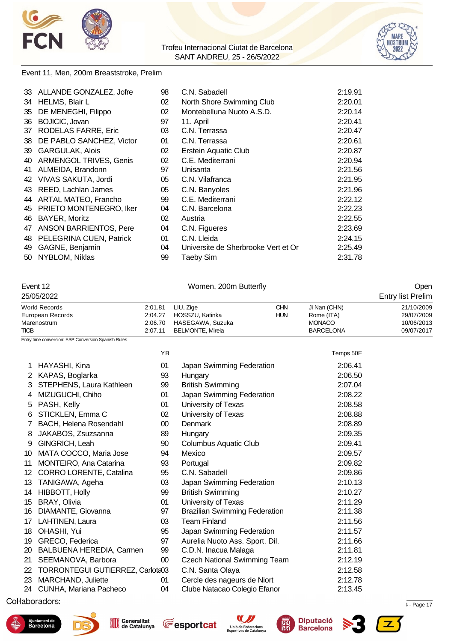



#### Event 11, Men, 200m Breaststroke, Prelim

|    | 33 ALLANDE GONZALEZ, Jofre  | 98 | C.N. Sabadell                       | 2:19.91 |
|----|-----------------------------|----|-------------------------------------|---------|
|    | 34 HELMS, Blair L           | 02 | North Shore Swimming Club           | 2:20.01 |
|    | 35 DE MENEGHI, Filippo      | 02 | Montebelluna Nuoto A.S.D.           | 2:20.14 |
|    | 36 BOJICIC, Jovan           | 97 | 11. April                           | 2:20.41 |
| 37 | RODELAS FARRE, Eric         | 03 | C.N. Terrassa                       | 2:20.47 |
|    | 38 DE PABLO SANCHEZ, Victor | 01 | C.N. Terrassa                       | 2:20.61 |
|    | 39 GARGULAK, Alois          | 02 | <b>Erstein Aquatic Club</b>         | 2:20.87 |
|    | 40 ARMENGOL TRIVES, Genis   | 02 | C.E. Mediterrani                    | 2:20.94 |
|    | 41 ALMEIDA, Brandonn        | 97 | Unisanta                            | 2:21.56 |
|    | 42 VIVAS SAKUTA, Jordi      | 05 | C.N. Vilafranca                     | 2:21.95 |
|    | 43 REED, Lachlan James      | 05 | C.N. Banyoles                       | 2:21.96 |
|    | 44 ARTAL MATEO, Francho     | 99 | C.E. Mediterrani                    | 2:22.12 |
|    | 45 PRIETO MONTENEGRO, Iker  | 04 | C.N. Barcelona                      | 2:22.23 |
|    | 46 BAYER, Moritz            | 02 | Austria                             | 2:22.55 |
|    | 47 ANSON BARRIENTOS, Pere   | 04 | C.N. Figueres                       | 2:23.69 |
|    | 48 PELEGRINA CUEN, Patrick  | 01 | C.N. Lleida                         | 2:24.15 |
|    | 49 GAGNE, Benjamin          | 04 | Universite de Sherbrooke Vert et Or | 2:25.49 |
|    | 50 NYBLOM, Niklas           | 99 | <b>Taeby Sim</b>                    | 2:31.78 |

#### Event 12 Communication of the U.S. Communication of the U.S. Communication of the U.S. Communication of the U.S. Communication of the U.S. Communication of the U.S. Communication of the U.S. Communication of the U.S. Commu

|                                                                        | 25/05/2022                                          |                                                                                                                                                     |                                      |                                                                 | <b>Entry list Prelim</b>                             |
|------------------------------------------------------------------------|-----------------------------------------------------|-----------------------------------------------------------------------------------------------------------------------------------------------------|--------------------------------------|-----------------------------------------------------------------|------------------------------------------------------|
| <b>World Records</b><br>European Records<br>Marenostrum<br><b>TICB</b> |                                                     | 2:01.81<br>LIU, Zige<br><b>CHN</b><br>HOSSZU, Katinka<br>2:04.27<br><b>HUN</b><br>2:06.70<br>HASEGAWA, Suzuka<br>2:07.11<br><b>BELMONTE, Mireia</b> |                                      | Ji Nan (CHN)<br>Rome (ITA)<br><b>MONACO</b><br><b>BARCELONA</b> | 21/10/2009<br>29/07/2009<br>10/06/2013<br>09/07/2017 |
|                                                                        | Entry time conversion: ESP:Conversion Spanish Rules |                                                                                                                                                     |                                      |                                                                 |                                                      |
|                                                                        |                                                     | YB                                                                                                                                                  |                                      | Temps 50E                                                       |                                                      |
| 1                                                                      | HAYASHI, Kina                                       | 01                                                                                                                                                  | Japan Swimming Federation            | 2:06.41                                                         |                                                      |
| 2                                                                      | KAPAS, Boglarka                                     | 93                                                                                                                                                  | Hungary                              | 2:06.50                                                         |                                                      |
| 3                                                                      | STEPHENS, Laura Kathleen                            | 99                                                                                                                                                  | <b>British Swimming</b>              | 2:07.04                                                         |                                                      |
|                                                                        | MIZUGUCHI, Chiho                                    | 01                                                                                                                                                  | Japan Swimming Federation            | 2:08.22                                                         |                                                      |
| 5                                                                      | PASH, Kelly                                         | 01                                                                                                                                                  | University of Texas                  | 2:08.58                                                         |                                                      |
| 6                                                                      | STICKLEN, Emma C                                    | 02                                                                                                                                                  | University of Texas                  | 2:08.88                                                         |                                                      |
|                                                                        | <b>BACH, Helena Rosendahl</b>                       | 00                                                                                                                                                  | Denmark                              | 2:08.89                                                         |                                                      |
| 8                                                                      | JAKABOS, Zsuzsanna                                  | 89                                                                                                                                                  | Hungary                              | 2:09.35                                                         |                                                      |
| 9                                                                      | GINGRICH, Leah                                      | 90                                                                                                                                                  | <b>Columbus Aquatic Club</b>         | 2:09.41                                                         |                                                      |
| 10                                                                     | MATA COCCO, Maria Jose                              | 94                                                                                                                                                  | Mexico                               | 2:09.57                                                         |                                                      |
| 11                                                                     | <b>MONTEIRO, Ana Catarina</b>                       | 93                                                                                                                                                  | Portugal                             | 2:09.82                                                         |                                                      |
| $12 \overline{ }$                                                      | <b>CORRO LORENTE, Catalina</b>                      | 95                                                                                                                                                  | C.N. Sabadell                        | 2:09.86                                                         |                                                      |
| 13                                                                     | TANIGAWA, Ageha                                     | 03                                                                                                                                                  | Japan Swimming Federation            | 2:10.13                                                         |                                                      |
| 14                                                                     | HIBBOTT, Holly                                      | 99                                                                                                                                                  | <b>British Swimming</b>              | 2:10.27                                                         |                                                      |
| 15                                                                     | <b>BRAY, Olivia</b>                                 | 01                                                                                                                                                  | University of Texas                  | 2:11.29                                                         |                                                      |
| 16                                                                     | DIAMANTE, Giovanna                                  | 97                                                                                                                                                  | <b>Brazilian Swimming Federation</b> | 2:11.38                                                         |                                                      |
| 17                                                                     | LAHTINEN, Laura                                     | 03                                                                                                                                                  | <b>Team Finland</b>                  | 2:11.56                                                         |                                                      |
| 18                                                                     | OHASHI, Yui                                         | 95                                                                                                                                                  | Japan Swimming Federation            | 2:11.57                                                         |                                                      |
| 19                                                                     | GRECO, Federica                                     | 97                                                                                                                                                  | Aurelia Nuoto Ass. Sport. Dil.       | 2:11.66                                                         |                                                      |
| 20                                                                     | BALBUENA HEREDIA, Carmen                            | 99                                                                                                                                                  | C.D.N. Inacua Malaga                 | 2:11.81                                                         |                                                      |
| 21                                                                     | SEEMANOVA, Barbora                                  | 00                                                                                                                                                  | <b>Czech National Swimming Team</b>  | 2:12.19                                                         |                                                      |

- 22 TORRONTEGUI GUTIERREZ, Carlota03 C.N. Santa Olaya 2:12.58 MARCHAND, Juliette 01 Cercle des nageurs de Niort 2:12.78
- 24 CUNHA, Mariana Pacheco 04 Clube Natacao Colegio Efanor 2:13.45

 $\mu$  . Page 17.72967  $\mu$  . Page 17.82967  $\mu$  . Page 17.82967  $\mu$  . Page 17.84  $\mu$  . Page 17.84  $\mu$ 











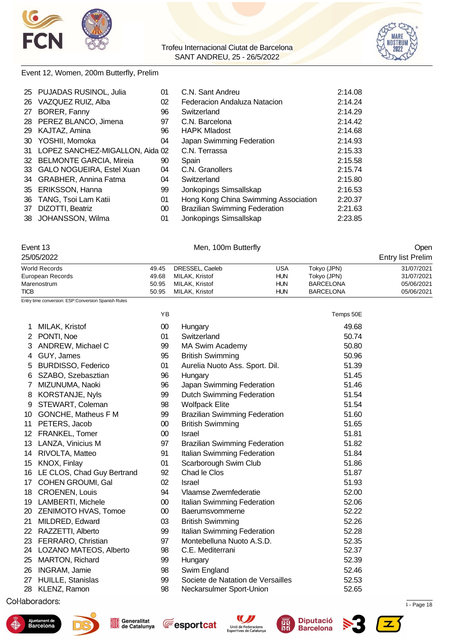



#### Event 12, Women, 200m Butterfly, Prelim

| 25 PUJADAS RUSINOL, Julia          | 01 | C.N. Sant Andreu                     | 2:14.08 |
|------------------------------------|----|--------------------------------------|---------|
| 26 VAZQUEZ RUIZ, Alba              | 02 | Federacion Andaluza Natacion         | 2:14.24 |
| 27 BORER, Fanny                    | 96 | Switzerland                          | 2:14.29 |
| 28 PEREZ BLANCO, Jimena            | 97 | C.N. Barcelona                       | 2:14.42 |
| 29 KAJTAZ, Amina                   | 96 | <b>HAPK Mladost</b>                  | 2:14.68 |
| 30 YOSHII, Momoka                  | 04 | Japan Swimming Federation            | 2:14.93 |
| 31 LOPEZ SANCHEZ-MIGALLON, Aida 02 |    | C.N. Terrassa                        | 2:15.33 |
| 32 BELMONTE GARCIA, Mireia         | 90 | Spain                                | 2:15.58 |
| 33 GALO NOGUEIRA, Estel Xuan       | 04 | C.N. Granollers                      | 2:15.74 |
| 34 GRABHER, Annina Fatma           | 04 | Switzerland                          | 2:15.80 |
| 35 ERIKSSON, Hanna                 | 99 | Jonkopings Simsallskap               | 2:16.53 |
| 36 TANG, Tsoi Lam Katii            | 01 | Hong Kong China Swimming Association | 2:20.37 |
| 37 DIZOTTI, Beatriz                | 00 | <b>Brazilian Swimming Federation</b> | 2:21.63 |
| 38 JOHANSSON, Wilma                | 01 | Jonkopings Simsallskap               | 2:23.85 |
|                                    |    |                                      |         |

### Event 13 Communication of the Men, 100m Butterfly Communication of the Open

| 25/05/2022           |       |                 | <b>Entry list Prelim</b> |                  |            |
|----------------------|-------|-----------------|--------------------------|------------------|------------|
| <b>World Records</b> | 49.45 | DRESSEL, Caeleb | USA                      | Tokyo (JPN)      | 31/07/2021 |
| European Records     | 49.68 | MILAK, Kristof  | <b>HUN</b>               | Tokvo (JPN)      | 31/07/2021 |
| Marenostrum          | 50.95 | MILAK, Kristof  | HUN                      | <b>BARCELONA</b> | 05/06/2021 |
| <b>TICB</b>          | 50.95 | MILAK, Kristof  | HUN                      | <b>BARCELONA</b> | 05/06/2021 |

Entry time conversion: ESP:Conversion Spanish Rules

|                |                            | YB              |                                      | Temps 50E |
|----------------|----------------------------|-----------------|--------------------------------------|-----------|
| 1              | MILAK, Kristof             | $00\,$          | Hungary                              | 49.68     |
| $2^{\circ}$    | PONTI, Noe                 | 01              | Switzerland                          | 50.74     |
| 3              | ANDREW, Michael C          | 99              | MA Swim Academy                      | 50.80     |
| 4              | GUY, James                 | 95              | <b>British Swimming</b>              | 50.96     |
| 5              | <b>BURDISSO, Federico</b>  | 01              | Aurelia Nuoto Ass. Sport. Dil.       | 51.39     |
| 6              | SZABO, Szebasztian         | 96              | Hungary                              | 51.45     |
| $\overline{7}$ | MIZUNUMA, Naoki            | 96              | Japan Swimming Federation            | 51.46     |
| 8              | KORSTANJE, Nyls            | 99              | <b>Dutch Swimming Federation</b>     | 51.54     |
| 9              | STEWART, Coleman           | 98              | <b>Wolfpack Elite</b>                | 51.54     |
| 10             | GONCHE, Matheus F M        | 99              | <b>Brazilian Swimming Federation</b> | 51.60     |
| 11             | PETERS, Jacob              | $00\,$          | <b>British Swimming</b>              | 51.65     |
| 12             | FRANKEL, Tomer             | $00\,$          | Israel                               | 51.81     |
|                | 13 LANZA, Vinicius M       | 97              | <b>Brazilian Swimming Federation</b> | 51.82     |
| 14             | RIVOLTA, Matteo            | 91              | Italian Swimming Federation          | 51.84     |
| 15             | KNOX, Finlay               | 01              | Scarborough Swim Club                | 51.86     |
| 16             | LE CLOS, Chad Guy Bertrand | 92              | Chad le Clos                         | 51.87     |
| 17             | <b>COHEN GROUMI, Gal</b>   | 02              | <b>Israel</b>                        | 51.93     |
| 18             | <b>CROENEN, Louis</b>      | 94              | Vlaamse Zwemfederatie                | 52.00     |
|                | 19 LAMBERTI, Michele       | $00\,$          | Italian Swimming Federation          | 52.06     |
| 20 -           | ZENIMOTO HVAS, Tomoe       | 00 <sup>°</sup> | Baerumsvommerne                      | 52.22     |
| 21             | MILDRED, Edward            | 03              | <b>British Swimming</b>              | 52.26     |
| 22             | RAZZETTI, Alberto          | 99              | Italian Swimming Federation          | 52.28     |
| 23             | FERRARO, Christian         | 97              | Montebelluna Nuoto A.S.D.            | 52.35     |
| 24             | LOZANO MATEOS, Alberto     | 98              | C.E. Mediterrani                     | 52.37     |
| 25             | MARTON, Richard            | 99              | Hungary                              | 52.39     |
| 26             | <b>INGRAM, Jamie</b>       | 98              | Swim England                         | 52.46     |
| 27             | HUILLE, Stanislas          | 99              | Societe de Natation de Versailles    | 52.53     |
| 28             | KLENZ, Ramon               | 98              | Neckarsulmer Sport-Union             | 52.65     |
|                |                            |                 |                                      |           |











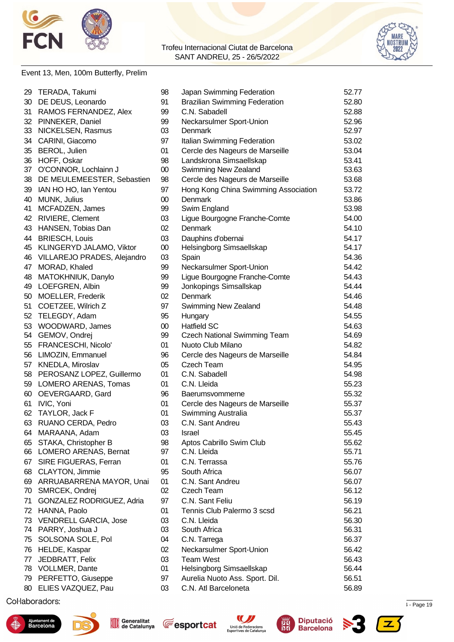



#### Event 13, Men, 100m Butterfly, Prelim

| 29 | TERADA, Takumi               | 98     | Japan Swimming Federation            | 52.77 |
|----|------------------------------|--------|--------------------------------------|-------|
| 30 | DE DEUS, Leonardo            | 91     | <b>Brazilian Swimming Federation</b> | 52.80 |
| 31 | RAMOS FERNANDEZ, Alex        | 99     | C.N. Sabadell                        | 52.88 |
| 32 | PINNEKER, Daniel             | 99     | Neckarsulmer Sport-Union             | 52.96 |
|    | 33 NICKELSEN, Rasmus         | 03     | Denmark                              | 52.97 |
| 34 | CARINI, Giacomo              | 97     | Italian Swimming Federation          | 53.02 |
| 35 | BEROL, Julien                | 01     | Cercle des Nageurs de Marseille      | 53.04 |
| 36 | HOFF, Oskar                  | 98     | Landskrona Simsaellskap              | 53.41 |
| 37 | O'CONNOR, Lochlainn J        | $00\,$ | Swimming New Zealand                 | 53.63 |
| 38 | DE MEULEMEESTER, Sebastien   | 98     | Cercle des Nageurs de Marseille      | 53.68 |
| 39 | IAN HO HO, Ian Yentou        | 97     | Hong Kong China Swimming Association | 53.72 |
| 40 | MUNK, Julius                 | $00\,$ | Denmark                              | 53.86 |
| 41 | MCFADZEN, James              | 99     | Swim England                         | 53.98 |
| 42 | RIVIERE, Clement             | 03     | Ligue Bourgogne Franche-Comte        | 54.00 |
| 43 | HANSEN, Tobias Dan           | 02     | <b>Denmark</b>                       | 54.10 |
| 44 | <b>BRIESCH, Louis</b>        | 03     | Dauphins d'obernai                   | 54.17 |
| 45 | KLINGERYD JALAMO, Viktor     | $00\,$ | Helsingborg Simsaellskap             | 54.17 |
| 46 | VILLAREJO PRADES, Alejandro  | 03     | Spain                                | 54.36 |
| 47 | MORAD, Khaled                | 99     | Neckarsulmer Sport-Union             | 54.42 |
| 48 | MATOKHNIUK, Danylo           | 99     | Ligue Bourgogne Franche-Comte        | 54.43 |
|    | 49 LOEFGREN, Albin           | 99     | Jonkopings Simsallskap               | 54.44 |
| 50 | MOELLER, Frederik            | 02     | Denmark                              | 54.46 |
| 51 | COETZEE, Wilrich Z           | 97     | Swimming New Zealand                 | 54.48 |
| 52 | TELEGDY, Adam                | 95     | Hungary                              | 54.55 |
| 53 | WOODWARD, James              | $00\,$ | <b>Hatfield SC</b>                   | 54.63 |
| 54 | GEMOV, Ondrej                | 99     | <b>Czech National Swimming Team</b>  | 54.69 |
|    | 55 FRANCESCHI, Nicolo'       | 01     | Nuoto Club Milano                    | 54.82 |
|    | 56 LIMOZIN, Emmanuel         | 96     | Cercle des Nageurs de Marseille      | 54.84 |
| 57 | KNEDLA, Miroslav             | 05     | Czech Team                           | 54.95 |
|    | 58 PEROSANZ LOPEZ, Guillermo | 01     | C.N. Sabadell                        | 54.98 |
|    | 59 LOMERO ARENAS, Tomas      | 01     | C.N. Lleida                          | 55.23 |
| 60 | OEVERGAARD, Gard             | 96     | Baerumsvommerne                      | 55.32 |
| 61 | IVIC, Yoni                   | 01     | Cercle des Nageurs de Marseille      | 55.37 |
| 62 | TAYLOR, Jack F               | 01     | Swimming Australia                   | 55.37 |
| 63 | RUANO CERDA, Pedro           | 03     | C.N. Sant Andreu                     | 55.43 |
| 64 | MARAANA, Adam                | 03     | Israel                               | 55.45 |
| 65 | STAKA, Christopher B         | 98     | Aptos Cabrillo Swim Club             | 55.62 |
|    | 66 LOMERO ARENAS, Bernat     | 97     | C.N. Lleida                          | 55.71 |
| 67 | SIRE FIGUERAS, Ferran        | 01     | C.N. Terrassa                        | 55.76 |
| 68 | <b>CLAYTON, Jimmie</b>       | 95     | South Africa                         | 56.07 |
| 69 | ARRUABARRENA MAYOR, Unai     | 01     | C.N. Sant Andreu                     | 56.07 |
| 70 | SMRCEK, Ondrej               | 02     | Czech Team                           | 56.12 |
| 71 | GONZALEZ RODRIGUEZ, Adria    | 97     | C.N. Sant Feliu                      | 56.19 |
| 72 | HANNA, Paolo                 | 01     | Tennis Club Palermo 3 scsd           | 56.21 |
| 73 | <b>VENDRELL GARCIA, Jose</b> | 03     | C.N. Lleida                          | 56.30 |
| 74 | PARRY, Joshua J              | 03     | South Africa                         | 56.31 |
| 75 | SOLSONA SOLE, Pol            | 04     | C.N. Tarrega                         | 56.37 |
| 76 | HELDE, Kaspar                | 02     | Neckarsulmer Sport-Union             | 56.42 |
| 77 | JEDBRATT, Felix              | 03     | <b>Team West</b>                     | 56.43 |
| 78 | <b>VOLLMER, Dante</b>        | 01     | Helsingborg Simsaellskap             | 56.44 |
|    | 79 PERFETTO, Giuseppe        | 97     | Aurelia Nuoto Ass. Sport. Dil.       | 56.51 |
| 80 | ELIES VAZQUEZ, Pau           | 03     | C.N. Atl Barceloneta                 | 56.89 |
|    |                              |        |                                      |       |

 $\mu$  . Page 19  $\mu$  . Page 19  $\mu$  . The cataluna is  $\mu$  - Page 19  $\mu$  - Page 12











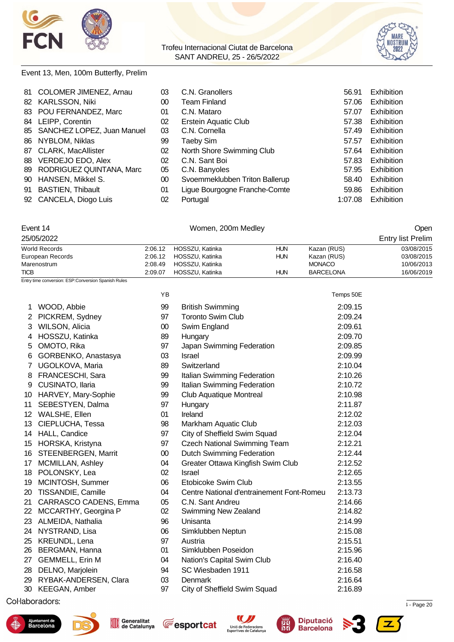



#### Event 13, Men, 100m Butterfly, Prelim

| 81 | <b>COLOMER JIMENEZ, Arnau</b> | 03 | C.N. Granollers                | 56.91   | Exhibition        |
|----|-------------------------------|----|--------------------------------|---------|-------------------|
| 82 | <b>KARLSSON, Niki</b>         | 00 | Team Finland                   | 57.06   | <b>Exhibition</b> |
|    | 83 POU FERNANDEZ, Marc        | 01 | C.N. Mataro                    | 57.07   | <b>Exhibition</b> |
| 84 | LEIPP, Corentin               | 02 | Erstein Aquatic Club           | 57.38   | Exhibition        |
|    | 85 SANCHEZ LOPEZ, Juan Manuel | 03 | C.N. Cornella                  | 57.49   | Exhibition        |
|    | 86 NYBLOM, Niklas             | 99 | Taeby Sim                      | 57.57   | <b>Exhibition</b> |
|    | 87 CLARK, MacAllister         | 02 | North Shore Swimming Club      | 57.64   | <b>Exhibition</b> |
| 88 | VERDEJO EDO, Alex             | 02 | C.N. Sant Boi                  | 57.83   | <b>Exhibition</b> |
|    | 89 RODRIGUEZ QUINTANA, Marc   | 05 | C.N. Banyoles                  | 57.95   | <b>Exhibition</b> |
|    | 90 HANSEN, Mikkel S.          | 00 | Svoemmeklubben Triton Ballerup | 58.40   | <b>Exhibition</b> |
| 91 | <b>BASTIEN, Thibault</b>      | 01 | Ligue Bourgogne Franche-Comte  | 59.86   | <b>Exhibition</b> |
|    | 92 CANCELA, Diogo Luis        | 02 | Portugal                       | 1:07.08 | Exhibition        |

| Event 14 | Women, 200m Medley | Open |
|----------|--------------------|------|
|          |                    |      |

25/05/2022 Entry list Prelim

| World Records    | 2:06.12 | HOSSZU, Katinka | HUN        | Kazan (RUS)      | 03/08/2015 |
|------------------|---------|-----------------|------------|------------------|------------|
| European Records | 2:06.12 | HOSSZU, Katinka | HUN        | Kazan (RUS)      | 03/08/2015 |
| Marenostrum      | 2:08.49 | HOSSZU. Katinka |            | <b>MONACO</b>    | 10/06/2013 |
| <b>TICB</b>      | 2:09.07 | HOSSZU, Katinka | <b>HUN</b> | <b>BARCELONA</b> | 16/06/2019 |

Entry time conversion: ESP:Conversion Spanish Rules

|                  |                        | YB     |                                           | Temps 50E |
|------------------|------------------------|--------|-------------------------------------------|-----------|
| 1                | WOOD, Abbie            | 99     | <b>British Swimming</b>                   | 2:09.15   |
| $\overline{2}$   | PICKREM, Sydney        | 97     | <b>Toronto Swim Club</b>                  | 2:09.24   |
| 3                | WILSON, Alicia         | $00\,$ | Swim England                              | 2:09.61   |
| 4                | HOSSZU, Katinka        | 89     | Hungary                                   | 2:09.70   |
| 5                | OMOTO, Rika            | 97     | Japan Swimming Federation                 | 2:09.85   |
| 6                | GORBENKO, Anastasya    | 03     | <b>Israel</b>                             | 2:09.99   |
| $\overline{7}$   | UGOLKOVA, Maria        | 89     | Switzerland                               | 2:10.04   |
| 8                | FRANCESCHI, Sara       | 99     | Italian Swimming Federation               | 2:10.26   |
| 9                | CUSINATO, Ilaria       | 99     | Italian Swimming Federation               | 2:10.72   |
| 10               | HARVEY, Mary-Sophie    | 99     | Club Aquatique Montreal                   | 2:10.98   |
| 11               | SEBESTYEN, Dalma       | 97     | Hungary                                   | 2:11.87   |
| 12               | WALSHE, Ellen          | 01     | Ireland                                   | 2:12.02   |
| 13               | CIEPLUCHA, Tessa       | 98     | Markham Aquatic Club                      | 2:12.03   |
|                  | 14 HALL, Candice       | 97     | City of Sheffield Swim Squad              | 2:12.04   |
| 15 <sup>15</sup> | HORSKA, Kristyna       | 97     | <b>Czech National Swimming Team</b>       | 2:12.21   |
| 16               | STEENBERGEN, Marrit    | $00\,$ | Dutch Swimming Federation                 | 2:12.44   |
| 17               | MCMILLAN, Ashley       | 04     | Greater Ottawa Kingfish Swim Club         | 2:12.52   |
| 18               | POLONSKY, Lea          | 02     | <b>Israel</b>                             | 2:12.65   |
| 19               | MCINTOSH, Summer       | 06     | Etobicoke Swim Club                       | 2:13.55   |
| 20               | TISSANDIE, Camille     | 04     | Centre National d'entrainement Font-Romeu | 2:13.73   |
| 21               | CARRASCO CADENS, Emma  | 05     | C.N. Sant Andreu                          | 2:14.66   |
| 22               | MCCARTHY, Georgina P   | 02     | <b>Swimming New Zealand</b>               | 2:14.82   |
| 23.              | ALMEIDA, Nathalia      | 96     | Unisanta                                  | 2:14.99   |
| 24               | NYSTRAND, Lisa         | 06     | Simklubben Neptun                         | 2:15.08   |
| 25               | <b>KREUNDL, Lena</b>   | 97     | Austria                                   | 2:15.51   |
| 26               | BERGMAN, Hanna         | 01     | Simklubben Poseidon                       | 2:15.96   |
| 27               | <b>GEMMELL, Erin M</b> | 04     | Nation's Capital Swim Club                | 2:16.40   |
| 28               | DELNO, Marjolein       | 94     | SC Wiesbaden 1911                         | 2:16.58   |
| 29               | RYBAK-ANDERSEN, Clara  | 03     | Denmark                                   | 2:16.64   |
|                  | 30 KEEGAN, Amber       | 97     | City of Sheffield Swim Squad              | 2:16.89   |
|                  |                        |        |                                           |           |

 $\frac{1}{2}$ . Page 20  $\frac{1}{2}$ . Page 20  $\frac{1}{2}$ : Page 20  $\frac{1}{2}$ :  $\frac{1}{2}$ :  $\frac{1}{2}$ :  $\frac{1}{2}$ :  $\frac{1}{2}$ :  $\frac{1}{2}$ :  $\frac{1}{2}$ :  $\frac{1}{2}$ :  $\frac{1}{2}$ :  $\frac{1}{2}$ :  $\frac{1}{2}$ :  $\frac{1}{2}$ :  $\frac{1}{2}$ :  $\frac{1}{2}$ :  $\frac{1}{2}$ :









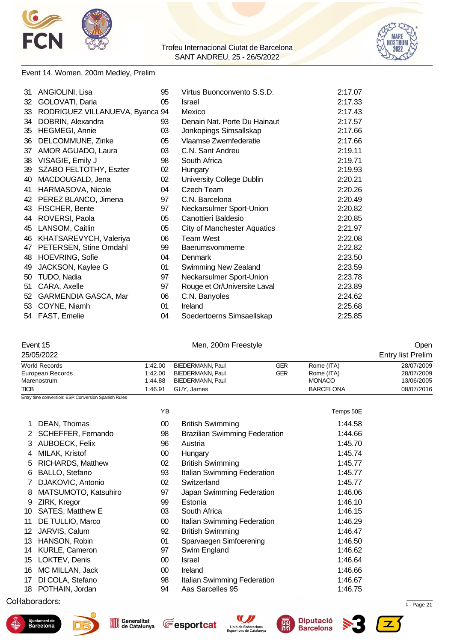



#### Event 14, Women, 200m Medley, Prelim

| 31 | ANGIOLINI, Lisa                 | 95 | Virtus Buonconvento S.S.D.         | 2:17.07 |
|----|---------------------------------|----|------------------------------------|---------|
| 32 | GOLOVATI, Daria                 | 05 | Israel                             | 2:17.33 |
| 33 | RODRIGUEZ VILLANUEVA, Byanca 94 |    | Mexico                             | 2:17.43 |
| 34 | DOBRIN, Alexandra               | 93 | Denain Nat. Porte Du Hainaut       | 2:17.57 |
| 35 | <b>HEGMEGI, Annie</b>           | 03 | Jonkopings Simsallskap             | 2:17.66 |
| 36 | DELCOMMUNE, Zinke               | 05 | Vlaamse Zwemfederatie              | 2:17.66 |
| 37 | AMOR AGUADO, Laura              | 03 | C.N. Sant Andreu                   | 2:19.11 |
| 38 | VISAGIE, Emily J                | 98 | South Africa                       | 2:19.71 |
| 39 | SZABO FELTOTHY, Eszter          | 02 | Hungary                            | 2:19.93 |
| 40 | MACDOUGALD, Jena                | 02 | University College Dublin          | 2:20.21 |
| 41 | HARMASOVA, Nicole               | 04 | Czech Team                         | 2:20.26 |
| 42 | PEREZ BLANCO, Jimena            | 97 | C.N. Barcelona                     | 2:20.49 |
| 43 | FISCHER, Bente                  | 97 | Neckarsulmer Sport-Union           | 2:20.82 |
| 44 | ROVERSI, Paola                  | 05 | Canottieri Baldesio                | 2:20.85 |
| 45 | LANSOM, Caitlin                 | 05 | <b>City of Manchester Aquatics</b> | 2:21.97 |
| 46 | KHATSAREVYCH, Valeriya          | 06 | <b>Team West</b>                   | 2:22.08 |
| 47 | PETERSEN, Stine Omdahl          | 99 | Baerumsvommerne                    | 2:22.82 |
| 48 | <b>HOEVRING, Sofie</b>          | 04 | <b>Denmark</b>                     | 2:23.50 |
| 49 | JACKSON, Kaylee G               | 01 | Swimming New Zealand               | 2:23.59 |
| 50 | TUDO, Nadia                     | 97 | Neckarsulmer Sport-Union           | 2:23.78 |
| 51 | CARA, Axelle                    | 97 | Rouge et Or/Universite Laval       | 2:23.89 |
| 52 | GARMENDIA GASCA, Mar            | 06 | C.N. Banyoles                      | 2:24.62 |
| 53 | COYNE, Niamh                    | 01 | Ireland                            | 2:25.68 |
|    | 54 FAST, Emelie                 | 04 | Soedertoerns Simsaellskap          | 2:25.85 |

Event 15 Men, 200m Freestyle Open

|                          |                                                     |                         | ____                                 |            |                  |                          |
|--------------------------|-----------------------------------------------------|-------------------------|--------------------------------------|------------|------------------|--------------------------|
|                          | 25/05/2022                                          |                         |                                      |            |                  | <b>Entry list Prelim</b> |
| World Records<br>1:42.00 |                                                     | <b>BIEDERMANN, Paul</b> | <b>GER</b>                           | Rome (ITA) | 28/07/2009       |                          |
|                          | European Records                                    | 1:42.00                 | <b>BIEDERMANN, Paul</b>              | <b>GER</b> | Rome (ITA)       | 28/07/2009               |
|                          | Marenostrum                                         | 1:44.88                 | <b>BIEDERMANN, Paul</b>              |            | <b>MONACO</b>    | 13/06/2005               |
| <b>TICB</b>              |                                                     | 1:46.91                 | GUY, James                           |            | <b>BARCELONA</b> | 08/07/2016               |
|                          | Entry time conversion: ESP:Conversion Spanish Rules |                         |                                      |            |                  |                          |
|                          |                                                     | YB                      |                                      |            | Temps 50E        |                          |
|                          | DEAN, Thomas                                        | 00                      | <b>British Swimming</b>              |            | 1:44.58          |                          |
| 2                        | SCHEFFER, Fernando                                  | 98                      | <b>Brazilian Swimming Federation</b> |            | 1:44.66          |                          |
| 3                        | AUBOECK, Felix                                      | 96                      | Austria                              |            | 1:45.70          |                          |
| 4                        | MILAK, Kristof                                      | 00                      | Hungary                              |            | 1:45.74          |                          |
| 5                        | RICHARDS, Matthew                                   | 02                      | <b>British Swimming</b>              |            | 1:45.77          |                          |
| 6                        | BALLO, Stefano                                      | 93                      | Italian Swimming Federation          |            | 1:45.77          |                          |
|                          | DJAKOVIC, Antonio                                   | 02                      | Switzerland                          |            | 1:45.77          |                          |
| 8                        | MATSUMOTO, Katsuhiro                                | 97                      | Japan Swimming Federation            |            | 1:46.06          |                          |
| 9                        | ZIRK, Kregor                                        | 99                      | Estonia                              |            | 1:46.10          |                          |
| 10                       | SATES, Matthew E                                    | 03                      | South Africa                         |            | 1:46.15          |                          |
| 11                       | DE TULLIO, Marco                                    | $00\,$                  | Italian Swimming Federation          |            | 1:46.29          |                          |
| 12                       | JARVIS, Calum                                       | 92                      | <b>British Swimming</b>              |            | 1:46.47          |                          |
| 13                       | HANSON, Robin                                       | 01                      | Sparvaegen Simfoerening              |            | 1:46.50          |                          |
| 14                       | KURLE, Cameron                                      | 97                      | Swim England                         |            | 1:46.62          |                          |
| 15                       | LOKTEV, Denis                                       | $00\,$                  | <b>Israel</b>                        |            | 1:46.64          |                          |
| 16                       | MC MILLAN, Jack                                     | $00\,$                  | Ireland                              |            | 1:46.66          |                          |
| 17                       | DI COLA, Stefano                                    | 98                      | Italian Swimming Federation          |            | 1:46.67          |                          |
| 18                       | POTHAIN, Jordan                                     | 94                      | Aas Sarcelles 95                     |            | 1:46.75          |                          |
|                          |                                                     |                         |                                      |            |                  |                          |

 $\mu$  . Page 21.72967 Registered to  $\mu$  . Page 21.73967 Registered to  $\mu$  . Page 21.85  $\mu$  - Page 21.











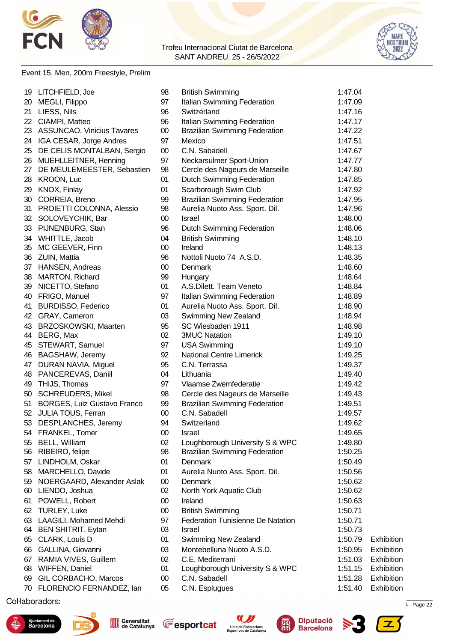



#### Event 15, Men, 200m Freestyle, Prelim

|    | 19 LITCHFIELD, Joe            | 98     | <b>British Swimming</b>                  | 1:47.04 |            |
|----|-------------------------------|--------|------------------------------------------|---------|------------|
| 20 | MEGLI, Filippo                | 97     | Italian Swimming Federation              | 1:47.09 |            |
| 21 | LIESS, Nils                   | 96     | Switzerland                              | 1:47.16 |            |
|    | 22 CIAMPI, Matteo             | 96     | Italian Swimming Federation              | 1:47.17 |            |
|    | 23 ASSUNCAO, Vinicius Tavares | $00\,$ | <b>Brazilian Swimming Federation</b>     | 1:47.22 |            |
| 24 | IGA CESAR, Jorge Andres       | 97     | Mexico                                   | 1:47.51 |            |
| 25 | DE CELIS MONTALBAN, Sergio    | $00\,$ | C.N. Sabadell                            | 1:47.67 |            |
| 26 | MUEHLLEITNER, Henning         | 97     | Neckarsulmer Sport-Union                 | 1:47.77 |            |
| 27 | DE MEULEMEESTER, Sebastien    | 98     | Cercle des Nageurs de Marseille          | 1:47.80 |            |
| 28 | <b>KROON, Luc</b>             | 01     | <b>Dutch Swimming Federation</b>         | 1:47.85 |            |
| 29 | KNOX, Finlay                  | 01     | Scarborough Swim Club                    | 1:47.92 |            |
| 30 | CORREIA, Breno                | 99     | <b>Brazilian Swimming Federation</b>     | 1:47.95 |            |
| 31 | PROIETTI COLONNA, Alessio     | 98     | Aurelia Nuoto Ass. Sport. Dil.           | 1:47.96 |            |
|    | 32 SOLOVEYCHIK, Bar           | $00\,$ | Israel                                   | 1:48.00 |            |
|    | 33 PIJNENBURG, Stan           | 96     | <b>Dutch Swimming Federation</b>         | 1:48.06 |            |
|    | 34 WHITTLE, Jacob             | 04     | <b>British Swimming</b>                  | 1:48.10 |            |
|    | 35 MC GEEVER, Finn            | $00\,$ | Ireland                                  | 1:48.13 |            |
| 36 | ZUIN, Mattia                  | 96     | Nottoli Nuoto 74 A.S.D.                  | 1:48.35 |            |
| 37 | HANSEN, Andreas               | $00\,$ | Denmark                                  | 1:48.60 |            |
| 38 | MARTON, Richard               | 99     | Hungary                                  | 1:48.64 |            |
|    | 39 NICETTO, Stefano           | 01     | A.S.Dilett. Team Veneto                  | 1:48.84 |            |
| 40 | FRIGO, Manuel                 | 97     | Italian Swimming Federation              | 1:48.89 |            |
| 41 | <b>BURDISSO, Federico</b>     | 01     | Aurelia Nuoto Ass. Sport. Dil.           | 1:48.90 |            |
|    | 42 GRAY, Cameron              | 03     | Swimming New Zealand                     | 1:48.94 |            |
| 43 | BRZOSKOWSKI, Maarten          | 95     | SC Wiesbaden 1911                        | 1:48.98 |            |
| 44 | BERG, Max                     | 02     | <b>3MUC Natation</b>                     | 1:49.10 |            |
| 45 | STEWART, Samuel               | 97     | <b>USA Swimming</b>                      | 1:49.10 |            |
| 46 | BAGSHAW, Jeremy               | 92     | <b>National Centre Limerick</b>          | 1:49.25 |            |
|    | 47 DURAN NAVIA, Miguel        | 95     | C.N. Terrassa                            | 1:49.37 |            |
|    | 48 PANCEREVAS, Daniil         | 04     | Lithuania                                | 1:49.40 |            |
|    | 49 THIJS, Thomas              | 97     | Vlaamse Zwemfederatie                    | 1:49.42 |            |
| 50 | <b>SCHREUDERS, Mikel</b>      | 98     | Cercle des Nageurs de Marseille          | 1:49.43 |            |
| 51 | BORGES, Luiz Gustavo Franco   | 99     | <b>Brazilian Swimming Federation</b>     | 1:49.51 |            |
| 52 | JULIA TOUS, Ferran            | $00\,$ | C.N. Sabadell                            | 1:49.57 |            |
|    | 53 DESPLANCHES, Jeremy        | 94     | Switzerland                              | 1:49.62 |            |
|    | 54 FRANKEL, Tomer             | $00\,$ | Israel                                   | 1:49.65 |            |
| 55 | <b>BELL, William</b>          | 02     | Loughborough University S & WPC          | 1:49.80 |            |
|    | 56 RIBEIRO, felipe            | 98     | <b>Brazilian Swimming Federation</b>     | 1:50.25 |            |
| 57 | LINDHOLM, Oskar               | 01     | Denmark                                  | 1:50.49 |            |
| 58 | MARCHELLO, Davide             | 01     | Aurelia Nuoto Ass. Sport. Dil.           | 1:50.56 |            |
| 59 | NOERGAARD, Alexander Aslak    | $00\,$ | Denmark                                  | 1:50.62 |            |
| 60 | LIENDO, Joshua                | 02     | North York Aquatic Club                  | 1:50.62 |            |
| 61 | POWELL, Robert                | $00\,$ | Ireland                                  | 1:50.63 |            |
| 62 | <b>TURLEY, Luke</b>           | $00\,$ | <b>British Swimming</b>                  | 1:50.71 |            |
| 63 | LAAGILI, Mohamed Mehdi        | 97     | <b>Federation Tunisienne De Natation</b> | 1:50.71 |            |
| 64 | <b>BEN SHITRIT, Eytan</b>     | 03     | Israel                                   | 1:50.73 |            |
| 65 | CLARK, Louis D                | 01     | Swimming New Zealand                     | 1:50.79 | Exhibition |
| 66 | GALLINA, Giovanni             | 03     | Montebelluna Nuoto A.S.D.                | 1:50.95 | Exhibition |
| 67 | RAMIA VIVES, Guillem          | 02     | C.E. Mediterrani                         | 1:51.03 | Exhibition |
| 68 | WIFFEN, Daniel                | 01     | Loughborough University S & WPC          | 1:51.15 | Exhibition |
| 69 | GIL CORBACHO, Marcos          | $00\,$ | C.N. Sabadell                            | 1:51.28 | Exhibition |
| 70 | FLORENCIO FERNANDEZ, lan      | 05     | C.N. Esplugues                           | 1:51.40 | Exhibition |
|    |                               |        |                                          |         |            |

 $\mu$  . Page 22  $\mu$  . Page 22  $\mu$  . The cataluna 12/05/2022 12:34  $\mu$  - Page 22











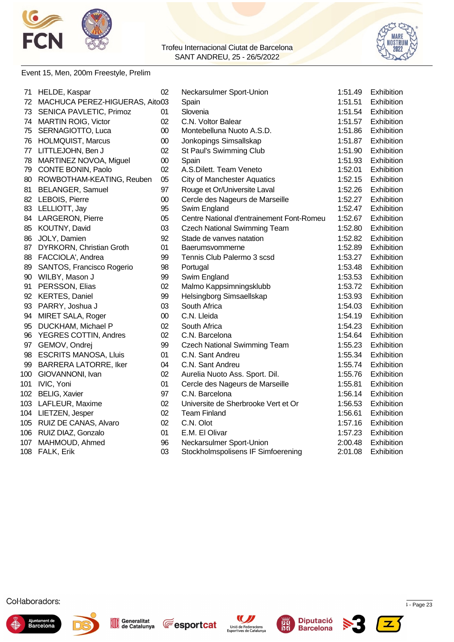



#### Event 15, Men, 200m Freestyle, Prelim

| 71  | HELDE, Kaspar                  | 02     | Neckarsulmer Sport-Union                  | 1:51.49 | Exhibition        |
|-----|--------------------------------|--------|-------------------------------------------|---------|-------------------|
| 72  | MACHUCA PEREZ-HIGUERAS, Aito03 |        | Spain                                     | 1:51.51 | Exhibition        |
| 73  | SENICA PAVLETIC, Primoz        | 01     | Slovenia                                  | 1:51.54 | Exhibition        |
| 74  | <b>MARTIN ROIG, Victor</b>     | 02     | C.N. Voltor Balear                        | 1:51.57 | Exhibition        |
| 75  | SERNAGIOTTO, Luca              | $00\,$ | Montebelluna Nuoto A.S.D.                 | 1:51.86 | Exhibition        |
| 76  | <b>HOLMQUIST, Marcus</b>       | $00\,$ | Jonkopings Simsallskap                    | 1:51.87 | Exhibition        |
|     | 77 LITTLEJOHN, Ben J           | 02     | St Paul's Swimming Club                   | 1:51.90 | Exhibition        |
| 78  | MARTINEZ NOVOA, Miguel         | $00\,$ | Spain                                     | 1:51.93 | Exhibition        |
| 79  | <b>CONTE BONIN, Paolo</b>      | 02     | A.S.Dilett. Team Veneto                   | 1:52.01 | Exhibition        |
| 80  | ROWBOTHAM-KEATING, Reuben      | 05     | <b>City of Manchester Aquatics</b>        | 1:52.15 | Exhibition        |
| 81  | <b>BELANGER, Samuel</b>        | 97     | Rouge et Or/Universite Laval              | 1:52.26 | Exhibition        |
| 82  | <b>LEBOIS, Pierre</b>          | 00     | Cercle des Nageurs de Marseille           | 1:52.27 | Exhibition        |
| 83  | LELLIOTT, Jay                  | 95     | Swim England                              | 1:52.47 | Exhibition        |
| 84  | <b>LARGERON, Pierre</b>        | 05     | Centre National d'entrainement Font-Romeu | 1:52.67 | Exhibition        |
| 85  | KOUTNY, David                  | 03     | <b>Czech National Swimming Team</b>       | 1:52.80 | Exhibition        |
| 86  | JOLY, Damien                   | 92     | Stade de vanves natation                  | 1:52.82 | Exhibition        |
| 87  | DYRKORN, Christian Groth       | 01     | Baerumsvommerne                           | 1:52.89 | Exhibition        |
| 88  | FACCIOLA', Andrea              | 99     | Tennis Club Palermo 3 scsd                | 1:53.27 | Exhibition        |
| 89  | SANTOS, Francisco Rogerio      | 98     | Portugal                                  | 1:53.48 | Exhibition        |
| 90  | WILBY, Mason J                 | 99     | Swim England                              | 1:53.53 | Exhibition        |
| 91  | PERSSON, Elias                 | 02     | Malmo Kappsimningsklubb                   | 1:53.72 | Exhibition        |
| 92  | <b>KERTES, Daniel</b>          | 99     | Helsingborg Simsaellskap                  | 1:53.93 | Exhibition        |
| 93  | PARRY, Joshua J                | 03     | South Africa                              | 1:54.03 | Exhibition        |
| 94  | MIRET SALA, Roger              | $00\,$ | C.N. Lleida                               | 1:54.19 | Exhibition        |
| 95  | DUCKHAM, Michael P             | 02     | South Africa                              | 1:54.23 | Exhibition        |
| 96  | <b>YEGRES COTTIN, Andres</b>   | 02     | C.N. Barcelona                            | 1:54.64 | Exhibition        |
|     | 97 GEMOV, Ondrej               | 99     | <b>Czech National Swimming Team</b>       | 1:55.23 | Exhibition        |
| 98  | <b>ESCRITS MANOSA, Lluis</b>   | 01     | C.N. Sant Andreu                          | 1:55.34 | Exhibition        |
| 99  | <b>BARRERA LATORRE, Iker</b>   | 04     | C.N. Sant Andreu                          | 1:55.74 | Exhibition        |
| 100 | GIOVANNONI, Ivan               | 02     | Aurelia Nuoto Ass. Sport. Dil.            | 1:55.76 | Exhibition        |
| 101 | IVIC, Yoni                     | 01     | Cercle des Nageurs de Marseille           | 1:55.81 | <b>Exhibition</b> |
| 102 | <b>BELIG, Xavier</b>           | 97     | C.N. Barcelona                            | 1:56.14 | Exhibition        |
| 103 | LAFLEUR, Maxime                | 02     | Universite de Sherbrooke Vert et Or       | 1:56.53 | Exhibition        |
|     | 104 LIETZEN, Jesper            | 02     | <b>Team Finland</b>                       | 1:56.61 | Exhibition        |
|     | 105 RUIZ DE CANAS, Alvaro      | 02     | C.N. Olot                                 | 1:57.16 | Exhibition        |
|     | 106 RUIZ DIAZ, Gonzalo         | 01     | E.M. El Olivar                            | 1:57.23 | Exhibition        |
| 107 | MAHMOUD, Ahmed                 | 96     | Neckarsulmer Sport-Union                  | 2:00.48 | Exhibition        |
|     | 108 FALK, Erik                 | 03     | Stockholmspolisens IF Simfoerening        | 2:01.08 | Exhibition        |
|     |                                |        |                                           |         |                   |













屬

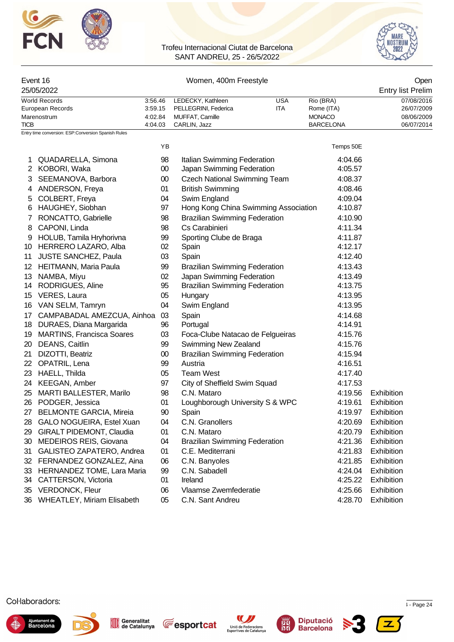



| Event 16                                             |         | Women, 400m Freestyle        | Open |                  |                          |
|------------------------------------------------------|---------|------------------------------|------|------------------|--------------------------|
| 25/05/2022                                           |         |                              |      |                  | <b>Entry list Prelim</b> |
| World Records                                        | 3:56.46 | LEDECKY, Kathleen            | USA  | Rio (BRA)        | 07/08/2016               |
| European Records                                     |         | 3:59.15 PELLEGRINI, Federica | ITA  | Rome (ITA)       | 26/07/2009               |
| Marenostrum                                          | 4:02.84 | MUFFAT, Camille              |      | <b>MONACO</b>    | 08/06/2009               |
| <b>TICB</b>                                          | 4:04.03 | CARLIN, Jazz                 |      | <b>BARCELONA</b> | 06/07/2014               |
| Entry time conversion: ESP: Conversion Spanish Rules |         |                              |      |                  |                          |

|                   |                                  | ΥB     |                                      | Temps 50E |            |
|-------------------|----------------------------------|--------|--------------------------------------|-----------|------------|
| 1                 | QUADARELLA, Simona               | 98     | Italian Swimming Federation          | 4:04.66   |            |
|                   | 2 KOBORI, Waka                   | $00\,$ | Japan Swimming Federation            | 4:05.57   |            |
| 3                 | SEEMANOVA, Barbora               | $00\,$ | <b>Czech National Swimming Team</b>  | 4:08.37   |            |
| 4                 | ANDERSON, Freya                  | 01     | <b>British Swimming</b>              | 4:08.46   |            |
| 5                 | COLBERT, Freya                   | 04     | Swim England                         | 4:09.04   |            |
| 6                 | HAUGHEY, Siobhan                 | 97     | Hong Kong China Swimming Association | 4:10.87   |            |
| 7                 | RONCATTO, Gabrielle              | 98     | <b>Brazilian Swimming Federation</b> | 4:10.90   |            |
| 8                 | CAPONI, Linda                    | 98     | Cs Carabinieri                       | 4:11.34   |            |
| 9                 | HOLUB, Tamila Hryhorivna         | 99     | Sporting Clube de Braga              | 4:11.87   |            |
| 10                | HERRERO LAZARO, Alba             | 02     | Spain                                | 4:12.17   |            |
| 11                | <b>JUSTE SANCHEZ, Paula</b>      | 03     | Spain                                | 4:12.40   |            |
| $12 \overline{ }$ | <b>HEITMANN, Maria Paula</b>     | 99     | <b>Brazilian Swimming Federation</b> | 4:13.43   |            |
| 13                | NAMBA, Miyu                      | 02     | Japan Swimming Federation            | 4:13.49   |            |
|                   | 14 RODRIGUES, Aline              | 95     | <b>Brazilian Swimming Federation</b> | 4:13.75   |            |
|                   | 15 VERES, Laura                  | 05     | Hungary                              | 4:13.95   |            |
| 16                | VAN SELM, Tamryn                 | 04     | Swim England                         | 4:13.95   |            |
| 17                | CAMPABADAL AMEZCUA, Ainhoa       | 03     | Spain                                | 4:14.68   |            |
| 18                | DURAES, Diana Margarida          | 96     | Portugal                             | 4:14.91   |            |
| 19                | <b>MARTINS, Francisca Soares</b> | 03     | Foca-Clube Natacao de Felgueiras     | 4:15.76   |            |
| 20                | DEANS, Caitlin                   | 99     | Swimming New Zealand                 | 4:15.76   |            |
| 21                | DIZOTTI, Beatriz                 | $00\,$ | <b>Brazilian Swimming Federation</b> | 4:15.94   |            |
| 22                | OPATRIL, Lena                    | 99     | Austria                              | 4:16.51   |            |
| 23                | HAELL, Thilda                    | 05     | <b>Team West</b>                     | 4:17.40   |            |
| 24                | <b>KEEGAN, Amber</b>             | 97     | City of Sheffield Swim Squad         | 4:17.53   |            |
| 25                | <b>MARTI BALLESTER, Marilo</b>   | 98     | C.N. Mataro                          | 4:19.56   | Exhibition |
| 26                | PODGER, Jessica                  | 01     | Loughborough University S & WPC      | 4:19.61   | Exhibition |
| 27                | <b>BELMONTE GARCIA, Mireia</b>   | 90     | Spain                                | 4:19.97   | Exhibition |
| 28                | GALO NOGUEIRA, Estel Xuan        | 04     | C.N. Granollers                      | 4:20.69   | Exhibition |
| 29                | <b>GIRALT PIDEMONT, Claudia</b>  | 01     | C.N. Mataro                          | 4:20.79   | Exhibition |
| 30                | <b>MEDEIROS REIS, Giovana</b>    | 04     | <b>Brazilian Swimming Federation</b> | 4:21.36   | Exhibition |
| 31                | GALISTEO ZAPATERO, Andrea        | 01     | C.E. Mediterrani                     | 4:21.83   | Exhibition |
| 32                | FERNANDEZ GONZALEZ, Aina         | 06     | C.N. Banyoles                        | 4:21.85   | Exhibition |
| 33                | HERNANDEZ TOME, Lara Maria       | 99     | C.N. Sabadell                        | 4:24.04   | Exhibition |
| 34                | <b>CATTERSON, Victoria</b>       | 01     | Ireland                              | 4:25.22   | Exhibition |
| 35                | <b>VERDONCK, Fleur</b>           | 06     | Vlaamse Zwemfederatie                | 4:25.66   | Exhibition |
|                   | 36 WHEATLEY, Miriam Elisabeth    | 05     | C.N. Sant Andreu                     | 4:28.70   | Exhibition |











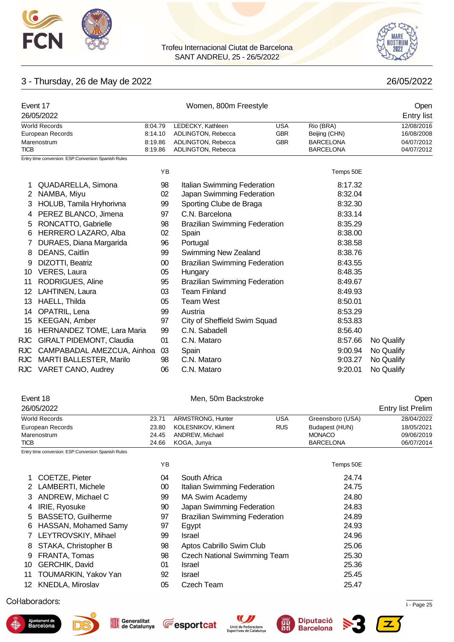



# 3 - Thursday, 26 de May de 2022 26/05/2022

| Event 17                                             |         | Open                        |            |                  |                   |
|------------------------------------------------------|---------|-----------------------------|------------|------------------|-------------------|
| 26/05/2022                                           |         |                             |            |                  | <b>Entry list</b> |
| <b>World Records</b>                                 | 8:04.79 | LEDECKY, Kathleen           | USA        | Rio (BRA)        | 12/08/2016        |
| European Records                                     | 8:14.10 | ADLINGTON, Rebecca          | <b>GBR</b> | Beijing (CHN)    | 16/08/2008        |
| Marenostrum                                          | 8:19.86 | ADLINGTON, Rebecca          | <b>GBR</b> | <b>BARCELONA</b> | 04/07/2012        |
| <b>TICB</b>                                          | 8:19.86 | ADLINGTON, Rebecca          |            | <b>BARCELONA</b> | 04/07/2012        |
| Entry time conversion: ESP: Conversion Spanish Rules |         |                             |            |                  |                   |
|                                                      | YΒ      |                             |            | Temps 50E        |                   |
| QUADARELLA, Simona                                   | 98      | Italian Swimming Federation |            | 8:17.32          |                   |

|      | QUADARELLA, SIMONA                | ୬୪ | Italian Swimming Federation          | 8. TA 32 |            |
|------|-----------------------------------|----|--------------------------------------|----------|------------|
| 2    | NAMBA, Miyu                       | 02 | Japan Swimming Federation            | 8:32.04  |            |
| 3    | HOLUB, Tamila Hryhorivna          | 99 | Sporting Clube de Braga              | 8:32.30  |            |
| 4    | PEREZ BLANCO, Jimena              | 97 | C.N. Barcelona                       | 8:33.14  |            |
| 5    | RONCATTO, Gabrielle               | 98 | <b>Brazilian Swimming Federation</b> | 8:35.29  |            |
| 6    | HERRERO LAZARO, Alba              | 02 | Spain                                | 8:38.00  |            |
|      | DURAES, Diana Margarida           | 96 | Portugal                             | 8:38.58  |            |
| 8    | DEANS, Caitlin                    | 99 | Swimming New Zealand                 | 8:38.76  |            |
| 9    | DIZOTTI, Beatriz                  | 00 | <b>Brazilian Swimming Federation</b> | 8:43.55  |            |
| 10   | VERES, Laura                      | 05 | Hungary                              | 8:48.35  |            |
| 11   | RODRIGUES, Aline                  | 95 | <b>Brazilian Swimming Federation</b> | 8:49.67  |            |
| 12.  | LAHTINEN, Laura                   | 03 | <b>Team Finland</b>                  | 8:49.93  |            |
| 13   | HAELL, Thilda                     | 05 | <b>Team West</b>                     | 8:50.01  |            |
| 14   | OPATRIL, Lena                     | 99 | Austria                              | 8:53.29  |            |
| 15   | KEEGAN, Amber                     | 97 | City of Sheffield Swim Squad         | 8:53.83  |            |
| 16   | <b>HERNANDEZ TOME, Lara Maria</b> | 99 | C.N. Sabadell                        | 8:56.40  |            |
| RJC. | <b>GIRALT PIDEMONT, Claudia</b>   | 01 | C.N. Mataro                          | 8:57.66  | No Qualify |
|      | RJC CAMPABADAL AMEZCUA, Ainhoa    | 03 | Spain                                | 9:00.94  | No Qualify |
|      | RJC MARTI BALLESTER, Marilo       | 98 | C.N. Mataro                          | 9:03.27  | No Qualify |
|      | RJC VARET CANO, Audrey            | 06 | C.N. Mataro                          | 9:20.01  | No Qualify |
|      |                                   |    |                                      |          |            |

| Event 18                                             |       | Men, 50m Backstroke |            |                  |            |  |
|------------------------------------------------------|-------|---------------------|------------|------------------|------------|--|
| 26/05/2022                                           |       |                     |            |                  |            |  |
| World Records                                        | 23.71 | ARMSTRONG, Hunter   | USA        | Greensboro (USA) | 28/04/2022 |  |
| European Records                                     | 23.80 | KOLESNIKOV, Kliment | <b>RUS</b> | Budapest (HUN)   | 18/05/2021 |  |
| Marenostrum                                          | 24.45 | ANDREW, Michael     |            | <b>MONACO</b>    | 09/06/2019 |  |
| <b>TICB</b>                                          | 24.66 | KOGA, Junya         |            | <b>BARCELONA</b> | 06/07/2014 |  |
| Entry time conversion: ESP: Conversion Spanish Rules |       |                     |            |                  |            |  |

Entry time conversion: ESP:Conversion Spanish Rules

|    |                         | YB |                                      | Temps 50E |
|----|-------------------------|----|--------------------------------------|-----------|
| 1. | COETZE, Pieter          | 04 | South Africa                         | 24.74     |
|    | 2 LAMBERTI, Michele     | 00 | Italian Swimming Federation          | 24.75     |
|    | 3 ANDREW, Michael C     | 99 | <b>MA Swim Academy</b>               | 24.80     |
| 4  | IRIE, Ryosuke           | 90 | Japan Swimming Federation            | 24.83     |
|    | 5 BASSETO, Guilherme    | 97 | <b>Brazilian Swimming Federation</b> | 24.89     |
|    | 6 HASSAN, Mohamed Samy  | 97 | Egypt                                | 24.93     |
|    | 7 LEYTROVSKIY, Mihael   | 99 | Israel                               | 24.96     |
|    | 8 STAKA, Christopher B  | 98 | Aptos Cabrillo Swim Club             | 25.06     |
|    | 9 FRANTA, Tomas         | 98 | <b>Czech National Swimming Team</b>  | 25.30     |
|    | 10 GERCHIK, David       | 01 | Israel                               | 25.36     |
|    | 11 TOUMARKIN, Yakov Yan | 92 | <b>Israel</b>                        | 25.45     |
|    | 12 KNEDLA, Miroslav     | 05 | Czech Team                           | 25.47     |

## $\mu$  . Page 25  $\mu$  . Page 25  $\mu$  and  $\mu$  and  $\mu$  and  $\mu$  and  $\mu$  and  $\mu$  is  $\mu$  and  $\mu$  and  $\mu$  and  $\mu$  and  $\mu$  and  $\mu$  and  $\mu$  and  $\mu$  and  $\mu$  and  $\mu$  and  $\mu$  and  $\mu$  and  $\mu$  and  $\mu$  and  $\mu$  and  $\mu$











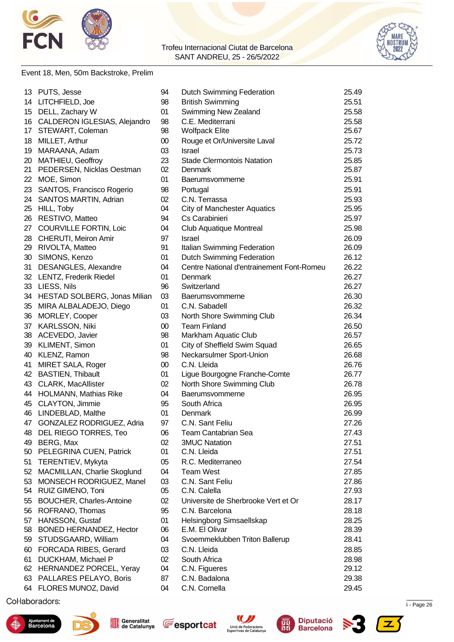



#### Event 18, Men, 50m Backstroke, Prelim

| 13 | PUTS, Jesse                     | 94 | <b>Dutch Swimming Federation</b>          | 25.49 |
|----|---------------------------------|----|-------------------------------------------|-------|
|    | 14 LITCHFIELD, Joe              | 98 | <b>British Swimming</b>                   | 25.51 |
| 15 | DELL, Zachary W                 | 01 | Swimming New Zealand                      | 25.58 |
|    | 16 CALDERON IGLESIAS, Alejandro | 98 | C.E. Mediterrani                          | 25.58 |
| 17 | STEWART, Coleman                | 98 | <b>Wolfpack Elite</b>                     | 25.67 |
| 18 | MILLET, Arthur                  | 00 | Rouge et Or/Universite Laval              | 25.72 |
| 19 | MARAANA, Adam                   | 03 | <b>Israel</b>                             | 25.73 |
|    | 20 MATHIEU, Geoffroy            | 23 | <b>Stade Clermontois Natation</b>         | 25.85 |
| 21 | PEDERSEN, Nicklas Oestman       | 02 | Denmark                                   | 25.87 |
| 22 | MOE, Simon                      | 01 | Baerumsvommerne                           | 25.91 |
| 23 | SANTOS, Francisco Rogerio       | 98 | Portugal                                  | 25.91 |
| 24 | <b>SANTOS MARTIN, Adrian</b>    | 02 | C.N. Terrassa                             | 25.93 |
| 25 | HILL, Toby                      | 04 | <b>City of Manchester Aquatics</b>        | 25.95 |
| 26 | RESTIVO, Matteo                 | 94 | Cs Carabinieri                            | 25.97 |
| 27 | <b>COURVILLE FORTIN, Loic</b>   | 04 | <b>Club Aquatique Montreal</b>            | 25.98 |
|    | 28 CHERUTI, Meiron Amir         | 97 | Israel                                    | 26.09 |
|    | 29 RIVOLTA, Matteo              | 91 | Italian Swimming Federation               | 26.09 |
| 30 | SIMONS, Kenzo                   | 01 | <b>Dutch Swimming Federation</b>          | 26.12 |
| 31 | <b>DESANGLES, Alexandre</b>     | 04 | Centre National d'entrainement Font-Romeu | 26.22 |
|    | 32 LENTZ, Frederik Riedel       | 01 | Denmark                                   | 26.27 |
|    | 33 LIESS, Nils                  | 96 | Switzerland                               | 26.27 |
|    | 34 HESTAD SOLBERG, Jonas Milian | 03 | Baerumsvommerne                           | 26.30 |
|    | 35 MIRA ALBALADEJO, Diego       | 01 | C.N. Sabadell                             | 26.32 |
|    | 36 MORLEY, Cooper               | 03 | North Shore Swimming Club                 | 26.34 |
|    | 37 KARLSSON, Niki               | 00 | <b>Team Finland</b>                       | 26.50 |
|    | 38 ACEVEDO, Javier              | 98 | Markham Aquatic Club                      | 26.57 |
| 39 | KLIMENT, Simon                  | 01 | City of Sheffield Swim Squad              | 26.65 |
|    | 40 KLENZ, Ramon                 | 98 | Neckarsulmer Sport-Union                  | 26.68 |
| 41 | MIRET SALA, Roger               | 00 | C.N. Lleida                               | 26.76 |
|    | 42 BASTIEN, Thibault            | 01 | Ligue Bourgogne Franche-Comte             | 26.77 |
|    | 43 CLARK, MacAllister           | 02 | North Shore Swimming Club                 | 26.78 |
|    | 44 HOLMANN, Mathias Rike        | 04 | Baerumsvommerne                           | 26.95 |
|    | 45 CLAYTON, Jimmie              | 95 | South Africa                              | 26.95 |
| 46 | LINDEBLAD, Malthe               | 01 | Denmark                                   | 26.99 |
| 47 | GONZALEZ RODRIGUEZ, Adria       | 97 | C.N. Sant Feliu                           | 27.26 |
| 48 | DEL RIEGO TORRES, Teo           | 06 | Team Cantabrian Sea                       | 27.43 |
| 49 | BERG, Max                       | 02 | <b>3MUC Natation</b>                      | 27.51 |
| 50 | PELEGRINA CUEN, Patrick         | 01 | C.N. Lleida                               | 27.51 |
| 51 | TERENTIEV, Mykyta               | 05 | R.C. Mediterraneo                         | 27.54 |
| 52 | MACMILLAN, Charlie Skoglund     | 04 | <b>Team West</b>                          | 27.85 |
| 53 | MONSECH RODRIGUEZ, Manel        | 03 | C.N. Sant Feliu                           | 27.86 |
|    | 54 RUIZ GIMENO, Toni            | 05 | C.N. Calella                              | 27.93 |
| 55 | <b>BOUCHER, Charles-Antoine</b> | 02 | Universite de Sherbrooke Vert et Or       | 28.17 |
| 56 | ROFRANO, Thomas                 | 95 | C.N. Barcelona                            | 28.18 |
| 57 | HANSSON, Gustaf                 | 01 | Helsingborg Simsaellskap                  | 28.25 |
| 58 | BONED HERNANDEZ, Hector         | 06 | E.M. El Olivar                            | 28.39 |
| 59 | STUDSGAARD, William             | 04 | Svoemmeklubben Triton Ballerup            | 28.41 |
| 60 | <b>FORCADA RIBES, Gerard</b>    | 03 | C.N. Lleida                               | 28.85 |
| 61 | DUCKHAM, Michael P              | 02 | South Africa                              | 28.98 |
|    | 62 HERNANDEZ PORCEL, Yeray      | 04 | C.N. Figueres                             | 29.12 |
|    | 63 PALLARES PELAYO, Boris       | 87 | C.N. Badalona                             | 29.38 |
|    | 64 FLORES MUNOZ, David          | 04 | C.N. Cornella                             | 29.45 |

 $\mu$  . Page 26  $\mu$  . Page 26  $\mu$  and  $\mu$  1.72967  $\mu$  2.734  $\mu$  2.735  $\mu$  3.75  $\mu$  3.75  $\mu$  3.75  $\mu$  3.75  $\mu$  3.75  $\mu$  3.75  $\mu$  3.75  $\mu$  3.75  $\mu$  3.75  $\mu$  3.75  $\mu$  3.75  $\mu$  3.75  $\mu$  3.75  $\mu$  3.75  $\mu$  3.











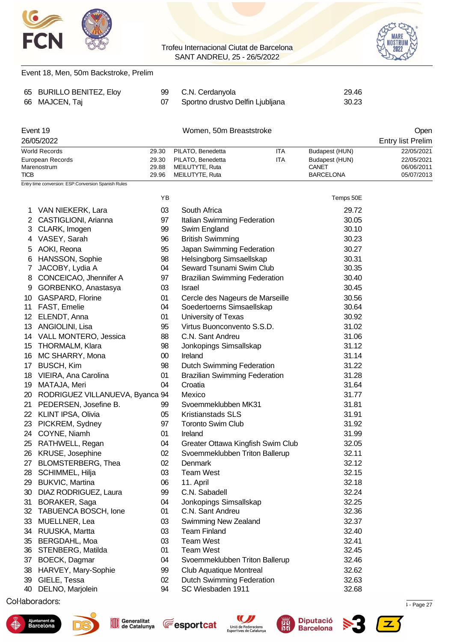

Event 18, Men, 50m Backstroke, Prelim

#### Trofeu Internacional Ciutat de Barcelona SANT ANDREU, 25 - 26/5/2022



| 65              | <b>BURILLO BENITEZ, Eloy</b>                        | 99             | C.N. Cerdanyola                                    | 29.46                   |                          |
|-----------------|-----------------------------------------------------|----------------|----------------------------------------------------|-------------------------|--------------------------|
| 66              | MAJCEN, Taj                                         | 07             | Sportno drustvo Delfin Ljubljana                   | 30.23                   |                          |
|                 |                                                     |                |                                                    |                         |                          |
|                 | Event 19                                            |                | Women, 50m Breaststroke                            |                         | Open                     |
|                 | 26/05/2022                                          |                |                                                    |                         | <b>Entry list Prelim</b> |
|                 | <b>World Records</b>                                | 29.30          | PILATO, Benedetta<br>ITA                           | Budapest (HUN)          | 22/05/2021               |
|                 | European Records<br>Marenostrum                     | 29.30<br>29.88 | <b>ITA</b><br>PILATO, Benedetta<br>MEILUTYTE, Ruta | Budapest (HUN)<br>CANET | 22/05/2021<br>06/06/2011 |
| <b>TICB</b>     |                                                     | 29.96          | MEILUTYTE, Ruta                                    | <b>BARCELONA</b>        | 05/07/2013               |
|                 | Entry time conversion: ESP:Conversion Spanish Rules |                |                                                    |                         |                          |
|                 |                                                     | YB             |                                                    | Temps 50E               |                          |
| 1               | VAN NIEKERK, Lara                                   | 03             | South Africa                                       | 29.72                   |                          |
| 2               | CASTIGLIONI, Arianna                                | 97             | Italian Swimming Federation                        | 30.05                   |                          |
| 3               | CLARK, Imogen                                       | 99             | Swim England                                       | 30.10                   |                          |
| 4               | VASEY, Sarah                                        | 96             | <b>British Swimming</b>                            | 30.23                   |                          |
| 5               | AOKI, Reona                                         | 95             | Japan Swimming Federation                          | 30.27                   |                          |
| 6               | HANSSON, Sophie                                     | 98             | Helsingborg Simsaellskap                           | 30.31                   |                          |
| 7               | JACOBY, Lydia A                                     | 04             | Seward Tsunami Swim Club                           | 30.35                   |                          |
| 8               | CONCEICAO, Jhennifer A                              | 97             | <b>Brazilian Swimming Federation</b>               | 30.40                   |                          |
| 9               | GORBENKO, Anastasya                                 | 03             | Israel                                             | 30.45                   |                          |
| 10              | GASPARD, Florine                                    | 01             | Cercle des Nageurs de Marseille                    | 30.56                   |                          |
| 11              | FAST, Emelie                                        | 04             | Soedertoerns Simsaellskap                          | 30.64                   |                          |
| 12 <sup>°</sup> | ELENDT, Anna                                        | 01             | University of Texas                                | 30.92                   |                          |
| 13              | ANGIOLINI, Lisa                                     | 95             | Virtus Buonconvento S.S.D.                         | 31.02                   |                          |
|                 | 14 VALL MONTERO, Jessica                            | 88             | C.N. Sant Andreu                                   | 31.06                   |                          |
| 15              | THORMALM, Klara                                     | 98             | Jonkopings Simsallskap                             | 31.12                   |                          |
| 16              | MC SHARRY, Mona                                     | $00\,$         | Ireland                                            | 31.14                   |                          |
| 17              | <b>BUSCH, Kim</b>                                   | 98             | <b>Dutch Swimming Federation</b>                   | 31.22                   |                          |
| 18              | VIEIRA, Ana Carolina                                | 01             | <b>Brazilian Swimming Federation</b>               | 31.28                   |                          |
| 19              | MATAJA, Meri                                        | 04             | Croatia                                            | 31.64                   |                          |
| 20              | RODRIGUEZ VILLANUEVA, Byanca 94                     |                | Mexico                                             | 31.77                   |                          |
| 21              | PEDERSEN, Josefine B.                               | 99             | Svoemmeklubben MK31                                | 31.81                   |                          |
| 22              | <b>KLINT IPSA, Olivia</b>                           | 05             | <b>Kristianstads SLS</b>                           | 31.91                   |                          |
| 23              | PICKREM, Sydney                                     | 97             | <b>Toronto Swim Club</b>                           | 31.92                   |                          |
| 24              | COYNE, Niamh                                        | 01             | Ireland                                            | 31.99                   |                          |
| 25              | RATHWELL, Regan                                     | 04             | Greater Ottawa Kingfish Swim Club                  | 32.05                   |                          |
| 26              | KRUSE, Josephine                                    | 02             | Svoemmeklubben Triton Ballerup                     | 32.11                   |                          |
| 27              | <b>BLOMSTERBERG, Thea</b>                           | 02             | Denmark                                            | 32.12                   |                          |
| 28              | SCHIMMEL, Hilja                                     | 03             | <b>Team West</b>                                   | 32.15                   |                          |
| 29              | <b>BUKVIC, Martina</b>                              | 06             | 11. April                                          | 32.18                   |                          |
| 30              | DIAZ RODRIGUEZ, Laura                               | 99             | C.N. Sabadell                                      | 32.24                   |                          |
| 31              | BORAKER, Saga                                       | 04             | Jonkopings Simsallskap                             | 32.25                   |                          |
| 32              | TABUENCA BOSCH, Ione                                | 01             | C.N. Sant Andreu                                   | 32.36                   |                          |
| 33              | MUELLNER, Lea                                       | 03             | Swimming New Zealand                               | 32.37                   |                          |
| 34              | RUUSKA, Martta                                      | 03             | <b>Team Finland</b>                                | 32.40                   |                          |
| 35              | BERGDAHL, Moa                                       | 03             | <b>Team West</b>                                   | 32.41                   |                          |
| 36              | STENBERG, Matilda                                   | 01             | <b>Team West</b>                                   | 32.45                   |                          |
| 37              | BOECK, Dagmar                                       | 04             | Svoemmeklubben Triton Ballerup                     | 32.46                   |                          |
| 38              | HARVEY, Mary-Sophie                                 | 99             | <b>Club Aquatique Montreal</b>                     | 32.62                   |                          |
| 39              | GIELE, Tessa                                        | 02             | Dutch Swimming Federation                          | 32.63                   |                          |
| 40              | DELNO, Marjolein                                    | 94             | SC Wiesbaden 1911                                  | 32.68                   |                          |













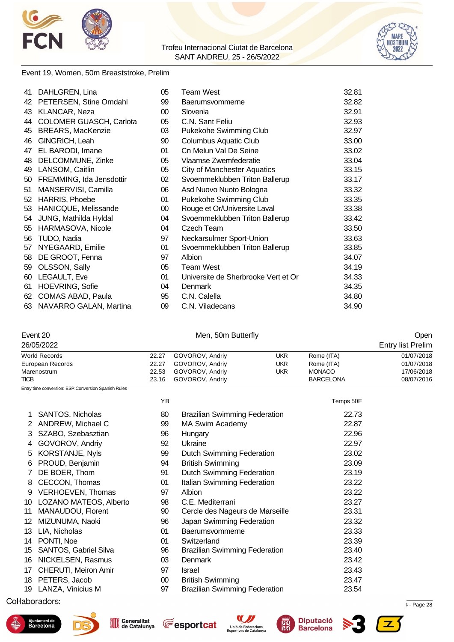



#### Event 19, Women, 50m Breaststroke, Prelim

| 41              | DAHLGREN, Lina           | 05 | Team West                           | 32.81 |
|-----------------|--------------------------|----|-------------------------------------|-------|
| 42              | PETERSEN, Stine Omdahl   | 99 | Baerumsvommerne                     | 32.82 |
| 43              | KLANCAR, Neza            | 00 | Slovenia                            | 32.91 |
| 44              | COLOMER GUASCH, Carlota  | 05 | C.N. Sant Feliu                     | 32.93 |
| 45              | <b>BREARS, MacKenzie</b> | 03 | Pukekohe Swimming Club              | 32.97 |
| 46              | GINGRICH, Leah           | 90 | <b>Columbus Aquatic Club</b>        | 33.00 |
| 47              | EL BARODI, Imane         | 01 | Cn Melun Val De Seine               | 33.02 |
| 48              | DELCOMMUNE, Zinke        | 05 | Vlaamse Zwemfederatie               | 33.04 |
| 49              | LANSOM, Caitlin          | 05 | <b>City of Manchester Aquatics</b>  | 33.15 |
| 50              | FREMMING, Ida Jensdottir | 02 | Svoemmeklubben Triton Ballerup      | 33.17 |
| 51              | MANSERVISI, Camilla      | 06 | Asd Nuovo Nuoto Bologna             | 33.32 |
| 52 <sub>2</sub> | HARRIS, Phoebe           | 01 | Pukekohe Swimming Club              | 33.35 |
| 53              | HANICQUE, Melissande     | 00 | Rouge et Or/Universite Laval        | 33.38 |
| 54              | JUNG, Mathilda Hyldal    | 04 | Svoemmeklubben Triton Ballerup      | 33.42 |
| 55              | HARMASOVA, Nicole        | 04 | Czech Team                          | 33.50 |
| 56              | TUDO, Nadia              | 97 | Neckarsulmer Sport-Union            | 33.63 |
| 57              | NYEGAARD, Emilie         | 01 | Svoemmeklubben Triton Ballerup      | 33.85 |
| 58              | DE GROOT, Fenna          | 97 | Albion                              | 34.07 |
| 59              | OLSSON, Sally            | 05 | <b>Team West</b>                    | 34.19 |
| 60              | LEGAULT, Eve             | 01 | Universite de Sherbrooke Vert et Or | 34.33 |
| 61              | <b>HOEVRING, Sofie</b>   | 04 | Denmark                             | 34.35 |
| 62              | COMAS ABAD, Paula        | 95 | C.N. Calella                        | 34.80 |
| 63              | NAVARRO GALAN, Martina   | 09 | C.N. Viladecans                     | 34.90 |

### Event 20 Communication of the Men, 50m Butterfly Communication of the Open

| 26/05/2022       |       |                       |     |                  | <b>Entry list Prelim</b> |
|------------------|-------|-----------------------|-----|------------------|--------------------------|
| World Records    | 22.27 | GOVOROV, Andriy       | UKR | Rome (ITA)       | 01/07/2018               |
| European Records | 22.27 | GOVOROV, Andriv       | UKR | Rome (ITA)       | 01/07/2018               |
| Marenostrum      | 22.53 | GOVOROV, Andriy       | UKR | <b>MONACO</b>    | 17/06/2018               |
| <b>TICB</b>      |       | 23.16 GOVOROV, Andriv |     | <b>BARCELONA</b> | 08/07/2016               |

Entry time conversion: ESP:Conversion Spanish Rules

|     |                         | ΥB     |                                      | Temps 50E |
|-----|-------------------------|--------|--------------------------------------|-----------|
| 1   | <b>SANTOS, Nicholas</b> | 80     | <b>Brazilian Swimming Federation</b> | 22.73     |
| 2   | ANDREW, Michael C       | 99     | <b>MA Swim Academy</b>               | 22.87     |
| 3   | SZABO, Szebasztian      | 96     | Hungary                              | 22.96     |
| 4   | GOVOROV, Andriy         | 92     | Ukraine                              | 22.97     |
| 5   | KORSTANJE, Nyls         | 99     | <b>Dutch Swimming Federation</b>     | 23.02     |
| 6   | PROUD, Benjamin         | 94     | <b>British Swimming</b>              | 23.09     |
| 7   | DE BOER, Thom           | 91     | Dutch Swimming Federation            | 23.19     |
| 8   | CECCON, Thomas          | 01     | Italian Swimming Federation          | 23.22     |
| 9   | VERHOEVEN, Thomas       | 97     | Albion                               | 23.22     |
| 10  | LOZANO MATEOS, Alberto  | 98     | C.E. Mediterrani                     | 23.27     |
| 11  | MANAUDOU, Florent       | 90     | Cercle des Nageurs de Marseille      | 23.31     |
| 12. | MIZUNUMA, Naoki         | 96     | Japan Swimming Federation            | 23.32     |
| 13  | LIA, Nicholas           | 01     | Baerumsvommerne                      | 23.33     |
| 14  | PONTI, Noe              | 01     | Switzerland                          | 23.39     |
| 15  | SANTOS, Gabriel Silva   | 96     | <b>Brazilian Swimming Federation</b> | 23.40     |
| 16  | NICKELSEN, Rasmus       | 03     | <b>Denmark</b>                       | 23.42     |
| 17  | CHERUTI, Meiron Amir    | 97     | <b>Israel</b>                        | 23.43     |
| 18  | PETERS, Jacob           | $00\,$ | <b>British Swimming</b>              | 23.47     |
|     | 19 LANZA, Vinicius M    | 97     | <b>Brazilian Swimming Federation</b> | 23.54     |
|     |                         |        |                                      |           |

### $\mu$  . Page 28  $\mu$  . Page 28  $\mu$  and  $\mu$  and  $\mu$  and  $\mu$  and  $\mu$  and  $\mu$  is  $\mu$  and  $\mu$  and  $\mu$  and  $\mu$  and  $\mu$  and  $\mu$  and  $\mu$  and  $\mu$  and  $\mu$  and  $\mu$  and  $\mu$  and  $\mu$  and  $\mu$  and  $\mu$  and  $\mu$  and  $\mu$











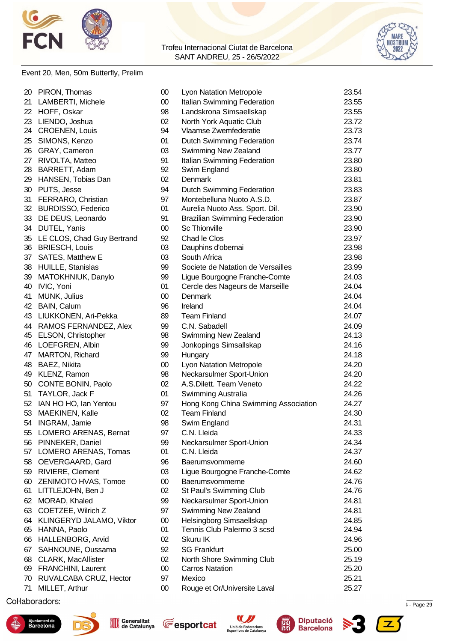



### Event 20, Men, 50m Butterfly, Prelim

|    | 20 PIRON, Thomas                   | 00     | Lyon Natation Metropole                                     | 23.54 |
|----|------------------------------------|--------|-------------------------------------------------------------|-------|
| 21 | LAMBERTI, Michele                  | $00\,$ | Italian Swimming Federation                                 | 23.55 |
|    | 22 HOFF, Oskar                     | 98     | Landskrona Simsaellskap                                     | 23.55 |
|    | 23 LIENDO, Joshua                  | 02     | North York Aquatic Club                                     | 23.72 |
|    | 24 CROENEN, Louis                  | 94     | Vlaamse Zwemfederatie                                       | 23.73 |
| 25 | SIMONS, Kenzo                      | 01     | <b>Dutch Swimming Federation</b>                            | 23.74 |
|    | 26 GRAY, Cameron                   | 03     | Swimming New Zealand                                        | 23.77 |
|    | 27 RIVOLTA, Matteo                 | 91     | Italian Swimming Federation                                 | 23.80 |
|    | 28 BARRETT, Adam                   | 92     | Swim England                                                | 23.80 |
| 29 | HANSEN, Tobias Dan                 | 02     | Denmark                                                     | 23.81 |
| 30 | PUTS, Jesse                        | 94     | Dutch Swimming Federation                                   | 23.83 |
| 31 | FERRARO, Christian                 | 97     | Montebelluna Nuoto A.S.D.                                   | 23.87 |
|    | 32 BURDISSO, Federico              | 01     | Aurelia Nuoto Ass. Sport. Dil.                              | 23.90 |
|    | 33 DE DEUS, Leonardo               | 91     | <b>Brazilian Swimming Federation</b>                        | 23.90 |
|    | 34 DUTEL, Yanis                    | $00\,$ | <b>Sc Thionville</b>                                        | 23.90 |
|    | 35 LE CLOS, Chad Guy Bertrand      | 92     | Chad le Clos                                                | 23.97 |
|    | 36 BRIESCH, Louis                  | 03     | Dauphins d'obernai                                          | 23.98 |
| 37 | SATES, Matthew E                   | 03     | South Africa                                                | 23.98 |
| 38 | HUILLE, Stanislas                  | 99     | Societe de Natation de Versailles                           | 23.99 |
| 39 | MATOKHNIUK, Danylo                 | 99     | Ligue Bourgogne Franche-Comte                               | 24.03 |
| 40 | IVIC, Yoni                         | 01     | Cercle des Nageurs de Marseille                             | 24.04 |
| 41 | MUNK, Julius                       | 00     | Denmark                                                     | 24.04 |
|    | 42 BAIN, Calum                     | 96     | Ireland                                                     | 24.04 |
|    | 43 LIUKKONEN, Ari-Pekka            | 89     | <b>Team Finland</b>                                         | 24.07 |
|    | 44 RAMOS FERNANDEZ, Alex           | 99     | C.N. Sabadell                                               | 24.09 |
|    | 45 ELSON, Christopher              | 98     | Swimming New Zealand                                        | 24.13 |
|    | 46 LOEFGREN, Albin                 | 99     | Jonkopings Simsallskap                                      | 24.16 |
|    | 47 MARTON, Richard                 | 99     | Hungary                                                     | 24.18 |
|    |                                    | $00\,$ |                                                             | 24.20 |
|    | 48 BAEZ, Nikita<br>49 KLENZ, Ramon | 98     | Lyon Natation Metropole<br>Neckarsulmer Sport-Union         | 24.20 |
|    | 50 CONTE BONIN, Paolo              | 02     | A.S.Dilett. Team Veneto                                     | 24.22 |
|    |                                    |        |                                                             |       |
|    | 51 TAYLOR, Jack F                  | 01     | Swimming Australia                                          | 24.26 |
|    | 52 IAN HO HO, Ian Yentou           | 97     | Hong Kong China Swimming Association<br><b>Team Finland</b> | 24.27 |
| 53 | MAEKINEN, Kalle                    | 02     |                                                             | 24.30 |
|    | 54 INGRAM, Jamie                   | 98     | Swim England                                                | 24.31 |
|    | 55 LOMERO ARENAS, Bernat           | 97     | C.N. Lleida                                                 | 24.33 |
|    | 56 PINNEKER, Daniel                | 99     | Neckarsulmer Sport-Union                                    | 24.34 |
|    | 57 LOMERO ARENAS, Tomas            | 01     | C.N. Lleida                                                 | 24.37 |
|    | 58 OEVERGAARD, Gard                | 96     | Baerumsvommerne                                             | 24.60 |
| 59 | RIVIERE, Clement                   | 03     | Ligue Bourgogne Franche-Comte                               | 24.62 |
| 60 | ZENIMOTO HVAS, Tomoe               | $00\,$ | Baerumsvommerne                                             | 24.76 |
| 61 | LITTLEJOHN, Ben J                  | 02     | St Paul's Swimming Club                                     | 24.76 |
| 62 | MORAD, Khaled                      | 99     | Neckarsulmer Sport-Union                                    | 24.81 |
| 63 | COETZEE, Wilrich Z                 | 97     | Swimming New Zealand                                        | 24.81 |
|    | 64 KLINGERYD JALAMO, Viktor        | 00     | Helsingborg Simsaellskap                                    | 24.85 |
|    | 65 HANNA, Paolo                    | 01     | Tennis Club Palermo 3 scsd                                  | 24.94 |
|    | 66 HALLENBORG, Arvid               | 02     | Skuru IK                                                    | 24.96 |
| 67 | SAHNOUNE, Oussama                  | 92     | <b>SG Frankfurt</b>                                         | 25.00 |
| 68 | CLARK, MacAllister                 | 02     | North Shore Swimming Club                                   | 25.19 |
| 69 | FRANCHINI, Laurent                 | $00\,$ | <b>Carros Natation</b>                                      | 25.20 |
| 70 | RUVALCABA CRUZ, Hector             | 97     | Mexico                                                      | 25.21 |
| 71 | MILLET, Arthur                     | 00     | Rouge et Or/Universite Laval                                | 25.27 |
|    |                                    |        |                                                             |       |

 $\mu$  . Page 29  $\mu$  . Page 29  $\mu$  and  $\mu$  and  $\mu$  and  $\mu$  and  $\mu$  and  $\mu$  is  $\mu$  and  $\mu$  and  $\mu$  and  $\mu$  and  $\mu$  and  $\mu$  and  $\mu$  and  $\mu$  and  $\mu$  and  $\mu$  and  $\mu$  and  $\mu$  and  $\mu$  and  $\mu$  and  $\mu$  and  $\mu$ 











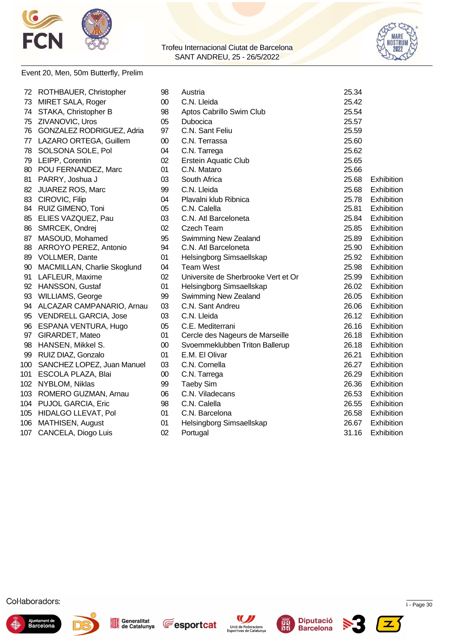





### Event 20, Men, 50m Butterfly, Prelim

|    | 72 ROTHBAUER, Christopher        | 98     | Austria                             | 25.34 |            |
|----|----------------------------------|--------|-------------------------------------|-------|------------|
| 73 | MIRET SALA, Roger                | $00\,$ | C.N. Lleida                         | 25.42 |            |
| 74 | STAKA, Christopher B             | 98     | Aptos Cabrillo Swim Club            | 25.54 |            |
| 75 | ZIVANOVIC, Uros                  | 05     | Dubocica                            | 25.57 |            |
| 76 | <b>GONZALEZ RODRIGUEZ, Adria</b> | 97     | C.N. Sant Feliu                     | 25.59 |            |
|    | 77 LAZARO ORTEGA, Guillem        | $00\,$ | C.N. Terrassa                       | 25.60 |            |
| 78 | SOLSONA SOLE, Pol                | 04     | C.N. Tarrega                        | 25.62 |            |
| 79 | LEIPP, Corentin                  | 02     | <b>Erstein Aquatic Club</b>         | 25.65 |            |
| 80 | POU FERNANDEZ, Marc              | 01     | C.N. Mataro                         | 25.66 |            |
| 81 | PARRY, Joshua J                  | 03     | South Africa                        | 25.68 | Exhibition |
| 82 | JUAREZ ROS, Marc                 | 99     | C.N. Lleida                         | 25.68 | Exhibition |
| 83 | CIROVIC, Filip                   | 04     | Plavalni klub Ribnica               | 25.78 | Exhibition |
|    | 84 RUIZ GIMENO, Toni             | 05     | C.N. Calella                        | 25.81 | Exhibition |
|    | 85 ELIES VAZQUEZ, Pau            | 03     | C.N. Atl Barceloneta                | 25.84 | Exhibition |
|    | 86 SMRCEK, Ondrej                | 02     | <b>Czech Team</b>                   | 25.85 | Exhibition |
|    | 87 MASOUD, Mohamed               | 95     | Swimming New Zealand                | 25.89 | Exhibition |
|    | 88 ARROYO PEREZ, Antonio         | 94     | C.N. Atl Barceloneta                | 25.90 | Exhibition |
| 89 | <b>VOLLMER, Dante</b>            | 01     | Helsingborg Simsaellskap            | 25.92 | Exhibition |
| 90 | MACMILLAN, Charlie Skoglund      | 04     | <b>Team West</b>                    | 25.98 | Exhibition |
| 91 | LAFLEUR, Maxime                  | 02     | Universite de Sherbrooke Vert et Or | 25.99 | Exhibition |
|    | 92 HANSSON, Gustaf               | 01     | Helsingborg Simsaellskap            | 26.02 | Exhibition |
| 93 | WILLIAMS, George                 | 99     | Swimming New Zealand                | 26.05 | Exhibition |
| 94 | ALCAZAR CAMPANARIO, Arnau        | 03     | C.N. Sant Andreu                    | 26.06 | Exhibition |
| 95 | <b>VENDRELL GARCIA, Jose</b>     | 03     | C.N. Lleida                         | 26.12 | Exhibition |
| 96 | ESPANA VENTURA, Hugo             | 05     | C.E. Mediterrani                    | 26.16 | Exhibition |
| 97 | GIRARDET, Mateo                  | 01     | Cercle des Nageurs de Marseille     | 26.18 | Exhibition |
| 98 | HANSEN, Mikkel S.                | $00\,$ | Svoemmeklubben Triton Ballerup      | 26.18 | Exhibition |
|    | 99 RUIZ DIAZ, Gonzalo            | 01     | E.M. El Olivar                      | 26.21 | Exhibition |
|    | 100 SANCHEZ LOPEZ, Juan Manuel   | 03     | C.N. Cornella                       | 26.27 | Exhibition |
|    | 101 ESCOLA PLAZA, Blai           | $00\,$ | C.N. Tarrega                        | 26.29 | Exhibition |
|    | 102 NYBLOM, Niklas               | 99     | <b>Taeby Sim</b>                    | 26.36 | Exhibition |
|    | 103 ROMERO GUZMAN, Arnau         | 06     | C.N. Viladecans                     | 26.53 | Exhibition |
|    | 104 PUJOL GARCIA, Eric           | 98     | C.N. Calella                        | 26.55 | Exhibition |
|    | 105 HIDALGO LLEVAT, Pol          | 01     | C.N. Barcelona                      | 26.58 | Exhibition |
|    | 106 MATHISEN, August             | 01     | Helsingborg Simsaellskap            | 26.67 | Exhibition |
|    | 107 CANCELA, Diogo Luis          | 02     | Portugal                            | 31.16 | Exhibition |
|    |                                  |        |                                     |       |            |











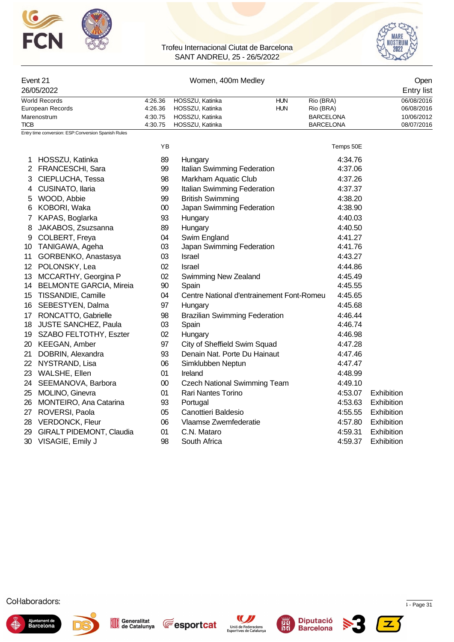



|             | Event 21<br>26/05/2022                                  |                               | Open<br><b>Entry list</b>                             |                                            |                                        |            |
|-------------|---------------------------------------------------------|-------------------------------|-------------------------------------------------------|--------------------------------------------|----------------------------------------|------------|
|             | <b>World Records</b><br>European Records<br>Marenostrum | 4:26.36<br>4:26.36<br>4:30.75 | HOSSZU, Katinka<br>HOSSZU, Katinka<br>HOSSZU, Katinka | Rio (BRA)<br>Rio (BRA)<br><b>BARCELONA</b> | 06/08/2016<br>06/08/2016<br>10/06/2012 |            |
| <b>TICB</b> |                                                         | 4:30.75                       | HOSSZU, Katinka                                       |                                            | <b>BARCELONA</b>                       | 08/07/2016 |
|             | Entry time conversion: ESP:Conversion Spanish Rules     |                               |                                                       |                                            |                                        |            |
|             |                                                         | <b>YB</b>                     |                                                       |                                            | Temps 50E                              |            |
| 1           | HOSSZU, Katinka                                         | 89                            | Hungary                                               |                                            | 4:34.76                                |            |
|             | 2 FRANCESCHI, Sara                                      | 99                            | Italian Swimming Federation                           |                                            | 4:37.06                                |            |
| 3           | CIEPLUCHA, Tessa                                        | 98                            | Markham Aquatic Club                                  |                                            | 4:37.26                                |            |
| 4           | CUSINATO, Ilaria                                        | 99                            | Italian Swimming Federation                           |                                            | 4:37.37                                |            |
| 5           | WOOD, Abbie                                             | 99                            | <b>British Swimming</b>                               |                                            | 4:38.20                                |            |
| 6           | KOBORI, Waka                                            | 00                            | Japan Swimming Federation                             |                                            | 4:38.90                                |            |
| 7           | KAPAS, Boglarka                                         | 93                            | Hungary                                               |                                            | 4:40.03                                |            |
| 8           | JAKABOS, Zsuzsanna                                      | 89                            | Hungary                                               |                                            | 4:40.50                                |            |
| 9           | COLBERT, Freya                                          | 04                            | Swim England                                          |                                            | 4:41.27                                |            |
|             | 10 TANIGAWA, Ageha                                      | 03                            | Japan Swimming Federation                             |                                            | 4:41.76                                |            |
| 11          | GORBENKO, Anastasya                                     | 03                            | Israel                                                |                                            | 4:43.27                                |            |
|             | 12 POLONSKY, Lea                                        | 02                            | <b>Israel</b>                                         |                                            | 4:44.86                                |            |
|             | 13 MCCARTHY, Georgina P                                 | 02                            | Swimming New Zealand                                  |                                            | 4:45.49                                |            |
|             | 14 BELMONTE GARCIA, Mireia                              | 90                            | Spain                                                 |                                            | 4:45.55                                |            |
|             | 15 TISSANDIE, Camille                                   | 04                            | Centre National d'entrainement Font-Romeu             |                                            | 4:45.65                                |            |
|             | 16 SEBESTYEN, Dalma                                     | 97                            | Hungary                                               |                                            | 4:45.68                                |            |
|             | 17 RONCATTO, Gabrielle                                  | 98                            | <b>Brazilian Swimming Federation</b>                  |                                            | 4:46.44                                |            |
|             | 18 JUSTE SANCHEZ, Paula                                 | 03                            | Spain                                                 |                                            | 4:46.74                                |            |
|             | 19 SZABO FELTOTHY, Eszter                               | 02                            | Hungary                                               |                                            | 4:46.98                                |            |
|             | 20 KEEGAN, Amber                                        | 97                            | City of Sheffield Swim Squad                          |                                            | 4:47.28                                |            |
| 21          | DOBRIN, Alexandra                                       | 93                            | Denain Nat. Porte Du Hainaut                          |                                            | 4:47.46                                |            |
|             | 22 NYSTRAND, Lisa                                       | 06                            | Simklubben Neptun                                     |                                            | 4:47.47                                |            |
|             | 23 WALSHE, Ellen                                        | 01                            | Ireland                                               |                                            | 4:48.99                                |            |
| 24          | SEEMANOVA, Barbora                                      | $00\,$                        | <b>Czech National Swimming Team</b>                   |                                            | 4:49.10                                |            |
| 25          | MOLINO, Ginevra                                         | 01                            | <b>Rari Nantes Torino</b>                             |                                            | 4:53.07                                | Exhibition |
| 26          | <b>MONTEIRO, Ana Catarina</b>                           | 93                            | Portugal                                              |                                            | 4:53.63                                | Exhibition |
| 27          | ROVERSI, Paola                                          | 05                            | Canottieri Baldesio                                   |                                            | 4:55.55                                | Exhibition |
| 28          | <b>VERDONCK, Fleur</b>                                  | 06                            | Vlaamse Zwemfederatie                                 |                                            | 4:57.80                                | Exhibition |
| 29          | <b>GIRALT PIDEMONT, Claudia</b>                         | 01                            | C.N. Mataro                                           |                                            | 4:59.31                                | Exhibition |
|             | 30 VISAGIE, Emily J                                     | 98                            | South Africa                                          |                                            | 4:59.37                                | Exhibition |













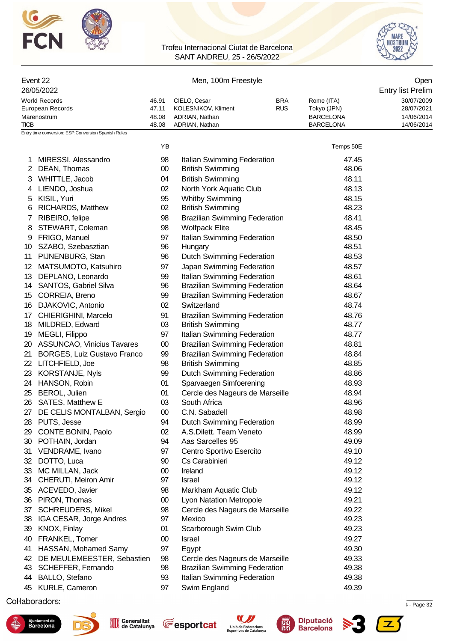



| Event 22         |                                                     |                | Open                                 |            |                                      |                          |
|------------------|-----------------------------------------------------|----------------|--------------------------------------|------------|--------------------------------------|--------------------------|
|                  | 26/05/2022                                          |                | <b>Entry list Prelim</b>             |            |                                      |                          |
|                  | <b>World Records</b>                                | 46.91          | CIELO, Cesar                         | <b>BRA</b> | Rome (ITA)                           | 30/07/2009               |
|                  | European Records                                    | 47.11          | KOLESNIKOV, Kliment                  | <b>RUS</b> | Tokyo (JPN)                          | 28/07/2021               |
| <b>TICB</b>      | Marenostrum                                         | 48.08<br>48.08 | ADRIAN, Nathan<br>ADRIAN, Nathan     |            | <b>BARCELONA</b><br><b>BARCELONA</b> | 14/06/2014<br>14/06/2014 |
|                  | Entry time conversion: ESP:Conversion Spanish Rules |                |                                      |            |                                      |                          |
|                  |                                                     | YB             |                                      |            | Temps 50E                            |                          |
|                  | MIRESSI, Alessandro                                 | 98             | Italian Swimming Federation          |            | 47.45                                |                          |
| 2                | DEAN, Thomas                                        | $00\,$         | <b>British Swimming</b>              |            | 48.06                                |                          |
| 3                | WHITTLE, Jacob                                      | 04             | <b>British Swimming</b>              |            | 48.11                                |                          |
| 4                | LIENDO, Joshua                                      | 02             | North York Aquatic Club              |            | 48.13                                |                          |
| 5                | KISIL, Yuri                                         | 95             | <b>Whitby Swimming</b>               |            | 48.15                                |                          |
| 6                | RICHARDS, Matthew                                   | 02             | <b>British Swimming</b>              |            | 48.23                                |                          |
| 7                | RIBEIRO, felipe                                     | 98             | <b>Brazilian Swimming Federation</b> |            | 48.41                                |                          |
| 8                | STEWART, Coleman                                    | 98             | <b>Wolfpack Elite</b>                |            | 48.45                                |                          |
| 9                | FRIGO, Manuel                                       | 97             | Italian Swimming Federation          |            | 48.50                                |                          |
| 10               | SZABO, Szebasztian                                  | 96             | Hungary                              |            | 48.51                                |                          |
| 11               | PIJNENBURG, Stan                                    | 96             | <b>Dutch Swimming Federation</b>     |            | 48.53                                |                          |
| 12 <sup>12</sup> | MATSUMOTO, Katsuhiro                                | 97             | Japan Swimming Federation            |            | 48.57                                |                          |
| 13               | DEPLANO, Leonardo                                   | 99             | Italian Swimming Federation          |            | 48.61                                |                          |
| 14               | <b>SANTOS, Gabriel Silva</b>                        | 96             | <b>Brazilian Swimming Federation</b> |            | 48.64                                |                          |
| 15               | CORREIA, Breno                                      | 99             | <b>Brazilian Swimming Federation</b> |            | 48.67                                |                          |
| 16               | DJAKOVIC, Antonio                                   | 02             | Switzerland                          |            | 48.74                                |                          |
| 17               | CHIERIGHINI, Marcelo                                | 91             | <b>Brazilian Swimming Federation</b> |            | 48.76                                |                          |
| 18               | MILDRED, Edward                                     | 03             | <b>British Swimming</b>              |            | 48.77                                |                          |
| 19               | MEGLI, Filippo                                      | 97             | Italian Swimming Federation          |            | 48.77                                |                          |
|                  | 20 ASSUNCAO, Vinicius Tavares                       | $00\,$         | <b>Brazilian Swimming Federation</b> |            | 48.81                                |                          |
| 21               | <b>BORGES, Luiz Gustavo Franco</b>                  | 99             | <b>Brazilian Swimming Federation</b> |            | 48.84                                |                          |
|                  | 22 LITCHFIELD, Joe                                  | 98             | <b>British Swimming</b>              |            | 48.85                                |                          |
| 23               | <b>KORSTANJE, Nyls</b>                              | 99             | <b>Dutch Swimming Federation</b>     |            | 48.86                                |                          |
| 24               | HANSON, Robin                                       | 01             | Sparvaegen Simfoerening              |            | 48.93                                |                          |
| 25               | <b>BEROL, Julien</b>                                | 01             | Cercle des Nageurs de Marseille      |            | 48.94                                |                          |
|                  | 26 SATES, Matthew E                                 | 03             | South Africa                         |            | 48.96                                |                          |
|                  | 27 DE CELIS MONTALBAN, Sergio                       | $00\,$         | C.N. Sabadell                        |            | 48.98                                |                          |
|                  | 28 PUTS, Jesse                                      | 94             | <b>Dutch Swimming Federation</b>     |            | 48.99                                |                          |
|                  | 29 CONTE BONIN, Paolo                               | 02             | A.S.Dilett. Team Veneto              |            | 48.99                                |                          |
|                  | 30 POTHAIN, Jordan                                  | 94             | Aas Sarcelles 95                     |            | 49.09                                |                          |
| 31               | VENDRAME, Ivano                                     | 97             | Centro Sportivo Esercito             |            | 49.10                                |                          |
|                  | 32 DOTTO, Luca                                      | 90             | Cs Carabinieri                       |            | 49.12                                |                          |
|                  | 33 MC MILLAN, Jack                                  | $00\,$         | Ireland                              |            | 49.12                                |                          |
|                  | 34 CHERUTI, Meiron Amir                             | 97             | Israel                               |            | 49.12                                |                          |
|                  | 35 ACEVEDO, Javier                                  | 98             | Markham Aquatic Club                 |            | 49.12                                |                          |
|                  | 36 PIRON, Thomas                                    | $00\,$         | Lyon Natation Metropole              |            | 49.21                                |                          |
|                  | 37 SCHREUDERS, Mikel                                | 98             | Cercle des Nageurs de Marseille      |            | 49.22                                |                          |
| 38               | IGA CESAR, Jorge Andres                             | 97             | Mexico                               |            | 49.23                                |                          |
| 39               | KNOX, Finlay                                        | 01             | Scarborough Swim Club                |            | 49.23                                |                          |
| 40               | FRANKEL, Tomer                                      | $00\,$         | Israel                               |            | 49.27                                |                          |
| 41               | HASSAN, Mohamed Samy                                | 97             | Egypt                                |            | 49.30                                |                          |
| 42               | DE MEULEMEESTER, Sebastien                          | 98             | Cercle des Nageurs de Marseille      |            | 49.33                                |                          |
| 43               | SCHEFFER, Fernando                                  | 98             | <b>Brazilian Swimming Federation</b> |            | 49.38                                |                          |
| 44               | BALLO, Stefano                                      | 93             | Italian Swimming Federation          |            | 49.38                                |                          |
|                  | 45 KURLE, Cameron                                   | 97             | Swim England                         |            | 49.39                                |                          |

 $\mu$  . Page 32  $\mu$  . Page 32  $\mu$  . The cataluna 12/05/2022 12:34  $\mu$  - Page 32  $\mu$  - Page 32











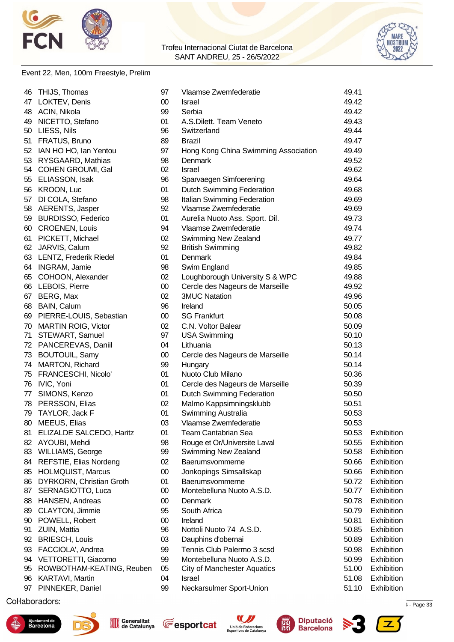



### Event 22, Men, 100m Freestyle, Prelim

| 46 | THIJS, Thomas                   | 97     | Vlaamse Zwemfederatie                | 49.41 |            |
|----|---------------------------------|--------|--------------------------------------|-------|------------|
| 47 | LOKTEV, Denis                   | $00\,$ | Israel                               | 49.42 |            |
| 48 | ACIN, Nikola                    | 99     | Serbia                               | 49.42 |            |
| 49 | NICETTO, Stefano                | 01     | A.S.Dilett. Team Veneto              | 49.43 |            |
|    | 50 LIESS, Nils                  | 96     | Switzerland                          | 49.44 |            |
|    | 51 FRATUS, Bruno                | 89     | <b>Brazil</b>                        | 49.47 |            |
|    | 52 IAN HO HO, Ian Yentou        | 97     | Hong Kong China Swimming Association | 49.49 |            |
|    | 53 RYSGAARD, Mathias            | 98     | Denmark                              | 49.52 |            |
|    | 54 COHEN GROUMI, Gal            | 02     | Israel                               | 49.62 |            |
| 55 | ELIASSON, Isak                  | 96     | Sparvaegen Simfoerening              | 49.64 |            |
|    | 56 KROON, Luc                   | 01     | <b>Dutch Swimming Federation</b>     | 49.68 |            |
|    | 57 DI COLA, Stefano             | 98     | Italian Swimming Federation          | 49.69 |            |
|    | 58 AERENTS, Jasper              | 92     | Vlaamse Zwemfederatie                | 49.69 |            |
|    | 59 BURDISSO, Federico           | 01     | Aurelia Nuoto Ass. Sport. Dil.       | 49.73 |            |
|    | 60 CROENEN, Louis               | 94     | Vlaamse Zwemfederatie                | 49.74 |            |
|    | 61 PICKETT, Michael             | 02     | Swimming New Zealand                 | 49.77 |            |
|    | 62 JARVIS, Calum                | 92     | <b>British Swimming</b>              | 49.82 |            |
|    | 63 LENTZ, Frederik Riedel       | 01     | Denmark                              | 49.84 |            |
|    | 64 INGRAM, Jamie                | 98     | Swim England                         | 49.85 |            |
|    | 65 COHOON, Alexander            | 02     | Loughborough University S & WPC      | 49.88 |            |
|    | 66 LEBOIS, Pierre               | $00\,$ | Cercle des Nageurs de Marseille      | 49.92 |            |
|    |                                 | 02     | <b>3MUC Natation</b>                 | 49.96 |            |
|    | 67 BERG, Max                    |        |                                      |       |            |
|    | 68 BAIN, Calum                  | 96     | Ireland                              | 50.05 |            |
|    | 69 PIERRE-LOUIS, Sebastian      | $00\,$ | <b>SG Frankfurt</b>                  | 50.08 |            |
|    | 70 MARTIN ROIG, Victor          | 02     | C.N. Voltor Balear                   | 50.09 |            |
| 71 | STEWART, Samuel                 | 97     | <b>USA Swimming</b>                  | 50.10 |            |
|    | 72 PANCEREVAS, Daniil           | 04     | Lithuania                            | 50.13 |            |
|    | 73 BOUTOUIL, Samy               | 00     | Cercle des Nageurs de Marseille      | 50.14 |            |
|    | 74 MARTON, Richard              | 99     | Hungary                              | 50.14 |            |
|    | 75 FRANCESCHI, Nicolo'          | 01     | Nuoto Club Milano                    | 50.36 |            |
|    | 76 IVIC, Yoni                   | 01     | Cercle des Nageurs de Marseille      | 50.39 |            |
|    | 77 SIMONS, Kenzo                | 01     | <b>Dutch Swimming Federation</b>     | 50.50 |            |
|    | 78 PERSSON, Elias               | 02     | Malmo Kappsimningsklubb              | 50.51 |            |
| 79 | TAYLOR, Jack F                  | 01     | Swimming Australia                   | 50.53 |            |
|    | 80 MEEUS, Elias                 | 03     | Vlaamse Zwemfederatie                | 50.53 |            |
|    | 81 ELIZALDE SALCEDO, Haritz     | 01     | Team Cantabrian Sea                  | 50.53 | Exhibition |
|    | 82 AYOUBI, Mehdi                | 98     | Rouge et Or/Universite Laval         | 50.55 | Exhibition |
|    | 83 WILLIAMS, George             | 99     | Swimming New Zealand                 | 50.58 | Exhibition |
|    | 84 REFSTIE, Elias Nordeng       | 02     | Baerumsvommerne                      | 50.66 | Exhibition |
| 85 | <b>HOLMQUIST, Marcus</b>        | 00     | Jonkopings Simsallskap               | 50.66 | Exhibition |
| 86 | <b>DYRKORN, Christian Groth</b> | 01     | Baerumsvommerne                      | 50.72 | Exhibition |
| 87 | SERNAGIOTTO, Luca               | $00\,$ | Montebelluna Nuoto A.S.D.            | 50.77 | Exhibition |
| 88 | <b>HANSEN, Andreas</b>          | $00\,$ | Denmark                              | 50.78 | Exhibition |
| 89 | <b>CLAYTON, Jimmie</b>          | 95     | South Africa                         | 50.79 | Exhibition |
| 90 | POWELL, Robert                  | $00\,$ | Ireland                              | 50.81 | Exhibition |
| 91 | ZUIN, Mattia                    | 96     | Nottoli Nuoto 74 A.S.D.              | 50.85 | Exhibition |
| 92 | <b>BRIESCH, Louis</b>           | 03     | Dauphins d'obernai                   | 50.89 | Exhibition |
| 93 | FACCIOLA', Andrea               | 99     | Tennis Club Palermo 3 scsd           | 50.98 | Exhibition |
| 94 | VETTORETTI, Giacomo             | 99     | Montebelluna Nuoto A.S.D.            | 50.99 | Exhibition |
| 95 | ROWBOTHAM-KEATING, Reuben       | 05     | <b>City of Manchester Aquatics</b>   | 51.00 | Exhibition |
| 96 | KARTAVI, Martin                 | 04     | Israel                               | 51.08 | Exhibition |
|    | 97 PINNEKER, Daniel             | 99     | Neckarsulmer Sport-Union             | 51.10 | Exhibition |
|    |                                 |        |                                      |       |            |

 $\mu$  . Page 33  $\mu$  . Page 33  $\mu$  . The cataluna  $\mu$  is calculated to  $\mu$  is  $\mu$  is  $\mu$  is  $\mu$  is  $\mu$  is  $\mu$  is  $\mu$  is  $\mu$  is  $\mu$  is  $\mu$  is  $\mu$  is  $\mu$  is  $\mu$  is  $\mu$  is  $\mu$  is  $\mu$  is  $\mu$  is  $\mu$  is  $\mu$ 











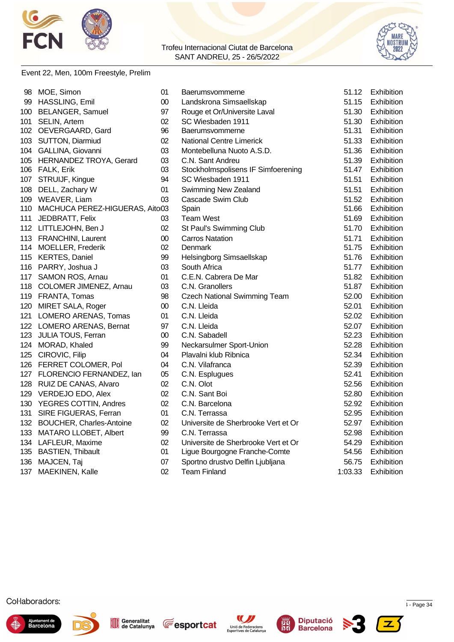



#### Event 22, Men, 100m Freestyle, Prelim

|     | 98 MOE, Simon                      | 01     | Baerumsvommerne                     | 51.12   | Exhibition        |
|-----|------------------------------------|--------|-------------------------------------|---------|-------------------|
|     | 99 HASSLING, Emil                  | $00\,$ | Landskrona Simsaellskap             | 51.15   | Exhibition        |
|     | 100 BELANGER, Samuel               | 97     | Rouge et Or/Universite Laval        | 51.30   | <b>Exhibition</b> |
| 101 | SELIN, Artem                       | 02     | SC Wiesbaden 1911                   | 51.30   | Exhibition        |
|     | 102 OEVERGAARD, Gard               | 96     | Baerumsvommerne                     | 51.31   | Exhibition        |
|     | 103 SUTTON, Diarmiud               | 02     | <b>National Centre Limerick</b>     | 51.33   | Exhibition        |
|     | 104 GALLINA, Giovanni              | 03     | Montebelluna Nuoto A.S.D.           | 51.36   | Exhibition        |
|     | 105 HERNANDEZ TROYA, Gerard        | 03     | C.N. Sant Andreu                    | 51.39   | Exhibition        |
|     | 106 FALK, Erik                     | 03     | Stockholmspolisens IF Simfoerening  | 51.47   | Exhibition        |
|     | 107 STRUIJF, Kingue                | 94     | SC Wiesbaden 1911                   | 51.51   | Exhibition        |
|     | 108 DELL, Zachary W                | 01     | Swimming New Zealand                | 51.51   | Exhibition        |
|     | 109 WEAVER, Liam                   | 03     | Cascade Swim Club                   | 51.52   | Exhibition        |
|     | 110 MACHUCA PEREZ-HIGUERAS, Aito03 |        | Spain                               | 51.66   | Exhibition        |
| 111 | JEDBRATT, Felix                    | 03     | Team West                           | 51.69   | Exhibition        |
|     | 112 LITTLEJOHN, Ben J              | 02     | St Paul's Swimming Club             | 51.70   | Exhibition        |
|     | 113 FRANCHINI, Laurent             | 00     | <b>Carros Natation</b>              | 51.71   | Exhibition        |
|     | 114 MOELLER, Frederik              | 02     | Denmark                             | 51.75   | Exhibition        |
|     | 115 KERTES, Daniel                 | 99     | Helsingborg Simsaellskap            | 51.76   | <b>Exhibition</b> |
|     | 116 PARRY, Joshua J                | 03     | South Africa                        | 51.77   | Exhibition        |
|     | 117 SAMON ROS, Arnau               | 01     | C.E.N. Cabrera De Mar               | 51.82   | Exhibition        |
|     | 118 COLOMER JIMENEZ, Arnau         | 03     | C.N. Granollers                     | 51.87   | Exhibition        |
|     | 119 FRANTA, Tomas                  | 98     | <b>Czech National Swimming Team</b> | 52.00   | Exhibition        |
|     | 120 MIRET SALA, Roger              | $00\,$ | C.N. Lleida                         | 52.01   | Exhibition        |
|     | 121 LOMERO ARENAS, Tomas           | 01     | C.N. Lleida                         | 52.02   | Exhibition        |
|     | 122 LOMERO ARENAS, Bernat          | 97     | C.N. Lleida                         | 52.07   | Exhibition        |
|     | 123 JULIA TOUS, Ferran             | 00     | C.N. Sabadell                       | 52.23   | Exhibition        |
|     | 124 MORAD, Khaled                  | 99     | Neckarsulmer Sport-Union            | 52.28   | Exhibition        |
|     | 125 CIROVIC, Filip                 | 04     | Plavalni klub Ribnica               | 52.34   | Exhibition        |
|     | 126 FERRET COLOMER, Pol            | 04     | C.N. Vilafranca                     | 52.39   | Exhibition        |
|     | 127 FLORENCIO FERNANDEZ, lan       | 05     | C.N. Esplugues                      | 52.41   | Exhibition        |
|     | 128 RUIZ DE CANAS, Alvaro          | 02     | C.N. Olot                           | 52.56   | Exhibition        |
|     | 129 VERDEJO EDO, Alex              | 02     | C.N. Sant Boi                       | 52.80   | Exhibition        |
|     | 130 YEGRES COTTIN, Andres          | 02     | C.N. Barcelona                      | 52.92   | Exhibition        |
|     | 131 SIRE FIGUERAS, Ferran          | 01     | C.N. Terrassa                       | 52.95   | Exhibition        |
|     | 132 BOUCHER, Charles-Antoine       | 02     | Universite de Sherbrooke Vert et Or | 52.97   | Exhibition        |
|     | 133 MATARO LLOBET, Albert          | 99     | C.N. Terrassa                       | 52.98   | Exhibition        |
|     | 134 LAFLEUR, Maxime                | 02     | Universite de Sherbrooke Vert et Or | 54.29   | Exhibition        |
|     | 135 BASTIEN, Thibault              | 01     | Ligue Bourgogne Franche-Comte       | 54.56   | Exhibition        |
|     | 136 MAJCEN, Taj                    | 07     | Sportno drustvo Delfin Ljubljana    | 56.75   | Exhibition        |
| 137 | MAEKINEN, Kalle                    | 02     | <b>Team Finland</b>                 | 1:03.33 | Exhibition        |













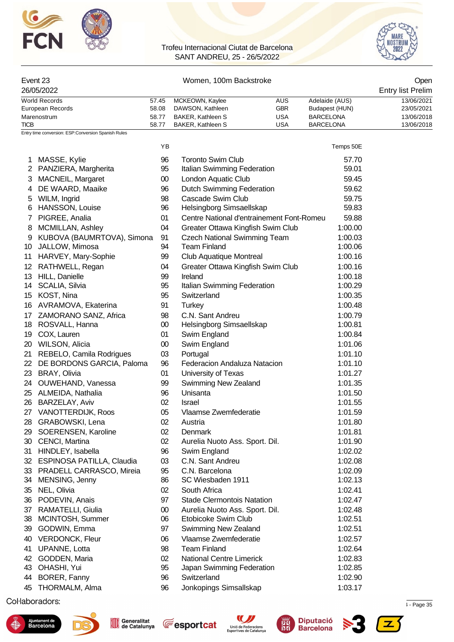



#### Event 23 Channels Communication Communication Communication Communication Communication Communication Communication Communication Communication Communication Communication Communication Communication Communication Communic

| 26/05/2022       |       |                   |     |                  | <b>Entry list Prelim</b> |
|------------------|-------|-------------------|-----|------------------|--------------------------|
| World Records    | 57.45 | MCKEOWN, Kaylee   | AUS | Adelaide (AUS)   | 13/06/2021               |
| European Records | 58.08 | DAWSON, Kathleen  | GBR | Budapest (HUN)   | 23/05/2021               |
| Marenostrum      | 58.77 | BAKER, Kathleen S | USA | <b>BARCELONA</b> | 13/06/2018               |
| <b>TICB</b>      | 58.77 | BAKER, Kathleen S | USA | <b>BARCELONA</b> | 13/06/2018               |

YB Temps 50E

Entry time conversion: ESP:Conversion Spanish Rules

| 1            | MASSE, Kylie               | 96     | <b>Toronto Swim Club</b>                  | 57.70   |
|--------------|----------------------------|--------|-------------------------------------------|---------|
| $\mathbf{2}$ | PANZIERA, Margherita       | 95     | Italian Swimming Federation               | 59.01   |
| 3            | <b>MACNEIL, Margaret</b>   | $00\,$ | London Aquatic Club                       | 59.45   |
| 4            | DE WAARD, Maaike           | 96     | <b>Dutch Swimming Federation</b>          | 59.62   |
| 5            | WILM, Ingrid               | 98     | Cascade Swim Club                         | 59.75   |
| 6            | HANSSON, Louise            | 96     | Helsingborg Simsaellskap                  | 59.83   |
| 7            | PIGREE, Analia             | 01     | Centre National d'entrainement Font-Romeu | 59.88   |
| 8            | MCMILLAN, Ashley           | 04     | Greater Ottawa Kingfish Swim Club         | 1:00.00 |
| 9            | KUBOVA (BAUMRTOVA), Simona | 91     | <b>Czech National Swimming Team</b>       | 1:00.03 |
| 10           | JALLOW, Mimosa             | 94     | <b>Team Finland</b>                       | 1:00.06 |
| 11           | HARVEY, Mary-Sophie        | 99     | Club Aquatique Montreal                   | 1:00.16 |
| 12           | RATHWELL, Regan            | 04     | Greater Ottawa Kingfish Swim Club         | 1:00.16 |
|              | 13 HILL, Danielle          | 99     | Ireland                                   | 1:00.18 |
|              | 14 SCALIA, Silvia          | 95     | Italian Swimming Federation               | 1:00.29 |
| 15           | KOST, Nina                 | 95     | Switzerland                               | 1:00.35 |
| 16           | AVRAMOVA, Ekaterina        | 91     | <b>Turkey</b>                             | 1:00.48 |
| 17           | ZAMORANO SANZ, Africa      | 98     | C.N. Sant Andreu                          | 1:00.79 |
| 18           | ROSVALL, Hanna             | $00\,$ | Helsingborg Simsaellskap                  | 1:00.81 |
| 19           | COX, Lauren                | 01     | Swim England                              | 1:00.84 |
| 20           | WILSON, Alicia             | $00\,$ | Swim England                              | 1:01.06 |
| 21           | REBELO, Camila Rodrigues   | 03     | Portugal                                  | 1:01.10 |
| 22           | DE BORDONS GARCIA, Paloma  | 96     | Federacion Andaluza Natacion              | 1:01.10 |
| 23           | BRAY, Olivia               | 01     | University of Texas                       | 1:01.27 |
| 24           | OUWEHAND, Vanessa          | 99     | Swimming New Zealand                      | 1:01.35 |
| 25           | ALMEIDA, Nathalia          | 96     | Unisanta                                  | 1:01.50 |
| 26           | <b>BARZELAY, Aviv</b>      | 02     | Israel                                    | 1:01.55 |
| 27           | VANOTTERDIJK, Roos         | 05     | Vlaamse Zwemfederatie                     | 1:01.59 |
| 28           | GRABOWSKI, Lena            | 02     | Austria                                   | 1:01.80 |
| 29           | SOERENSEN, Karoline        | 02     | Denmark                                   | 1:01.81 |
| 30           | CENCI, Martina             | 02     | Aurelia Nuoto Ass. Sport. Dil.            | 1:01.90 |
| 31           | HINDLEY, Isabella          | 96     | Swim England                              | 1:02.02 |
| 32           | ESPINOSA PATILLA, Claudia  | 03     | C.N. Sant Andreu                          | 1:02.08 |
| 33           | PRADELL CARRASCO, Mireia   | 95     | C.N. Barcelona                            | 1:02.09 |
| 34           | MENSING, Jenny             | 86     | SC Wiesbaden 1911                         | 1:02.13 |
| 35           | NEL, Olivia                | 02     | South Africa                              | 1:02.41 |
| 36           | PODEVIN, Anais             | 97     | <b>Stade Clermontois Natation</b>         | 1:02.47 |
| 37           | RAMATELLI, Giulia          | $00\,$ | Aurelia Nuoto Ass. Sport. Dil.            | 1:02.48 |
| 38           | MCINTOSH, Summer           | 06     | Etobicoke Swim Club                       | 1:02.51 |
| 39           | GODWIN, Emma               | 97     | Swimming New Zealand                      | 1:02.51 |
| 40           | VERDONCK, Fleur            | 06     | Vlaamse Zwemfederatie                     | 1:02.57 |
| 41           | UPANNE, Lotta              | 98     | <b>Team Finland</b>                       | 1:02.64 |
| 42           | GODDEN, Maria              | 02     | <b>National Centre Limerick</b>           | 1:02.83 |
| 43           | OHASHI, Yui                | 95     | Japan Swimming Federation                 | 1:02.85 |
| 44           | BORER, Fanny               | 96     | Switzerland                               | 1:02.90 |
| 45           | THORMALM, Alma             | 96     | Jonkopings Simsallskap                    | 1:03.17 |
|              |                            |        |                                           |         |

 $\mu$  . Page 35  $\mu$  . Page 35  $\mu$  . The cataluna 12/05/2022 12:34  $\mu$  . Page 35  $\mu$  . Page 35











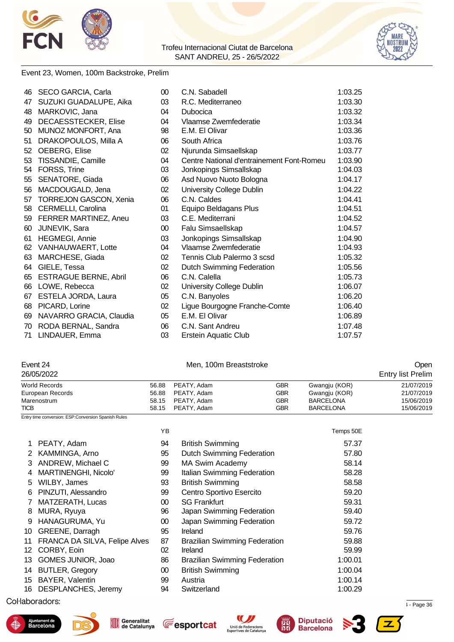



#### Event 23, Women, 100m Backstroke, Prelim

| 46 | SECO GARCIA, Carla            | 00     | C.N. Sabadell                             | 1:03.25 |
|----|-------------------------------|--------|-------------------------------------------|---------|
| 47 | SUZUKI GUADALUPE, Aika        | 03     | R.C. Mediterraneo                         | 1:03.30 |
| 48 | MARKOVIC, Jana                | 04     | Dubocica                                  | 1:03.32 |
| 49 | DECAESSTECKER, Elise          | 04     | Vlaamse Zwemfederatie                     | 1:03.34 |
| 50 | MUNOZ MONFORT, Ana            | 98     | E.M. El Olivar                            | 1:03.36 |
| 51 | DRAKOPOULOS, Milla A          | 06     | South Africa                              | 1:03.76 |
| 52 | OEBERG, Elise                 | 02     | Njurunda Simsaellskap                     | 1:03.77 |
| 53 | TISSANDIE, Camille            | 04     | Centre National d'entrainement Font-Romeu | 1:03.90 |
| 54 | FORSS, Trine                  | 03     | Jonkopings Simsallskap                    | 1:04.03 |
| 55 | SENATORE, Giada               | 06     | Asd Nuovo Nuoto Bologna                   | 1:04.17 |
| 56 | MACDOUGALD, Jena              | 02     | University College Dublin                 | 1:04.22 |
| 57 | <b>TORREJON GASCON, Xenia</b> | 06     | C.N. Caldes                               | 1:04.41 |
| 58 | CERMELLI, Carolina            | 01     | Equipo Beldagans Plus                     | 1:04.51 |
| 59 | FERRER MARTINEZ, Aneu         | 03     | C.E. Mediterrani                          | 1:04.52 |
| 60 | <b>JUNEVIK, Sara</b>          | $00\,$ | Falu Simsaellskap                         | 1:04.57 |
| 61 | <b>HEGMEGI, Annie</b>         | 03     | Jonkopings Simsallskap                    | 1:04.90 |
|    | 62 VANHAUWAERT, Lotte         | 04     | Vlaamse Zwemfederatie                     | 1:04.93 |
| 63 | MARCHESE, Giada               | 02     | Tennis Club Palermo 3 scsd                | 1:05.32 |
| 64 | GIELE, Tessa                  | 02     | Dutch Swimming Federation                 | 1:05.56 |
| 65 | <b>ESTRAGUE BERNE, Abril</b>  | 06     | C.N. Calella                              | 1:05.73 |
| 66 | LOWE, Rebecca                 | 02     | University College Dublin                 | 1:06.07 |
| 67 | ESTELA JORDA, Laura           | 05     | C.N. Banyoles                             | 1:06.20 |
| 68 | PICARD, Lorine                | 02     | Ligue Bourgogne Franche-Comte             | 1:06.40 |
| 69 | NAVARRO GRACIA, Claudia       | 05     | E.M. El Olivar                            | 1:06.89 |
| 70 | RODA BERNAL, Sandra           | 06     | C.N. Sant Andreu                          | 1:07.48 |
| 71 | LINDAUER, Emma                | 03     | <b>Erstein Aquatic Club</b>               | 1:07.57 |

# Event 24 Open<br>
Men, 100m Breaststroke Channel Company of Channel Channel Channel Channel Channel Channel Channel Channel Channel Channel Channel Channel Channel Channel Channel Channel Channel Channel Channel Channel Chann

| 26/05/2022       |       |             |     |                  | <b>Entry list Prelim</b> |  |  |
|------------------|-------|-------------|-----|------------------|--------------------------|--|--|
| World Records    | 56.88 | PEATY, Adam | GBR | Gwangiu (KOR)    | 21/07/2019               |  |  |
| European Records | 56.88 | PEATY, Adam | GBR | Gwangiu (KOR)    | 21/07/2019               |  |  |
| Marenostrum      | 58.15 | PEATY, Adam | GBR | <b>BARCELONA</b> | 15/06/2019               |  |  |
| <b>TICB</b>      | 58.15 | PEATY, Adam | GBR | <b>BARCELONA</b> | 15/06/2019               |  |  |

Entry time conversion: ESP:Conversion Spanish Rules

|    |                               | ΥB |                                      | Temps 50E |
|----|-------------------------------|----|--------------------------------------|-----------|
|    | PEATY, Adam                   | 94 | <b>British Swimming</b>              | 57.37     |
|    | 2 KAMMINGA, Arno              | 95 | <b>Dutch Swimming Federation</b>     | 57.80     |
| 3  | ANDREW, Michael C             | 99 | <b>MA Swim Academy</b>               | 58.14     |
|    | <b>MARTINENGHI, Nicolo'</b>   | 99 | Italian Swimming Federation          | 58.28     |
| 5  | WILBY, James                  | 93 | <b>British Swimming</b>              | 58.58     |
| 6. | PINZUTI, Alessandro           | 99 | Centro Sportivo Esercito             | 59.20     |
|    | MATZERATH, Lucas              | 00 | <b>SG Frankfurt</b>                  | 59.31     |
| 8  | MURA, Ryuya                   | 96 | Japan Swimming Federation            | 59.40     |
| 9  | HANAGURUMA, Yu                | 00 | Japan Swimming Federation            | 59.72     |
| 10 | GREENE, Darragh               | 95 | Ireland                              | 59.76     |
| 11 | FRANCA DA SILVA, Felipe Alves | 87 | <b>Brazilian Swimming Federation</b> | 59.88     |
|    | 12 CORBY, Eoin                | 02 | Ireland                              | 59.99     |
| 13 | GOMES JUNIOR, Joao            | 86 | <b>Brazilian Swimming Federation</b> | 1:00.01   |
| 14 | <b>BUTLER, Gregory</b>        | 00 | <b>British Swimming</b>              | 1:00.04   |
| 15 | <b>BAYER, Valentin</b>        | 99 | Austria                              | 1:00.14   |
|    | 16 DESPLANCHES, Jeremy        | 94 | Switzerland                          | 1:00.29   |

### $\mu$  . Page 36  $\mu$  . Page 36  $\mu$  and  $\mu$  and  $\mu$  and  $\mu$  and  $\mu$  and  $\mu$  is  $\mu$  and  $\mu$  and  $\mu$  and  $\mu$  and  $\mu$  and  $\mu$  and  $\mu$  and  $\mu$  and  $\mu$  and  $\mu$  and  $\mu$  and  $\mu$  and  $\mu$  and  $\mu$  and  $\mu$  and  $\mu$











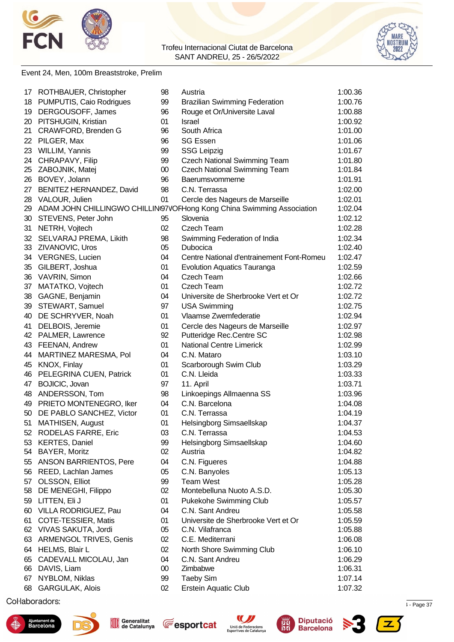



#### Event 24, Men, 100m Breaststroke, Prelim

| 17 | ROTHBAUER, Christopher        | 98     | Austria                                                               | 1:00.36 |
|----|-------------------------------|--------|-----------------------------------------------------------------------|---------|
| 18 | PUMPUTIS, Caio Rodrigues      | 99     | <b>Brazilian Swimming Federation</b>                                  | 1:00.76 |
| 19 | DERGOUSOFF, James             | 96     | Rouge et Or/Universite Laval                                          | 1:00.88 |
| 20 | PITSHUGIN, Kristian           | 01     | Israel                                                                | 1:00.92 |
| 21 | CRAWFORD, Brenden G           | 96     | South Africa                                                          | 1:01.00 |
| 22 | PILGER, Max                   | 96     | <b>SG Essen</b>                                                       | 1:01.06 |
| 23 | WILLIM, Yannis                | 99     | <b>SSG Leipzig</b>                                                    | 1:01.67 |
| 24 | CHRAPAVY, Filip               | 99     | <b>Czech National Swimming Team</b>                                   | 1:01.80 |
| 25 | ZABOJNIK, Matej               | $00\,$ | <b>Czech National Swimming Team</b>                                   | 1:01.84 |
| 26 | BOVEY, Jolann                 | 96     | Baerumsvommerne                                                       | 1:01.91 |
| 27 | BENITEZ HERNANDEZ, David      | 98     | C.N. Terrassa                                                         | 1:02.00 |
| 28 | VALOUR, Julien                | 01     | Cercle des Nageurs de Marseille                                       | 1:02.01 |
| 29 |                               |        | ADAM JOHN CHILLINGWO CHILLIN97VOFHong Kong China Swimming Association | 1:02.04 |
| 30 | STEVENS, Peter John           | 95     | Slovenia                                                              | 1:02.12 |
| 31 | NETRH, Vojtech                | 02     | Czech Team                                                            | 1:02.28 |
| 32 | SELVARAJ PREMA, Likith        | 98     | Swimming Federation of India                                          | 1:02.34 |
|    | 33 ZIVANOVIC, Uros            | 05     | Dubocica                                                              | 1:02.40 |
| 34 | <b>VERGNES, Lucien</b>        | 04     | Centre National d'entrainement Font-Romeu                             | 1:02.47 |
| 35 | GILBERT, Joshua               | 01     | <b>Evolution Aquatics Tauranga</b>                                    | 1:02.59 |
| 36 | VAVRIN, Simon                 | 04     | Czech Team                                                            | 1:02.66 |
| 37 | MATATKO, Vojtech              | 01     | Czech Team                                                            | 1:02.72 |
| 38 | GAGNE, Benjamin               | 04     | Universite de Sherbrooke Vert et Or                                   | 1:02.72 |
| 39 | STEWART, Samuel               | 97     | <b>USA Swimming</b>                                                   | 1:02.75 |
| 40 | DE SCHRYVER, Noah             | 01     | Vlaamse Zwemfederatie                                                 | 1:02.94 |
| 41 | DELBOIS, Jeremie              | 01     | Cercle des Nageurs de Marseille                                       | 1:02.97 |
| 42 | PALMER, Lawrence              | 92     | Putteridge Rec.Centre SC                                              | 1:02.98 |
| 43 | FEENAN, Andrew                | 01     | <b>National Centre Limerick</b>                                       | 1:02.99 |
| 44 | MARTINEZ MARESMA, Pol         | 04     | C.N. Mataro                                                           | 1:03.10 |
| 45 | KNOX, Finlay                  | 01     | Scarborough Swim Club                                                 | 1:03.29 |
|    | 46 PELEGRINA CUEN, Patrick    | 01     | C.N. Lleida                                                           | 1:03.33 |
| 47 | <b>BOJICIC, Jovan</b>         | 97     | 11. April                                                             | 1:03.71 |
|    | 48 ANDERSSON, Tom             | 98     | Linkoepings Allmaenna SS                                              | 1:03.96 |
| 49 | PRIETO MONTENEGRO, Iker       | 04     | C.N. Barcelona                                                        | 1:04.08 |
| 50 | DE PABLO SANCHEZ, Victor      | 01     | C.N. Terrassa                                                         | 1:04.19 |
| 51 | <b>MATHISEN, August</b>       | 01     | Helsingborg Simsaellskap                                              | 1:04.37 |
| 52 | <b>RODELAS FARRE, Eric</b>    | 03     | C.N. Terrassa                                                         | 1:04.53 |
|    | 53 KERTES, Daniel             | 99     | Helsingborg Simsaellskap                                              | 1:04.60 |
|    | 54 BAYER, Moritz              | 02     | Austria                                                               | 1:04.82 |
|    | 55 ANSON BARRIENTOS, Pere     | 04     | C.N. Figueres                                                         | 1:04.88 |
| 56 | REED, Lachlan James           | 05     | C.N. Banyoles                                                         | 1:05.13 |
| 57 | OLSSON, Elliot                | 99     | <b>Team West</b>                                                      | 1:05.28 |
| 58 | DE MENEGHI, Filippo           | 02     | Montebelluna Nuoto A.S.D.                                             | 1:05.30 |
| 59 | LITTEN, Eli J                 | 01     | Pukekohe Swimming Club                                                | 1:05.57 |
| 60 | VILLA RODRIGUEZ, Pau          | 04     | C.N. Sant Andreu                                                      | 1:05.58 |
| 61 | COTE-TESSIER, Matis           | 01     | Universite de Sherbrooke Vert et Or                                   | 1:05.59 |
|    | 62 VIVAS SAKUTA, Jordi        | 05     | C.N. Vilafranca                                                       | 1:05.88 |
| 63 | <b>ARMENGOL TRIVES, Genis</b> | 02     | C.E. Mediterrani                                                      | 1:06.08 |
| 64 | <b>HELMS, Blair L</b>         | 02     | North Shore Swimming Club                                             | 1:06.10 |
| 65 | CADEVALL MICOLAU, Jan         | 04     | C.N. Sant Andreu                                                      | 1:06.29 |
| 66 | DAVIS, Liam                   | $00\,$ | Zimbabwe                                                              | 1:06.31 |
| 67 | NYBLOM, Niklas                | 99     | <b>Taeby Sim</b>                                                      | 1:07.14 |
| 68 | GARGULAK, Alois               | 02     | <b>Erstein Aquatic Club</b>                                           | 1:07.32 |
|    |                               |        |                                                                       |         |

 $\mu$  . Page 37.42967 Registered to  $\mu$  . Page 37.42967 Registered to  $\mu$  . Page 37.4  $\mu$ 











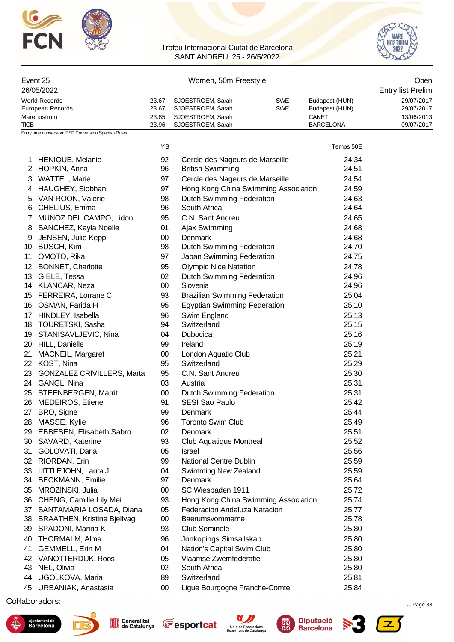



#### Event 25 Women, 50m Freestyle Open 26/05/2022 Entry list Prelim World Records 23.67 SJOESTROEM, Sarah SWE Budapest (HUN) 29/07/2017 European Records 23.67 SJOESTROEM, Sarah SWE Budapest (HUN) 29/07/2017 Marenostrum 13/06/2013<br>
23.85 SJOESTROEM, Sarah 13/06/2013<br>
23.96 SJOESTROEM, Sarah 13/06/2017 BARCELONA 13/06/2017 SJOESTROEM, Sarah

Entry time conversion: ESP:Conversion Spanish Rules

|                 |                                    | ΥB     |                                      | Temps 50E |
|-----------------|------------------------------------|--------|--------------------------------------|-----------|
|                 | 1 HENIQUE, Melanie                 | 92     | Cercle des Nageurs de Marseille      | 24.34     |
|                 | 2 HOPKIN, Anna                     | 96     | <b>British Swimming</b>              | 24.51     |
|                 | 3 WATTEL, Marie                    | 97     | Cercle des Nageurs de Marseille      | 24.54     |
| 4               | HAUGHEY, Siobhan                   | 97     | Hong Kong China Swimming Association | 24.59     |
| 5               | VAN ROON, Valerie                  | 98     | <b>Dutch Swimming Federation</b>     | 24.63     |
|                 | 6 CHELIUS, Emma                    | 96     | South Africa                         | 24.64     |
| 7               | MUNOZ DEL CAMPO, Lidon             | 95     | C.N. Sant Andreu                     | 24.65     |
| 8               | SANCHEZ, Kayla Noelle              | 01     | Ajax Swimming                        | 24.68     |
| 9               | JENSEN, Julie Kepp                 | $00\,$ | <b>Denmark</b>                       | 24.68     |
| 10              | <b>BUSCH, Kim</b>                  | 98     | <b>Dutch Swimming Federation</b>     | 24.70     |
| 11              | OMOTO, Rika                        | 97     | Japan Swimming Federation            | 24.75     |
| 12 <sup>°</sup> | <b>BONNET, Charlotte</b>           | 95     | <b>Olympic Nice Natation</b>         | 24.78     |
|                 | 13 GIELE, Tessa                    | 02     | <b>Dutch Swimming Federation</b>     | 24.96     |
|                 | 14 KLANCAR, Neza                   | $00\,$ | Slovenia                             | 24.96     |
|                 | 15 FERREIRA, Lorrane C             | 93     | <b>Brazilian Swimming Federation</b> | 25.04     |
|                 | 16 OSMAN, Farida H                 | 95     | <b>Egyptian Swimming Federation</b>  | 25.10     |
| 17 <sup>1</sup> | HINDLEY, Isabella                  | 96     | Swim England                         | 25.13     |
|                 | 18 TOURETSKI, Sasha                | 94     | Switzerland                          | 25.15     |
| 19              | STANISAVLJEVIC, Nina               | 04     | Dubocica                             | 25.16     |
| 20              | HILL, Danielle                     | 99     | Ireland                              | 25.19     |
| 21              | MACNEIL, Margaret                  | $00\,$ | London Aquatic Club                  | 25.21     |
|                 | 22 KOST, Nina                      | 95     | Switzerland                          | 25.29     |
| 23              | <b>GONZALEZ CRIVILLERS, Marta</b>  | 95     | C.N. Sant Andreu                     | 25.30     |
|                 | 24 GANGL, Nina                     | 03     | Austria                              | 25.31     |
| 25              | STEENBERGEN, Marrit                | $00\,$ | Dutch Swimming Federation            | 25.31     |
| 26              | <b>MEDEIROS, Etiene</b>            | 91     | SESI Sao Paulo                       | 25.42     |
| 27              | BRO, Signe                         | 99     | Denmark                              | 25.44     |
| 28              | MASSE, Kylie                       | 96     | <b>Toronto Swim Club</b>             | 25.49     |
| 29              | EBBESEN, Elisabeth Sabro           | 02     | Denmark                              | 25.51     |
| 30              | SAVARD, Katerine                   | 93     | Club Aquatique Montreal              | 25.52     |
| 31              | GOLOVATI, Daria                    | 05     | Israel                               | 25.56     |
| 32              | RIORDAN, Erin                      | 99     | <b>National Centre Dublin</b>        | 25.59     |
| 33              | LITTLEJOHN, Laura J                | 04     | Swimming New Zealand                 | 25.59     |
|                 | 34 BECKMANN, Emilie                | 97     | Denmark                              | 25.64     |
| 35              | MROZINSKI, Julia                   | $00\,$ | SC Wiesbaden 1911                    | 25.72     |
| 36              | CHENG, Camille Lily Mei            | 93     | Hong Kong China Swimming Association | 25.74     |
| 37              | SANTAMARIA LOSADA, Diana           | 05     | Federacion Andaluza Natacion         | 25.77     |
| 38              | <b>BRAATHEN, Kristine Bjellvag</b> | 00     | Baerumsvommerne                      | 25.78     |
| 39              | SPADONI, Marina K                  | 93     | <b>Club Seminole</b>                 | 25.80     |
| 40              | THORMALM, Alma                     | 96     | Jonkopings Simsallskap               | 25.80     |
| 41              | <b>GEMMELL, Erin M</b>             | 04     | Nation's Capital Swim Club           | 25.80     |
| 42              | VANOTTERDIJK, Roos                 | 05     | Vlaamse Zwemfederatie                | 25.80     |
| 43              | NEL, Olivia                        | 02     | South Africa                         | 25.80     |
| 44              | UGOLKOVA, Maria                    | 89     | Switzerland                          | 25.81     |
| 45              | URBANIAK, Anastasia                | $00\,$ | Ligue Bourgogne Franche-Comte        | 25.84     |
|                 |                                    |        |                                      |           |

 $\mu$  . Page 38  $\mu$  . Page 38  $\mu$  . Page 38  $\mu$  . Page 38  $\mu$  . Page 38  $\mu$  . Page 38  $\mu$  . Page 38









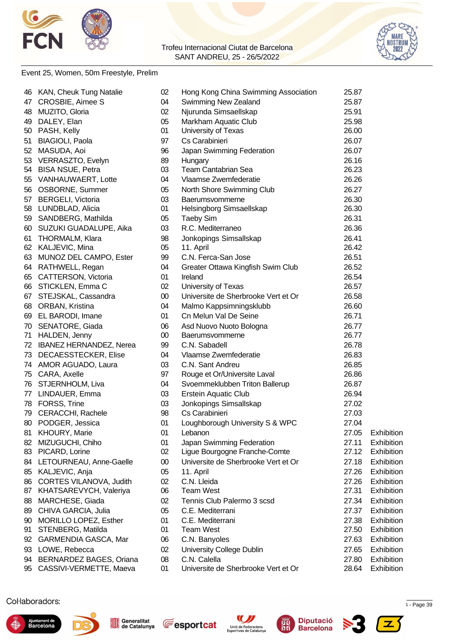



### Event 25, Women, 50m Freestyle, Prelim

|    | 46 KAN, Cheuk Tung Natalie | 02     | Hong Kong China Swimming Association | 25.87 |            |
|----|----------------------------|--------|--------------------------------------|-------|------------|
|    | 47 CROSBIE, Aimee S        | 04     | Swimming New Zealand                 | 25.87 |            |
|    | 48 MUZITO, Gloria          | 02     | Njurunda Simsaellskap                | 25.91 |            |
|    | 49 DALEY, Elan             | 05     | Markham Aquatic Club                 | 25.98 |            |
|    | 50 PASH, Kelly             | 01     | University of Texas                  | 26.00 |            |
|    | 51 BIAGIOLI, Paola         | 97     | Cs Carabinieri                       | 26.07 |            |
|    | 52 MASUDA, Aoi             | 96     | Japan Swimming Federation            | 26.07 |            |
|    | 53 VERRASZTO, Evelyn       | 89     | Hungary                              | 26.16 |            |
|    | 54 BISA NSUE, Petra        | 03     | <b>Team Cantabrian Sea</b>           | 26.23 |            |
|    | 55 VANHAUWAERT, Lotte      | 04     | Vlaamse Zwemfederatie                | 26.26 |            |
|    | 56 OSBORNE, Summer         | 05     | North Shore Swimming Club            | 26.27 |            |
|    | 57 BERGELI, Victoria       | 03     | Baerumsvommerne                      | 26.30 |            |
|    | 58 LUNDBLAD, Alicia        | 01     | Helsingborg Simsaellskap             | 26.30 |            |
|    | 59 SANDBERG, Mathilda      | 05     | <b>Taeby Sim</b>                     | 26.31 |            |
|    | 60 SUZUKI GUADALUPE, Aika  | 03     | R.C. Mediterraneo                    | 26.36 |            |
|    | 61 THORMALM, Klara         | 98     | Jonkopings Simsallskap               | 26.41 |            |
|    | 62 KALJEVIC, Mina          | 05     | 11. April                            | 26.42 |            |
|    | 63 MUNOZ DEL CAMPO, Ester  | 99     | C.N. Ferca-San Jose                  | 26.51 |            |
|    | 64 RATHWELL, Regan         | 04     | Greater Ottawa Kingfish Swim Club    | 26.52 |            |
|    | 65 CATTERSON, Victoria     | 01     | Ireland                              | 26.54 |            |
|    | 66 STICKLEN, Emma C        | 02     | University of Texas                  | 26.57 |            |
|    | 67 STEJSKAL, Cassandra     | $00\,$ | Universite de Sherbrooke Vert et Or  | 26.58 |            |
|    | 68 ORBAN, Kristina         | 04     | Malmo Kappsimningsklubb              | 26.60 |            |
|    | 69 EL BARODI, Imane        | 01     | Cn Melun Val De Seine                | 26.71 |            |
|    | 70 SENATORE, Giada         | 06     | Asd Nuovo Nuoto Bologna              | 26.77 |            |
|    | 71 HALDEN, Jenny           | $00\,$ | Baerumsvommerne                      | 26.77 |            |
|    | 72 IBANEZ HERNANDEZ, Nerea | 99     | C.N. Sabadell                        | 26.78 |            |
|    | 73 DECAESSTECKER, Elise    | 04     | Vlaamse Zwemfederatie                | 26.83 |            |
|    | 74 AMOR AGUADO, Laura      | 03     | C.N. Sant Andreu                     | 26.85 |            |
|    | 75 CARA, Axelle            | 97     | Rouge et Or/Universite Laval         | 26.86 |            |
|    | 76 STJERNHOLM, Liva        | 04     | Svoemmeklubben Triton Ballerup       | 26.87 |            |
|    | 77 LINDAUER, Emma          | 03     | <b>Erstein Aquatic Club</b>          | 26.94 |            |
|    | 78 FORSS, Trine            | 03     | Jonkopings Simsallskap               | 27.02 |            |
|    | 79 CERACCHI, Rachele       | 98     | Cs Carabinieri                       | 27.03 |            |
|    | 80 PODGER, Jessica         | 01     | Loughborough University S & WPC      | 27.04 |            |
|    | 81 KHOURY, Marie           | 01     | Lebanon                              | 27.05 | Exhibition |
|    | 82 MIZUGUCHI, Chiho        | 01     | Japan Swimming Federation            | 27.11 | Exhibition |
|    | 83 PICARD, Lorine          | 02     | Ligue Bourgogne Franche-Comte        | 27.12 | Exhibition |
|    | 84 LETOURNEAU, Anne-Gaelle | $00\,$ | Universite de Sherbrooke Vert et Or  | 27.18 | Exhibition |
|    | 85 KALJEVIC, Anja          | 05     | 11. April                            | 27.26 | Exhibition |
|    | 86 CORTES VILANOVA, Judith | 02     | C.N. Lleida                          | 27.26 | Exhibition |
|    | 87 KHATSAREVYCH, Valeriya  | 06     | <b>Team West</b>                     | 27.31 | Exhibition |
| 88 | MARCHESE, Giada            | 02     | Tennis Club Palermo 3 scsd           | 27.34 | Exhibition |
| 89 | CHIVA GARCIA, Julia        | 05     | C.E. Mediterrani                     | 27.37 | Exhibition |
| 90 | MORILLO LOPEZ, Esther      | 01     | C.E. Mediterrani                     | 27.38 | Exhibition |
| 91 | STENBERG, Matilda          | 01     | <b>Team West</b>                     | 27.50 | Exhibition |
|    | 92 GARMENDIA GASCA, Mar    | 06     | C.N. Banyoles                        | 27.63 | Exhibition |
|    | 93 LOWE, Rebecca           | 02     | <b>University College Dublin</b>     | 27.65 | Exhibition |
|    | 94 BERNARDEZ BAGES, Oriana | 08     | C.N. Calella                         | 27.80 | Exhibition |
|    | 95 CASSIVI-VERMETTE, Maeva | 01     | Universite de Sherbrooke Vert et Or  | 28.64 | Exhibition |
|    |                            |        |                                      |       |            |

 $\mu$  . Page 39  $\mu$  . Page 39  $\mu$  . The cataluna  $\mu$  is  $\mu$  and  $\mu$  is  $\mu$  and  $\mu$  is  $\mu$  -  $\mu$  and  $\mu$  is  $\mu$  is  $\mu$  is  $\mu$  is  $\mu$  is  $\mu$  is  $\mu$  is  $\mu$  is  $\mu$  is  $\mu$  is  $\mu$  is  $\mu$  is  $\mu$  is  $\mu$  is











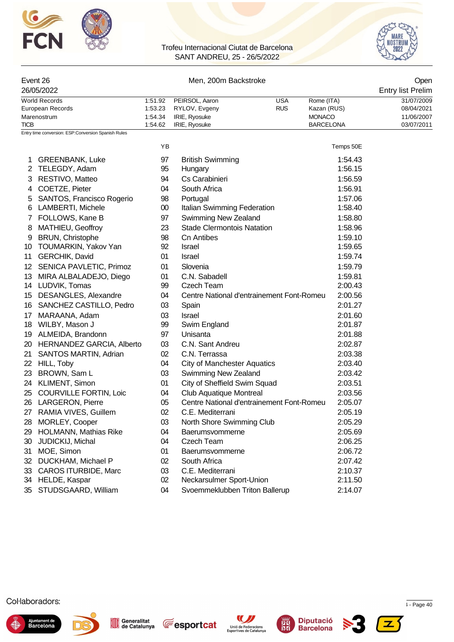



|      | Event 26                                                |                                          | Open                                                              |                          |                                                                |                                                      |
|------|---------------------------------------------------------|------------------------------------------|-------------------------------------------------------------------|--------------------------|----------------------------------------------------------------|------------------------------------------------------|
|      | 26/05/2022                                              |                                          | <b>Entry list Prelim</b>                                          |                          |                                                                |                                                      |
| TICB | <b>World Records</b><br>European Records<br>Marenostrum | 1:51.92<br>1:53.23<br>1.54.34<br>1:54.62 | PEIRSOL, Aaron<br>RYLOV, Evgeny<br>IRIE, Ryosuke<br>IRIE, Ryosuke | <b>USA</b><br><b>RUS</b> | Rome (ITA)<br>Kazan (RUS)<br><b>MONACO</b><br><b>BARCELONA</b> | 31/07/2009<br>08/04/2021<br>11/06/2007<br>03/07/2011 |
|      | Entry time conversion: ESP:Conversion Spanish Rules     |                                          |                                                                   |                          |                                                                |                                                      |
|      |                                                         | YB                                       |                                                                   |                          | Temps 50E                                                      |                                                      |
| 1    | <b>GREENBANK, Luke</b>                                  | 97                                       | <b>British Swimming</b>                                           |                          | 1:54.43                                                        |                                                      |
| 2    | TELEGDY, Adam                                           | 95                                       | Hungary                                                           |                          | 1:56.15                                                        |                                                      |
| 3    | RESTIVO, Matteo                                         | 94                                       | Cs Carabinieri                                                    |                          | 1:56.59                                                        |                                                      |
| 4    | COETZE, Pieter                                          | 04                                       | South Africa                                                      |                          | 1:56.91                                                        |                                                      |
| 5    | SANTOS, Francisco Rogerio                               | 98                                       | Portugal                                                          |                          | 1:57.06                                                        |                                                      |
| 6    | LAMBERTI, Michele                                       | $00\,$                                   | Italian Swimming Federation                                       |                          | 1:58.40                                                        |                                                      |
|      | FOLLOWS, Kane B                                         | 97                                       | Swimming New Zealand                                              |                          | 1:58.80                                                        |                                                      |
| 8    | MATHIEU, Geoffroy                                       | 23                                       | <b>Stade Clermontois Natation</b>                                 |                          | 1:58.96                                                        |                                                      |
| 9    | <b>BRUN, Christophe</b>                                 | 98                                       | <b>Cn Antibes</b>                                                 |                          | 1:59.10                                                        |                                                      |
| 10   | TOUMARKIN, Yakov Yan                                    | 92                                       | Israel                                                            |                          | 1:59.65                                                        |                                                      |
| 11   | GERCHIK, David                                          | 01                                       | <b>Israel</b>                                                     |                          | 1:59.74                                                        |                                                      |
|      | 12 SENICA PAVLETIC, Primoz                              | 01                                       | Slovenia                                                          |                          | 1:59.79                                                        |                                                      |
| 13   | MIRA ALBALADEJO, Diego                                  | 01                                       | C.N. Sabadell                                                     |                          | 1:59.81                                                        |                                                      |
|      | 14 LUDVIK, Tomas                                        | 99                                       | Czech Team                                                        |                          | 2:00.43                                                        |                                                      |
| 15   | <b>DESANGLES, Alexandre</b>                             | 04                                       | Centre National d'entrainement Font-Romeu                         |                          | 2:00.56                                                        |                                                      |
| 16.  | SANCHEZ CASTILLO, Pedro                                 | 03                                       | Spain                                                             |                          | 2:01.27                                                        |                                                      |
| 17   | MARAANA, Adam                                           | 03                                       | Israel                                                            |                          | 2:01.60                                                        |                                                      |
|      | 18 WILBY, Mason J                                       | 99                                       | Swim England                                                      |                          | 2:01.87                                                        |                                                      |
|      | 19 ALMEIDA, Brandonn                                    | 97                                       | Unisanta                                                          |                          | 2:01.88                                                        |                                                      |
|      | 20 HERNANDEZ GARCIA, Alberto                            | 03                                       | C.N. Sant Andreu                                                  |                          | 2:02.87                                                        |                                                      |
| 21   | <b>SANTOS MARTIN, Adrian</b>                            | 02                                       | C.N. Terrassa                                                     |                          | 2:03.38                                                        |                                                      |
| 22   | HILL, Toby                                              | 04                                       | <b>City of Manchester Aquatics</b>                                |                          | 2:03.40                                                        |                                                      |
| 23   | BROWN, Sam L                                            | 03                                       | Swimming New Zealand                                              |                          | 2:03.42                                                        |                                                      |
|      | 24 KLIMENT, Simon                                       | 01                                       | City of Sheffield Swim Squad                                      |                          | 2:03.51                                                        |                                                      |
|      | 25 COURVILLE FORTIN, Loic                               | 04                                       | <b>Club Aquatique Montreal</b>                                    |                          | 2:03.56                                                        |                                                      |
|      | 26 LARGERON, Pierre                                     | 05                                       | Centre National d'entrainement Font-Romeu                         |                          | 2:05.07                                                        |                                                      |
|      | 27 RAMIA VIVES, Guillem                                 | 02                                       | C.E. Mediterrani                                                  |                          | 2:05.19                                                        |                                                      |
| 28   | MORLEY, Cooper                                          | 03                                       | North Shore Swimming Club                                         |                          | 2:05.29                                                        |                                                      |
| 29   | <b>HOLMANN, Mathias Rike</b>                            | 04                                       | Baerumsvommerne                                                   |                          | 2:05.69                                                        |                                                      |
| 30   | JUDICKIJ, Michal                                        | 04                                       | Czech Team                                                        |                          | 2:06.25                                                        |                                                      |
| 31   | MOE, Simon                                              | 01                                       | Baerumsvommerne                                                   |                          | 2:06.72                                                        |                                                      |
| 32   | DUCKHAM, Michael P                                      | 02                                       | South Africa                                                      |                          | 2:07.42                                                        |                                                      |
| 33   | <b>CAROS ITURBIDE, Marc</b>                             | 03                                       | C.E. Mediterrani                                                  |                          | 2:10.37                                                        |                                                      |
|      | 34 HELDE, Kaspar                                        | 02                                       | Neckarsulmer Sport-Union                                          |                          | 2:11.50                                                        |                                                      |
|      | 35 STUDSGAARD, William                                  | 04                                       | Svoemmeklubben Triton Ballerup                                    |                          | 2:14.07                                                        |                                                      |













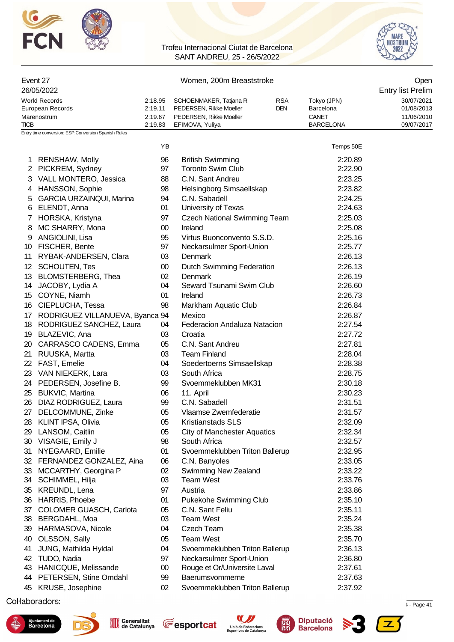



| Event 27         |         | Open                    |            |                  |            |  |  |
|------------------|---------|-------------------------|------------|------------------|------------|--|--|
| 26/05/2022       |         |                         |            |                  |            |  |  |
| World Records    | 2:18.95 | SCHOENMAKER, Tatjana R  | <b>RSA</b> | Tokyo (JPN)      | 30/07/2021 |  |  |
| European Records | 2:19.11 | PEDERSEN, Rikke Moeller | <b>DEN</b> | Barcelona        | 01/08/2013 |  |  |
| Marenostrum      | 2.19.67 | PEDERSEN, Rikke Moeller |            | CANET            | 11/06/2010 |  |  |
| <b>TICB</b>      | 2:19.83 | EFIMOVA, Yuliya         |            | <b>BARCELONA</b> | 09/07/2017 |  |  |

|                   |                                 | ΥB     |                                     | Temps 50E |
|-------------------|---------------------------------|--------|-------------------------------------|-----------|
| 1.                | RENSHAW, Molly                  | 96     | <b>British Swimming</b>             | 2:20.89   |
|                   | 2 PICKREM, Sydney               | 97     | <b>Toronto Swim Club</b>            | 2:22.90   |
| 3                 | VALL MONTERO, Jessica           | 88     | C.N. Sant Andreu                    | 2:23.25   |
|                   | 4 HANSSON, Sophie               | 98     | Helsingborg Simsaellskap            | 2:23.82   |
| 5                 | <b>GARCIA URZAINQUI, Marina</b> | 94     | C.N. Sabadell                       | 2:24.25   |
| 6                 | ELENDT, Anna                    | 01     | University of Texas                 | 2:24.63   |
|                   | 7 HORSKA, Kristyna              | 97     | <b>Czech National Swimming Team</b> | 2:25.03   |
| 8                 | MC SHARRY, Mona                 | $00\,$ | Ireland                             | 2:25.08   |
| 9                 | ANGIOLINI, Lisa                 | 95     | Virtus Buonconvento S.S.D.          | 2:25.16   |
| 10                | FISCHER, Bente                  | 97     | Neckarsulmer Sport-Union            | 2:25.77   |
| 11                | RYBAK-ANDERSEN, Clara           | 03     | Denmark                             | 2:26.13   |
| $12 \overline{ }$ | <b>SCHOUTEN, Tes</b>            | $00\,$ | Dutch Swimming Federation           | 2:26.13   |
| 13                | BLOMSTERBERG, Thea              | 02     | Denmark                             | 2:26.19   |
| 14                | JACOBY, Lydia A                 | 04     | Seward Tsunami Swim Club            | 2:26.60   |
|                   | 15 COYNE, Niamh                 | 01     | Ireland                             | 2:26.73   |
| 16                | CIEPLUCHA, Tessa                | 98     | Markham Aquatic Club                | 2:26.84   |
| 17                | RODRIGUEZ VILLANUEVA, Byanca 94 |        | Mexico                              | 2:26.87   |
| 18                | RODRIGUEZ SANCHEZ, Laura        | 04     | Federacion Andaluza Natacion        | 2:27.54   |
| 19                | BLAZEVIC, Ana                   | 03     | Croatia                             | 2:27.72   |
| 20                | CARRASCO CADENS, Emma           | 05     | C.N. Sant Andreu                    | 2:27.81   |
| 21                | RUUSKA, Martta                  | 03     | <b>Team Finland</b>                 | 2:28.04   |
| 22                | FAST, Emelie                    | 04     | Soedertoerns Simsaellskap           | 2:28.38   |
| 23                | VAN NIEKERK, Lara               | 03     | South Africa                        | 2:28.75   |
|                   | 24 PEDERSEN, Josefine B.        | 99     | Svoemmeklubben MK31                 | 2:30.18   |
| 25                | <b>BUKVIC, Martina</b>          | 06     | 11. April                           | 2:30.23   |
| 26                | DIAZ RODRIGUEZ, Laura           | 99     | C.N. Sabadell                       | 2:31.51   |
| 27                | DELCOMMUNE, Zinke               | 05     | Vlaamse Zwemfederatie               | 2:31.57   |
| 28                | KLINT IPSA, Olivia              | 05     | <b>Kristianstads SLS</b>            | 2:32.09   |
| 29                | LANSOM, Caitlin                 | 05     | <b>City of Manchester Aquatics</b>  | 2:32.34   |
| 30                | VISAGIE, Emily J                | 98     | South Africa                        | 2:32.57   |
| 31                | NYEGAARD, Emilie                | 01     | Svoemmeklubben Triton Ballerup      | 2:32.95   |
| 32                | FERNANDEZ GONZALEZ, Aina        | 06     | C.N. Banyoles                       | 2:33.05   |
| 33                | MCCARTHY, Georgina P            | 02     | <b>Swimming New Zealand</b>         | 2:33.22   |
|                   | 34 SCHIMMEL, Hilja              | 03     | <b>Team West</b>                    | 2:33.76   |
| 35                | KREUNDL, Lena                   | 97     | Austria                             | 2:33.86   |
| 36                | HARRIS, Phoebe                  | 01     | Pukekohe Swimming Club              | 2:35.10   |
| 37                | COLOMER GUASCH, Carlota         | 05     | C.N. Sant Feliu                     | 2:35.11   |
|                   | 38 BERGDAHL, Moa                | 03     | <b>Team West</b>                    | 2:35.24   |
| 39                | HARMASOVA, Nicole               | 04     | Czech Team                          | 2:35.38   |
| 40                | OLSSON, Sally                   | 05     | <b>Team West</b>                    | 2:35.70   |
| 41                | JUNG, Mathilda Hyldal           | 04     | Svoemmeklubben Triton Ballerup      | 2:36.13   |
| 42                | TUDO, Nadia                     | 97     | Neckarsulmer Sport-Union            | 2:36.80   |
| 43                | HANICQUE, Melissande            | 00     | Rouge et Or/Universite Laval        | 2:37.61   |
| 44                | PETERSEN, Stine Omdahl          | 99     | Baerumsvommerne                     | 2:37.63   |
| 45                | KRUSE, Josephine                | 02     | Svoemmeklubben Triton Ballerup      | 2:37.92   |

 $\mathsf{S}$  . The experimental to  $\mathsf{S}$  - Page 41.  $\mathsf{P}$  and  $\mathsf{S}$  -  $\mathsf{P}$  and  $\mathsf{S}$  -  $\mathsf{P}$  and  $\mathsf{S}$  -  $\mathsf{P}$  and  $\mathsf{S}$  -  $\mathsf{P}$  -  $\mathsf{P}$  and  $\mathsf{S}$  -  $\mathsf{P}$  -  $\mathsf{P}$  and  $\mathsf{S}$  -  $\mathsf$ 









屬

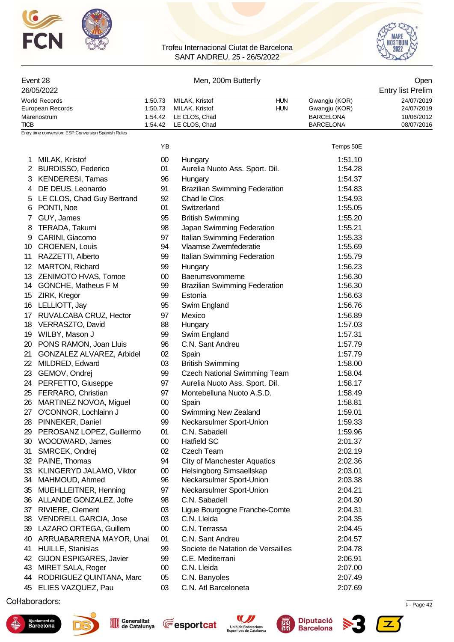



| Event 28                                            | Men, 200m Butterfly | Open                                 |            |                  |                   |
|-----------------------------------------------------|---------------------|--------------------------------------|------------|------------------|-------------------|
| 26/05/2022                                          |                     |                                      |            |                  | Entry list Prelim |
| World Records                                       | 1:50.73             | MILAK, Kristof                       | <b>HUN</b> | Gwangju (KOR)    | 24/07/2019        |
| European Records                                    | 1:50.73             | MILAK, Kristof                       | <b>HUN</b> | Gwangju (KOR)    | 24/07/2019        |
| Marenostrum                                         | 1:54.42             | LE CLOS, Chad                        |            | <b>BARCELONA</b> | 10/06/2012        |
| TICB.                                               | 1:54.42             | LE CLOS, Chad                        |            | <b>BARCELONA</b> | 08/07/2016        |
| Entry time conversion: ESP:Conversion Spanish Rules |                     |                                      |            |                  |                   |
|                                                     | YB                  |                                      |            | Temps 50E        |                   |
| MILAK, Kristof                                      | $00\,$              | Hungary                              |            | 1:51.10          |                   |
| 2 BURDISSO, Federico                                | 01                  | Aurelia Nuoto Ass. Sport. Dil.       |            | 1:54.28          |                   |
| 3 KENDERESI, Tamas                                  | 96                  | Hungary                              |            | 1:54.37          |                   |
| DE DEUS, Leonardo<br>4                              | 91                  | <b>Brazilian Swimming Federation</b> |            | 1:54.83          |                   |

|    | 4 DE DEUS, Leonardo          | 91     | <b>Brazilian Swimming Federation</b> | 1:54.83 |
|----|------------------------------|--------|--------------------------------------|---------|
|    | 5 LE CLOS, Chad Guy Bertrand | 92     | Chad le Clos                         | 1:54.93 |
| 6  | PONTI, Noe                   | 01     | Switzerland                          | 1:55.05 |
| 7  | GUY, James                   | 95     | <b>British Swimming</b>              | 1:55.20 |
| 8  | TERADA, Takumi               | 98     | Japan Swimming Federation            | 1:55.21 |
| 9  | CARINI, Giacomo              | 97     | Italian Swimming Federation          | 1:55.33 |
| 10 | CROENEN, Louis               | 94     | Vlaamse Zwemfederatie                | 1:55.69 |
| 11 | RAZZETTI, Alberto            | 99     | Italian Swimming Federation          | 1:55.79 |
| 12 | MARTON, Richard              | 99     | Hungary                              | 1:56.23 |
| 13 | ZENIMOTO HVAS, Tomoe         | 00     | Baerumsvommerne                      | 1:56.30 |
|    | 14 GONCHE, Matheus F M       | 99     | <b>Brazilian Swimming Federation</b> | 1:56.30 |
| 15 | ZIRK, Kregor                 | 99     | Estonia                              | 1:56.63 |
| 16 | LELLIOTT, Jay                | 95     | Swim England                         | 1:56.76 |
| 17 | RUVALCABA CRUZ, Hector       | 97     | Mexico                               | 1:56.89 |
| 18 | VERRASZTO, David             | 88     | Hungary                              | 1:57.03 |
| 19 | WILBY, Mason J               | 99     | Swim England                         | 1:57.31 |
| 20 | PONS RAMON, Joan Lluis       | 96     | C.N. Sant Andreu                     | 1:57.79 |
| 21 | GONZALEZ ALVAREZ, Arbidel    | 02     | Spain                                | 1:57.79 |
| 22 | MILDRED, Edward              | 03     | <b>British Swimming</b>              | 1:58.00 |
|    | 23 GEMOV, Ondrej             | 99     | <b>Czech National Swimming Team</b>  | 1:58.04 |
|    | 24 PERFETTO, Giuseppe        | 97     | Aurelia Nuoto Ass. Sport. Dil.       | 1:58.17 |
| 25 | FERRARO, Christian           | 97     | Montebelluna Nuoto A.S.D.            | 1:58.49 |
| 26 | MARTINEZ NOVOA, Miguel       | $00\,$ | Spain                                | 1:58.81 |
| 27 | O'CONNOR, Lochlainn J        | $00\,$ | Swimming New Zealand                 | 1:59.01 |
| 28 | PINNEKER, Daniel             | 99     | Neckarsulmer Sport-Union             | 1:59.33 |
| 29 | PEROSANZ LOPEZ, Guillermo    | 01     | C.N. Sabadell                        | 1:59.96 |
|    | 30 WOODWARD, James           | 00     | <b>Hatfield SC</b>                   | 2:01.37 |
| 31 | SMRCEK, Ondrej               | 02     | <b>Czech Team</b>                    | 2:02.19 |
| 32 | PAINE, Thomas                | 94     | <b>City of Manchester Aquatics</b>   | 2:02.36 |
| 33 | KLINGERYD JALAMO, Viktor     | $00\,$ | Helsingborg Simsaellskap             | 2:03.01 |
| 34 | MAHMOUD, Ahmed               | 96     | Neckarsulmer Sport-Union             | 2:03.38 |
| 35 | MUEHLLEITNER, Henning        | 97     | Neckarsulmer Sport-Union             | 2:04.21 |
|    | 36 ALLANDE GONZALEZ, Jofre   | 98     | C.N. Sabadell                        | 2:04.30 |
|    | 37 RIVIERE, Clement          | 03     | Ligue Bourgogne Franche-Comte        | 2:04.31 |
|    | 38 VENDRELL GARCIA, Jose     | 03     | C.N. Lleida                          | 2:04.35 |
|    | 39 LAZARO ORTEGA, Guillem    | $00\,$ | C.N. Terrassa                        | 2:04.45 |
| 40 | ARRUABARRENA MAYOR, Unai     | 01     | C.N. Sant Andreu                     | 2:04.57 |
| 41 | HUILLE, Stanislas            | 99     | Societe de Natation de Versailles    | 2:04.78 |
| 42 | GIJON ESPIGARES, Javier      | 99     | C.E. Mediterrani                     | 2:06.91 |
| 43 | MIRET SALA, Roger            | 00     | C.N. Lleida                          | 2:07.00 |
| 44 | RODRIGUEZ QUINTANA, Marc     | 05     | C.N. Banyoles                        | 2:07.49 |
|    | 45 ELIES VAZQUEZ, Pau        | 03     | C.N. Atl Barceloneta                 | 2:07.69 |

 $\mathsf{S}$  . The experimental to  $\mathsf{S}$  - Page 42  $\mathsf{S}$  - Page 42  $\mathsf{S}$  - Page 42











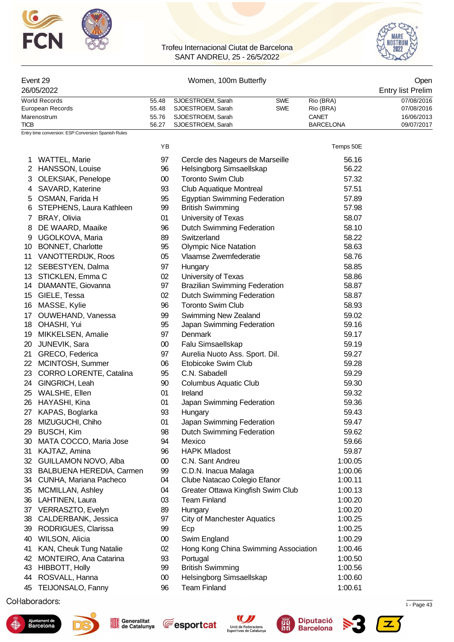



# Event 29 Chemical Communication of Momen, 100m Butterfly Communication of the Communication of Open

| 26/05/2022       |       |                   |     |                  | <b>Entry list Prelim</b> |
|------------------|-------|-------------------|-----|------------------|--------------------------|
| World Records    | 55.48 | SJOESTROEM. Sarah | SWE | Rio (BRA)        | 07/08/2016               |
| European Records | 55.48 | SJOESTROEM, Sarah | SWE | Rio (BRA)        | 07/08/2016               |
| Marenostrum      | 55.76 | SJOESTROEM. Sarah |     | CANET            | 16/06/2013               |
| <b>TICB</b>      | 56.27 | SJOESTROEM, Sarah |     | <b>BARCELONA</b> | 09/07/2017               |

YB Temps 50E

Entry time conversion: ESP:Conversion Spanish Rules

| 1. | <b>WATTEL, Marie</b>      | 97     | Cercle des Nageurs de Marseille      | 56.16   |
|----|---------------------------|--------|--------------------------------------|---------|
| 2  | HANSSON, Louise           | 96     | Helsingborg Simsaellskap             | 56.22   |
| 3  | OLEKSIAK, Penelope        | $00\,$ | <b>Toronto Swim Club</b>             | 57.32   |
| 4  | SAVARD, Katerine          | 93     | Club Aquatique Montreal              | 57.51   |
| 5  | OSMAN, Farida H           | 95     | <b>Egyptian Swimming Federation</b>  | 57.89   |
| 6  | STEPHENS, Laura Kathleen  | 99     | <b>British Swimming</b>              | 57.98   |
| 7  | BRAY, Olivia              | 01     | University of Texas                  | 58.07   |
| 8  | DE WAARD, Maaike          | 96     | Dutch Swimming Federation            | 58.10   |
| 9  | UGOLKOVA, Maria           | 89     | Switzerland                          | 58.22   |
| 10 | <b>BONNET, Charlotte</b>  | 95     | <b>Olympic Nice Natation</b>         | 58.63   |
| 11 | VANOTTERDIJK, Roos        | 05     | Vlaamse Zwemfederatie                | 58.76   |
|    | 12 SEBESTYEN, Dalma       | 97     | Hungary                              | 58.85   |
|    | 13 STICKLEN, Emma C       | 02     | University of Texas                  | 58.86   |
|    | 14 DIAMANTE, Giovanna     | 97     | <b>Brazilian Swimming Federation</b> | 58.87   |
|    | 15 GIELE, Tessa           | 02     | Dutch Swimming Federation            | 58.87   |
| 16 | MASSE, Kylie              | 96     | <b>Toronto Swim Club</b>             | 58.93   |
| 17 | OUWEHAND, Vanessa         | 99     | Swimming New Zealand                 | 59.02   |
| 18 | OHASHI, Yui               | 95     | Japan Swimming Federation            | 59.16   |
| 19 | MIKKELSEN, Amalie         | 97     | Denmark                              | 59.17   |
| 20 | JUNEVIK, Sara             | $00\,$ | Falu Simsaellskap                    | 59.19   |
| 21 | GRECO, Federica           | 97     | Aurelia Nuoto Ass. Sport. Dil.       | 59.27   |
| 22 | MCINTOSH, Summer          | 06     | Etobicoke Swim Club                  | 59.28   |
| 23 | CORRO LORENTE, Catalina   | 95     | C.N. Sabadell                        | 59.29   |
| 24 | GINGRICH, Leah            | 90     | <b>Columbus Aquatic Club</b>         | 59.30   |
| 25 | WALSHE, Ellen             | 01     | Ireland                              | 59.32   |
| 26 | HAYASHI, Kina             | 01     | Japan Swimming Federation            | 59.36   |
| 27 | KAPAS, Boglarka           | 93     | Hungary                              | 59.43   |
| 28 | MIZUGUCHI, Chiho          | 01     | Japan Swimming Federation            | 59.47   |
| 29 | <b>BUSCH, Kim</b>         | 98     | <b>Dutch Swimming Federation</b>     | 59.62   |
| 30 | MATA COCCO, Maria Jose    | 94     | Mexico                               | 59.66   |
| 31 | KAJTAZ, Amina             | 96     | <b>HAPK Mladost</b>                  | 59.87   |
| 32 | GUILLAMON NOVO, Alba      | $00\,$ | C.N. Sant Andreu                     | 1:00.05 |
| 33 | BALBUENA HEREDIA, Carmen  | 99     | C.D.N. Inacua Malaga                 | 1:00.06 |
|    | 34 CUNHA, Mariana Pacheco | 04     | Clube Natacao Colegio Efanor         | 1:00.11 |
| 35 | <b>MCMILLAN, Ashley</b>   | 04     | Greater Ottawa Kingfish Swim Club    | 1:00.13 |
| 36 | LAHTINEN, Laura           | 03     | <b>Team Finland</b>                  | 1:00.20 |
| 37 | VERRASZTO, Evelyn         | 89     | Hungary                              | 1:00.20 |
| 38 | CALDERBANK, Jessica       | 97     | <b>City of Manchester Aquatics</b>   | 1:00.25 |
| 39 | RODRIGUES, Clarissa       | 99     | Ecp                                  | 1:00.25 |
| 40 | WILSON, Alicia            | $00\,$ | Swim England                         | 1:00.29 |
| 41 | KAN, Cheuk Tung Natalie   | 02     | Hong Kong China Swimming Association | 1:00.46 |
| 42 | MONTEIRO, Ana Catarina    | 93     | Portugal                             | 1:00.50 |
| 43 | <b>HIBBOTT, Holly</b>     | 99     | <b>British Swimming</b>              | 1:00.56 |
| 44 | ROSVALL, Hanna            | $00\,$ | Helsingborg Simsaellskap             | 1:00.60 |
| 45 | TEIJONSALO, Fanny         | 96     | <b>Team Finland</b>                  | 1:00.61 |
|    |                           |        |                                      |         |

 $\mu$  . Page 43  $\mu$  . Page 43  $\mu$  and  $\mu$  and  $\mu$  and  $\mu$  and  $\mu$  and  $\mu$  is  $\mu$  and  $\mu$  and  $\mu$  and  $\mu$  and  $\mu$  and  $\mu$  and  $\mu$  and  $\mu$  and  $\mu$  and  $\mu$  and  $\mu$  and  $\mu$  and  $\mu$  and  $\mu$  and  $\mu$  and  $\mu$ 



![](_page_43_Picture_10.jpeg)

![](_page_43_Picture_12.jpeg)

![](_page_43_Picture_13.jpeg)

![](_page_43_Picture_14.jpeg)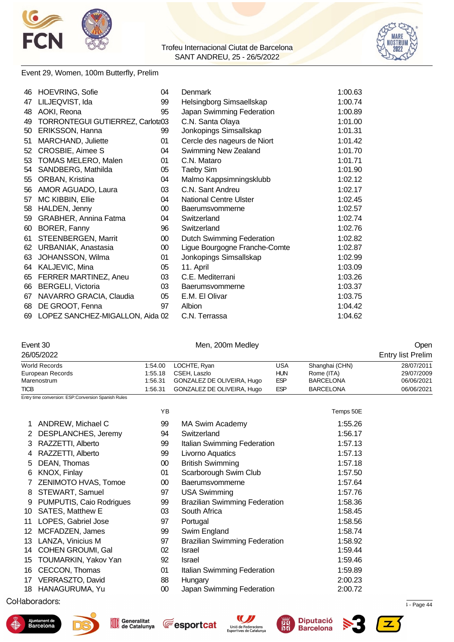![](_page_44_Picture_0.jpeg)

![](_page_44_Picture_2.jpeg)

#### Event 29, Women, 100m Butterfly, Prelim

| 46 | <b>HOEVRING, Sofie</b>           | 04     | Denmark                          | 1:00.63 |
|----|----------------------------------|--------|----------------------------------|---------|
| 47 | LILJEQVIST, Ida                  | 99     | Helsingborg Simsaellskap         | 1:00.74 |
| 48 | AOKI, Reona                      | 95     | Japan Swimming Federation        | 1:00.89 |
| 49 | TORRONTEGUI GUTIERREZ, Carlota03 |        | C.N. Santa Olaya                 | 1:01.00 |
| 50 | <b>ERIKSSON, Hanna</b>           | 99     | Jonkopings Simsallskap           | 1:01.31 |
| 51 | MARCHAND, Juliette               | 01     | Cercle des nageurs de Niort      | 1:01.42 |
| 52 | CROSBIE, Aimee S                 | 04     | Swimming New Zealand             | 1:01.70 |
| 53 | TOMAS MELERO, Malen              | 01     | C.N. Mataro                      | 1:01.71 |
| 54 | SANDBERG, Mathilda               | 05     | <b>Taeby Sim</b>                 | 1:01.90 |
| 55 | ORBAN, Kristina                  | 04     | Malmo Kappsimningsklubb          | 1:02.12 |
| 56 | AMOR AGUADO, Laura               | 03     | C.N. Sant Andreu                 | 1:02.17 |
| 57 | MC KIBBIN, Ellie                 | 04     | National Centre Ulster           | 1:02.45 |
| 58 | HALDEN, Jenny                    | $00\,$ | Baerumsvommerne                  | 1:02.57 |
| 59 | <b>GRABHER, Annina Fatma</b>     | 04     | Switzerland                      | 1:02.74 |
| 60 | BORER, Fanny                     | 96     | Switzerland                      | 1:02.76 |
| 61 | STEENBERGEN, Marrit              | $00\,$ | <b>Dutch Swimming Federation</b> | 1:02.82 |
| 62 | URBANIAK, Anastasia              | 00     | Ligue Bourgogne Franche-Comte    | 1:02.87 |
| 63 | JOHANSSON, Wilma                 | 01     | Jonkopings Simsallskap           | 1:02.99 |
| 64 | KALJEVIC, Mina                   | 05     | 11. April                        | 1:03.09 |
| 65 | FERRER MARTINEZ, Aneu            | 03     | C.E. Mediterrani                 | 1:03.26 |
| 66 | <b>BERGELI, Victoria</b>         | 03     | Baerumsvommerne                  | 1:03.37 |
| 67 | NAVARRO GRACIA, Claudia          | 05     | E.M. El Olivar                   | 1:03.75 |
| 68 | DE GROOT, Fenna                  | 97     | Albion                           | 1:04.42 |
| 69 | LOPEZ SANCHEZ-MIGALLON, Aida 02  |        | C.N. Terrassa                    | 1:04.62 |

#### Event 30 Chemical Communication of Men, 200m Medley Communication of the Communication of Communication of Communication of Communication of Communication of Communication of Communication of Communication of Communication

| 26/05/2022                                           |         |                            |            |                  | <b>Entry list Prelim</b> |
|------------------------------------------------------|---------|----------------------------|------------|------------------|--------------------------|
| World Records                                        |         | 1:54.00 LOCHTE, Ryan       | USA        | Shanghai (CHN)   | 28/07/2011               |
| European Records                                     | 1:55.18 | CSEH. Laszlo               | <b>HUN</b> | Rome (ITA)       | 29/07/2009               |
| Marenostrum                                          | 1:56.31 | GONZALEZ DE OLIVEIRA, Hugo | <b>ESP</b> | <b>BARCELONA</b> | 06/06/2021               |
| <b>TICB</b>                                          | 1:56.31 | GONZALEZ DE OLIVEIRA, Hugo | <b>ESP</b> | <b>BARCELONA</b> | 06/06/2021               |
| Entry time conversion: ESP: Conversion Spanish Rules |         |                            |            |                  |                          |

|                          | ΥB                                  |                                      | Temps 50E |
|--------------------------|-------------------------------------|--------------------------------------|-----------|
| ANDREW, Michael C        | 99                                  | <b>MA Swim Academy</b>               | 1:55.26   |
| DESPLANCHES, Jeremy      | 94                                  | Switzerland                          | 1:56.17   |
| RAZZETTI, Alberto        | 99                                  | Italian Swimming Federation          | 1:57.13   |
| RAZZETTI, Alberto        | 99                                  | Livorno Aquatics                     | 1:57.13   |
| DEAN, Thomas             | $00\,$                              | <b>British Swimming</b>              | 1:57.18   |
| KNOX, Finlay             | 01                                  | Scarborough Swim Club                | 1:57.50   |
| ZENIMOTO HVAS, Tomoe     | $00\,$                              | Baerumsvommerne                      | 1:57.64   |
| STEWART, Samuel          | 97                                  | <b>USA Swimming</b>                  | 1:57.76   |
| PUMPUTIS, Caio Rodrigues | 99                                  | <b>Brazilian Swimming Federation</b> | 1:58.36   |
| <b>SATES, Matthew E</b>  | 03                                  | South Africa                         | 1:58.45   |
| LOPES, Gabriel Jose      | 97                                  | Portugal                             | 1:58.56   |
| MCFADZEN, James          | 99                                  | Swim England                         | 1:58.74   |
| LANZA, Vinicius M        | 97                                  | <b>Brazilian Swimming Federation</b> | 1:58.92   |
| COHEN GROUMI, Gal        | 02                                  | <b>Israel</b>                        | 1:59.44   |
| TOUMARKIN, Yakov Yan     | 92                                  | <b>Israel</b>                        | 1:59.46   |
| CECCON, Thomas           | 01                                  | Italian Swimming Federation          | 1:59.89   |
| VERRASZTO, David         | 88                                  | Hungary                              | 2:00.23   |
|                          | 00                                  | Japan Swimming Federation            | 2:00.72   |
|                          | 13<br>14<br>17<br>18 HANAGURUMA, Yu |                                      |           |

 $\sim$  11.72967 Page 44.2022 12:34  $\sim$  11.72967  $\sim$  12.735  $\sim$  12.735  $\sim$  12.735  $\sim$  12.74  $\sim$  Page 44.2022 12:34  $\sim$  12.75  $\sim$  12.75  $\sim$  12.75  $\sim$  12.75  $\sim$  12.75  $\sim$  12.75  $\sim$  12.75  $\sim$  12.75  $\sim$  12.75  $\sim$ 

![](_page_44_Picture_12.jpeg)

![](_page_44_Picture_13.jpeg)

![](_page_44_Picture_14.jpeg)

![](_page_44_Picture_15.jpeg)

![](_page_44_Picture_16.jpeg)

![](_page_44_Picture_17.jpeg)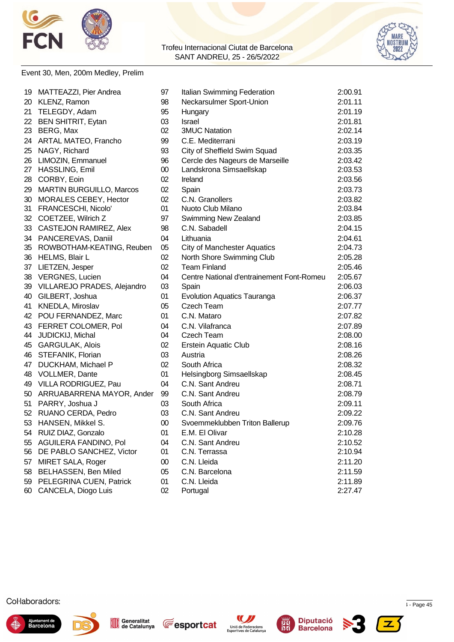![](_page_45_Picture_0.jpeg)

![](_page_45_Picture_2.jpeg)

#### Event 30, Men, 200m Medley, Prelim

|    | 19 MATTEAZZI, Pier Andrea       | 97     | Italian Swimming Federation               | 2:00.91 |
|----|---------------------------------|--------|-------------------------------------------|---------|
|    | 20 KLENZ, Ramon                 | 98     | Neckarsulmer Sport-Union                  | 2:01.11 |
| 21 | TELEGDY, Adam                   | 95     | Hungary                                   | 2:01.19 |
|    | 22 BEN SHITRIT, Eytan           | 03     | Israel                                    | 2:01.81 |
|    | 23 BERG, Max                    | 02     | <b>3MUC Natation</b>                      | 2:02.14 |
|    | 24 ARTAL MATEO, Francho         | 99     | C.E. Mediterrani                          | 2:03.19 |
|    | 25 NAGY, Richard                | 93     | City of Sheffield Swim Squad              | 2:03.35 |
|    | 26 LIMOZIN, Emmanuel            | 96     | Cercle des Nageurs de Marseille           | 2:03.42 |
|    | 27 HASSLING, Emil               | $00\,$ | Landskrona Simsaellskap                   | 2:03.53 |
|    | 28 CORBY, Eoin                  | 02     | Ireland                                   | 2:03.56 |
| 29 | <b>MARTIN BURGUILLO, Marcos</b> | 02     | Spain                                     | 2:03.73 |
| 30 | MORALES CEBEY, Hector           | 02     | C.N. Granollers                           | 2:03.82 |
| 31 | FRANCESCHI, Nicolo'             | 01     | Nuoto Club Milano                         | 2:03.84 |
|    | 32 COETZEE, Wilrich Z           | 97     | Swimming New Zealand                      | 2:03.85 |
|    | 33 CASTEJON RAMIREZ, Alex       | 98     | C.N. Sabadell                             | 2:04.15 |
|    | 34 PANCEREVAS, Daniil           | 04     | Lithuania                                 | 2:04.61 |
|    | 35 ROWBOTHAM-KEATING, Reuben    | 05     | <b>City of Manchester Aquatics</b>        | 2:04.73 |
|    | 36 HELMS, Blair L               | 02     | North Shore Swimming Club                 | 2:05.28 |
|    | 37 LIETZEN, Jesper              | 02     | <b>Team Finland</b>                       | 2:05.46 |
|    | 38 VERGNES, Lucien              | 04     | Centre National d'entrainement Font-Romeu | 2:05.67 |
|    | 39 VILLAREJO PRADES, Alejandro  | 03     | Spain                                     | 2:06.03 |
| 40 | GILBERT, Joshua                 | 01     | <b>Evolution Aquatics Tauranga</b>        | 2:06.37 |
| 41 | KNEDLA, Miroslav                | 05     | <b>Czech Team</b>                         | 2:07.77 |
|    | 42 POU FERNANDEZ, Marc          | 01     | C.N. Mataro                               | 2:07.82 |
|    | 43 FERRET COLOMER, Pol          | 04     | C.N. Vilafranca                           | 2:07.89 |
|    | 44 JUDICKIJ, Michal             | 04     | <b>Czech Team</b>                         | 2:08.00 |
|    | 45 GARGULAK, Alois              | 02     | <b>Erstein Aquatic Club</b>               | 2:08.16 |
|    | 46 STEFANIK, Florian            | 03     | Austria                                   | 2:08.26 |
|    | 47 DUCKHAM, Michael P           | 02     | South Africa                              | 2:08.32 |
|    | 48 VOLLMER, Dante               | 01     | Helsingborg Simsaellskap                  | 2:08.45 |
|    | 49 VILLA RODRIGUEZ, Pau         | 04     | C.N. Sant Andreu                          | 2:08.71 |
|    | 50 ARRUABARRENA MAYOR, Ander    | 99     | C.N. Sant Andreu                          | 2:08.79 |
|    | 51 PARRY, Joshua J              | 03     | South Africa                              | 2:09.11 |
|    | 52 RUANO CERDA, Pedro           | 03     | C.N. Sant Andreu                          | 2:09.22 |
|    | 53 HANSEN, Mikkel S.            | 00     | Svoemmeklubben Triton Ballerup            | 2:09.76 |
|    | 54 RUIZ DIAZ, Gonzalo           | 01     | E.M. El Olivar                            | 2:10.28 |
| 55 | AGUILERA FANDINO, Pol           | 04     | C.N. Sant Andreu                          | 2:10.52 |
| 56 | DE PABLO SANCHEZ, Victor        | 01     | C.N. Terrassa                             | 2:10.94 |
| 57 | MIRET SALA, Roger               | $00\,$ | C.N. Lleida                               | 2:11.20 |
| 58 | BELHASSEN, Ben Miled            | 05     | C.N. Barcelona                            | 2:11.59 |
|    | 59 PELEGRINA CUEN, Patrick      | 01     | C.N. Lleida                               | 2:11.89 |
|    | 60 CANCELA, Diogo Luis          | 02     | Portugal                                  | 2:27.47 |

![](_page_45_Picture_6.jpeg)

![](_page_45_Picture_7.jpeg)

![](_page_45_Picture_8.jpeg)

![](_page_45_Picture_9.jpeg)

![](_page_45_Picture_10.jpeg)

![](_page_45_Picture_11.jpeg)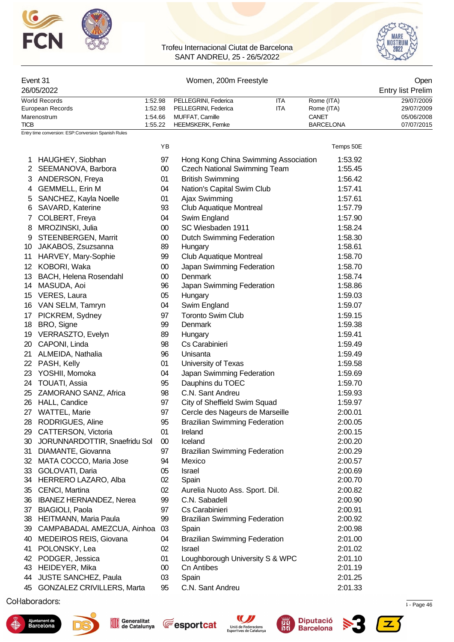![](_page_46_Picture_0.jpeg)

![](_page_46_Picture_2.jpeg)

| Event 31<br>26/05/2022                         |                               |                                                             | Women, 200m Freestyle<br>Open<br><b>Entry list Prelim</b> |                                         |                                        |  |
|------------------------------------------------|-------------------------------|-------------------------------------------------------------|-----------------------------------------------------------|-----------------------------------------|----------------------------------------|--|
| World Records                                  | 1:52.98                       | PELLEGRINI, Federica                                        | ITA                                                       | Rome (ITA)                              | 29/07/2009                             |  |
| European Records<br>Marenostrum<br><b>TICB</b> | 1:52.98<br>1:54.66<br>1:55.22 | PELLEGRINI, Federica<br>MUFFAT, Camille<br>HEEMSKERK, Femke | <b>ITA</b>                                                | Rome (ITA)<br>CANET<br><b>BARCELONA</b> | 29/07/2009<br>05/06/2008<br>07/07/2015 |  |

Entry time conversion: ESP:Conversion Spanish Rules

|                       |                                | YB     |                                      | Temps 50E |
|-----------------------|--------------------------------|--------|--------------------------------------|-----------|
|                       | 1 HAUGHEY, Siobhan             | 97     | Hong Kong China Swimming Association | 1:53.92   |
| $\mathbf{2}^{\prime}$ | SEEMANOVA, Barbora             | $00\,$ | <b>Czech National Swimming Team</b>  | 1:55.45   |
| 3                     | ANDERSON, Freya                | 01     | <b>British Swimming</b>              | 1:56.42   |
| 4                     | <b>GEMMELL, Erin M</b>         | 04     | Nation's Capital Swim Club           | 1:57.41   |
| 5                     | SANCHEZ, Kayla Noelle          | 01     | Ajax Swimming                        | 1:57.61   |
| 6                     | SAVARD, Katerine               | 93     | Club Aquatique Montreal              | 1:57.79   |
| 7                     | COLBERT, Freya                 | 04     | Swim England                         | 1:57.90   |
| 8                     | MROZINSKI, Julia               | $00\,$ | SC Wiesbaden 1911                    | 1:58.24   |
| 9                     | <b>STEENBERGEN, Marrit</b>     | $00\,$ | <b>Dutch Swimming Federation</b>     | 1:58.30   |
|                       | 10 JAKABOS, Zsuzsanna          | 89     | Hungary                              | 1:58.61   |
|                       | 11 HARVEY, Mary-Sophie         | 99     | Club Aquatique Montreal              | 1:58.70   |
| 12 <sup>12</sup>      | KOBORI, Waka                   | $00\,$ | Japan Swimming Federation            | 1:58.70   |
| 13                    | BACH, Helena Rosendahl         | $00\,$ | Denmark                              | 1:58.74   |
| 14                    | MASUDA, Aoi                    | 96     | Japan Swimming Federation            | 1:58.86   |
|                       | 15 VERES, Laura                | 05     | Hungary                              | 1:59.03   |
|                       | 16 VAN SELM, Tamryn            | 04     | Swim England                         | 1:59.07   |
| 17 <sub>1</sub>       | PICKREM, Sydney                | 97     | <b>Toronto Swim Club</b>             | 1:59.15   |
| 18                    | BRO, Signe                     | 99     | Denmark                              | 1:59.38   |
|                       | 19 VERRASZTO, Evelyn           | 89     | Hungary                              | 1:59.41   |
| 20                    | CAPONI, Linda                  | 98     | Cs Carabinieri                       | 1:59.49   |
| 21                    | ALMEIDA, Nathalia              | 96     | Unisanta                             | 1:59.49   |
|                       | 22 PASH, Kelly                 | 01     | University of Texas                  | 1:59.58   |
|                       | 23 YOSHII, Momoka              | 04     | Japan Swimming Federation            | 1:59.69   |
|                       | 24 TOUATI, Assia               | 95     | Dauphins du TOEC                     | 1:59.70   |
|                       | 25 ZAMORANO SANZ, Africa       | 98     | C.N. Sant Andreu                     | 1:59.93   |
|                       | 26 HALL, Candice               | 97     | City of Sheffield Swim Squad         | 1:59.97   |
| 27                    | WATTEL, Marie                  | 97     | Cercle des Nageurs de Marseille      | 2:00.01   |
| 28                    | RODRIGUES, Aline               | 95     | <b>Brazilian Swimming Federation</b> | 2:00.05   |
| 29                    | CATTERSON, Victoria            | 01     | Ireland                              | 2:00.15   |
| 30                    | JORUNNARDOTTIR, Snaefridu Sol  | $00\,$ | Iceland                              | 2:00.20   |
| 31                    | DIAMANTE, Giovanna             | 97     | <b>Brazilian Swimming Federation</b> | 2:00.29   |
| 32                    | MATA COCCO, Maria Jose         | 94     | Mexico                               | 2:00.57   |
| 33                    | GOLOVATI, Daria                | 05     | Israel                               | 2:00.69   |
|                       | 34 HERRERO LAZARO, Alba        | 02     | Spain                                | 2:00.70   |
| 35                    | CENCI, Martina                 | 02     | Aurelia Nuoto Ass. Sport. Dil.       | 2:00.82   |
| 36                    | <b>IBANEZ HERNANDEZ, Nerea</b> | 99     | C.N. Sabadell                        | 2:00.90   |
| 37                    | <b>BIAGIOLI, Paola</b>         | 97     | Cs Carabinieri                       | 2:00.91   |
| 38                    | HEITMANN, Maria Paula          | 99     | <b>Brazilian Swimming Federation</b> | 2:00.92   |
| 39                    | CAMPABADAL AMEZCUA, Ainhoa     | 03     | Spain                                | 2:00.98   |
| 40                    | MEDEIROS REIS, Giovana         | 04     | <b>Brazilian Swimming Federation</b> | 2:01.00   |
| 41                    | POLONSKY, Lea                  | 02     | Israel                               | 2:01.02   |
| 42                    | PODGER, Jessica                | 01     | Loughborough University S & WPC      | 2:01.10   |
| 43                    | HEIDEYER, Mika                 | $00\,$ | <b>Cn Antibes</b>                    | 2:01.19   |
| 44                    | JUSTE SANCHEZ, Paula           | 03     | Spain                                | 2:01.25   |
| 45                    | GONZALEZ CRIVILLERS, Marta     | 95     | C.N. Sant Andreu                     | 2:01.33   |

 $\mu$  . Page 46  $\mu$  . Page 46  $\mu$  and  $\mu$  1.72967  $\mu$  2.735  $\mu$  3.74  $\mu$  3.75  $\mu$  3.75  $\mu$  3.75  $\mu$  3.75  $\mu$  3.75  $\mu$  3.75  $\mu$  3.75  $\mu$  3.75  $\mu$  3.75  $\mu$  3.75  $\mu$  3.75  $\mu$  3.75  $\mu$  3.75  $\mu$  3.75  $\mu$  3.7

![](_page_46_Picture_7.jpeg)

![](_page_46_Picture_8.jpeg)

Generalitat<br>
de Catalunya

![](_page_46_Picture_9.jpeg)

![](_page_46_Picture_10.jpeg)

![](_page_46_Picture_11.jpeg)

![](_page_46_Picture_12.jpeg)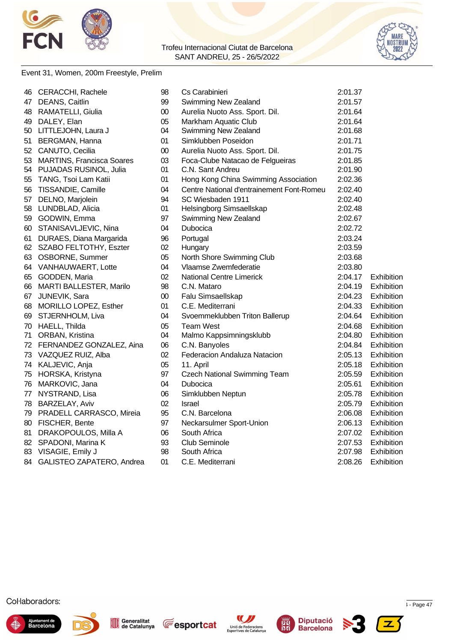![](_page_47_Picture_0.jpeg)

![](_page_47_Picture_2.jpeg)

#### Event 31, Women, 200m Freestyle, Prelim

| 46 | CERACCHI, Rachele            | 98     | Cs Carabinieri                            | 2:01.37 |                   |
|----|------------------------------|--------|-------------------------------------------|---------|-------------------|
| 47 | DEANS, Caitlin               | 99     | Swimming New Zealand                      | 2:01.57 |                   |
| 48 | RAMATELLI, Giulia            | 00     | Aurelia Nuoto Ass. Sport. Dil.            | 2:01.64 |                   |
| 49 | DALEY, Elan                  | 05     | Markham Aquatic Club                      | 2:01.64 |                   |
|    | 50 LITTLEJOHN, Laura J       | 04     | Swimming New Zealand                      | 2:01.68 |                   |
|    | 51 BERGMAN, Hanna            | 01     | Simklubben Poseidon                       | 2:01.71 |                   |
|    | 52 CANUTO, Cecilia           | 00     | Aurelia Nuoto Ass. Sport. Dil.            | 2:01.75 |                   |
|    | 53 MARTINS, Francisca Soares | 03     | Foca-Clube Natacao de Felgueiras          | 2:01.85 |                   |
|    | 54 PUJADAS RUSINOL, Julia    | 01     | C.N. Sant Andreu                          | 2:01.90 |                   |
| 55 | TANG, Tsoi Lam Katii         | 01     | Hong Kong China Swimming Association      | 2:02.36 |                   |
| 56 | TISSANDIE, Camille           | 04     | Centre National d'entrainement Font-Romeu | 2:02.40 |                   |
| 57 | DELNO, Marjolein             | 94     | SC Wiesbaden 1911                         | 2:02.40 |                   |
| 58 | LUNDBLAD, Alicia             | 01     | Helsingborg Simsaellskap                  | 2:02.48 |                   |
| 59 | GODWIN, Emma                 | 97     | Swimming New Zealand                      | 2:02.67 |                   |
| 60 | STANISAVLJEVIC, Nina         | 04     | Dubocica                                  | 2:02.72 |                   |
| 61 | DURAES, Diana Margarida      | 96     | Portugal                                  | 2:03.24 |                   |
|    | 62 SZABO FELTOTHY, Eszter    | 02     | Hungary                                   | 2:03.59 |                   |
|    | 63 OSBORNE, Summer           | 05     | North Shore Swimming Club                 | 2:03.68 |                   |
| 64 | <b>VANHAUWAERT, Lotte</b>    | 04     | Vlaamse Zwemfederatie                     | 2:03.80 |                   |
|    | 65 GODDEN, Maria             | 02     | <b>National Centre Limerick</b>           | 2:04.17 | <b>Exhibition</b> |
| 66 | MARTI BALLESTER, Marilo      | 98     | C.N. Mataro                               | 2:04.19 | Exhibition        |
| 67 | JUNEVIK, Sara                | $00\,$ | Falu Simsaellskap                         | 2:04.23 | Exhibition        |
| 68 | MORILLO LOPEZ, Esther        | 01     | C.E. Mediterrani                          | 2:04.33 | Exhibition        |
| 69 | STJERNHOLM, Liva             | 04     | Svoemmeklubben Triton Ballerup            | 2:04.64 | Exhibition        |
| 70 | HAELL, Thilda                | 05     | <b>Team West</b>                          | 2:04.68 | Exhibition        |
| 71 | ORBAN, Kristina              | 04     | Malmo Kappsimningsklubb                   | 2:04.80 | Exhibition        |
|    | 72 FERNANDEZ GONZALEZ, Aina  | 06     | C.N. Banyoles                             | 2:04.84 | Exhibition        |
|    | 73 VAZQUEZ RUIZ, Alba        | 02     | Federacion Andaluza Natacion              | 2:05.13 | Exhibition        |
|    | 74 KALJEVIC, Anja            | 05     | 11. April                                 | 2:05.18 | Exhibition        |
|    | 75 HORSKA, Kristyna          | 97     | <b>Czech National Swimming Team</b>       | 2:05.59 | Exhibition        |
|    | 76 MARKOVIC, Jana            | 04     | Dubocica                                  | 2:05.61 | Exhibition        |
|    | 77 NYSTRAND, Lisa            | 06     | Simklubben Neptun                         | 2:05.78 | Exhibition        |
|    | 78 BARZELAY, Aviv            | 02     | <b>Israel</b>                             | 2:05.79 | Exhibition        |
|    | 79 PRADELL CARRASCO, Mireia  | 95     | C.N. Barcelona                            | 2:06.08 | Exhibition        |
| 80 | FISCHER, Bente               | 97     | Neckarsulmer Sport-Union                  | 2:06.13 | Exhibition        |
| 81 | DRAKOPOULOS, Milla A         | 06     | South Africa                              | 2:07.02 | Exhibition        |
| 82 | SPADONI, Marina K            | 93     | Club Seminole                             | 2:07.53 | Exhibition        |
| 83 | VISAGIE, Emily J             | 98     | South Africa                              | 2:07.98 | Exhibition        |
| 84 | GALISTEO ZAPATERO, Andrea    | 01     | C.E. Mediterrani                          | 2:08.26 | Exhibition        |

![](_page_47_Picture_6.jpeg)

![](_page_47_Picture_7.jpeg)

![](_page_47_Picture_8.jpeg)

![](_page_47_Picture_9.jpeg)

![](_page_47_Picture_10.jpeg)

![](_page_47_Picture_11.jpeg)

![](_page_47_Picture_12.jpeg)

![](_page_47_Picture_13.jpeg)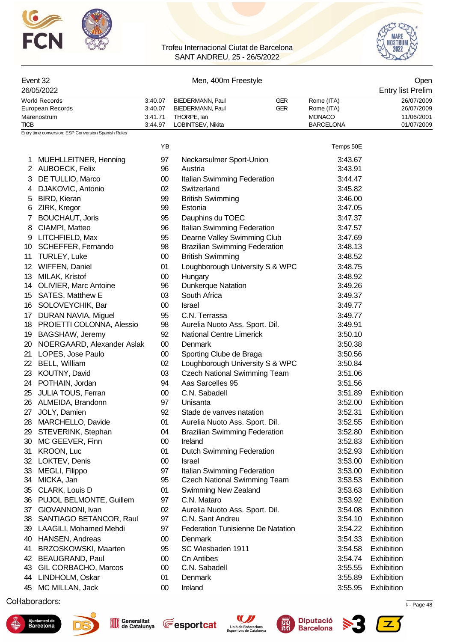![](_page_48_Picture_0.jpeg)

![](_page_48_Picture_2.jpeg)

| Event 32                                            |                    | Men, 400m Freestyle                   |                                   | Open                     |  |  |
|-----------------------------------------------------|--------------------|---------------------------------------|-----------------------------------|--------------------------|--|--|
| 26/05/2022                                          |                    |                                       |                                   | <b>Entry list Prelim</b> |  |  |
| <b>World Records</b>                                | 3:40.07            | BIEDERMANN, Paul<br><b>GER</b>        | Rome (ITA)                        | 26/07/2009               |  |  |
| European Records                                    | 3:40.07            | <b>GER</b><br><b>BIEDERMANN, Paul</b> | Rome (ITA)                        | 26/07/2009               |  |  |
| Marenostrum<br><b>TICB</b>                          | 3:41.71<br>3:44.97 | THORPE, lan<br>LOBINTSEV, Nikita      | <b>MONACO</b><br><b>BARCELONA</b> | 11/06/2001<br>01/07/2009 |  |  |
| Entry time conversion: ESP:Conversion Spanish Rules |                    |                                       |                                   |                          |  |  |
|                                                     | YB                 |                                       | Temps 50E                         |                          |  |  |
| MUEHLLEITNER, Henning                               | 97                 |                                       | 3:43.67                           |                          |  |  |
| 1<br>2 AUBOECK, Felix                               | 96                 | Neckarsulmer Sport-Union<br>Austria   | 3:43.91                           |                          |  |  |
| DE TULLIO, Marco<br>3                               | $00\,$             | Italian Swimming Federation           | 3:44.47                           |                          |  |  |
| DJAKOVIC, Antonio<br>4                              | 02                 | Switzerland                           | 3:45.82                           |                          |  |  |
| <b>BIRD, Kieran</b><br>5                            | 99                 | <b>British Swimming</b>               | 3:46.00                           |                          |  |  |
| ZIRK, Kregor<br>6                                   | 99                 | Estonia                               | 3:47.05                           |                          |  |  |
| <b>BOUCHAUT, Joris</b><br>7                         | 95                 | Dauphins du TOEC                      | 3:47.37                           |                          |  |  |
| CIAMPI, Matteo<br>8                                 | 96                 | Italian Swimming Federation           | 3:47.57                           |                          |  |  |
| LITCHFIELD, Max<br>9                                | 95                 | Dearne Valley Swimming Club           | 3:47.69                           |                          |  |  |
| 10 SCHEFFER, Fernando                               | 98                 | <b>Brazilian Swimming Federation</b>  | 3:48.13                           |                          |  |  |
| 11<br>TURLEY, Luke                                  | 00                 | <b>British Swimming</b>               | 3:48.52                           |                          |  |  |
| 12 <sup>12</sup><br>WIFFEN, Daniel                  | 01                 | Loughborough University S & WPC       | 3:48.75                           |                          |  |  |
| MILAK, Kristof<br>13                                | 00                 | Hungary                               | 3:48.92                           |                          |  |  |
| OLIVIER, Marc Antoine<br>14                         | 96                 | <b>Dunkerque Natation</b>             | 3:49.26                           |                          |  |  |
| 15 SATES, Matthew E                                 | 03                 | South Africa                          | 3:49.37                           |                          |  |  |
| 16 SOLOVEYCHIK, Bar                                 | $00\,$             | <b>Israel</b>                         | 3:49.77                           |                          |  |  |
| 17 DURAN NAVIA, Miguel                              | 95                 | C.N. Terrassa                         | 3:49.77                           |                          |  |  |
| 18 PROIETTI COLONNA, Alessio                        | 98                 | Aurelia Nuoto Ass. Sport. Dil.        | 3:49.91                           |                          |  |  |
| 19 BAGSHAW, Jeremy                                  | 92                 | <b>National Centre Limerick</b>       | 3:50.10                           |                          |  |  |
| NOERGAARD, Alexander Aslak<br>20                    | $00\,$             | Denmark                               | 3:50.38                           |                          |  |  |
| LOPES, Jose Paulo<br>21                             | 00                 | Sporting Clube de Braga               | 3:50.56                           |                          |  |  |
| 22 BELL, William                                    | 02                 | Loughborough University S & WPC       | 3:50.84                           |                          |  |  |
| 23 KOUTNY, David                                    | 03                 | <b>Czech National Swimming Team</b>   | 3:51.06                           |                          |  |  |
| 24 POTHAIN, Jordan                                  | 94                 | Aas Sarcelles 95                      | 3:51.56                           |                          |  |  |
| JULIA TOUS, Ferran<br>25                            | 00                 | C.N. Sabadell                         | 3:51.89                           | Exhibition               |  |  |
| 26 ALMEIDA, Brandonn                                | 97                 | Unisanta                              | 3:52.00                           | Exhibition               |  |  |
| JOLY, Damien<br>27                                  | 92                 | Stade de vanves natation              | 3:52.31                           | Exhibition               |  |  |
| MARCHELLO, Davide<br>28                             | 01                 | Aurelia Nuoto Ass. Sport. Dil.        | 3:52.55                           | Exhibition               |  |  |
| STEVERINK, Stephan<br>29                            | 04                 | <b>Brazilian Swimming Federation</b>  | 3:52.80                           | Exhibition               |  |  |
| MC GEEVER, Finn<br>30                               | 00                 | Ireland                               | 3:52.83                           | Exhibition               |  |  |
| KROON, Luc<br>31                                    | 01                 | <b>Dutch Swimming Federation</b>      | 3:52.93                           | Exhibition               |  |  |
| LOKTEV, Denis<br>32                                 | $00\,$             | Israel                                | 3:53.00                           | Exhibition               |  |  |
| MEGLI, Filippo<br>33                                | 97                 | Italian Swimming Federation           | 3:53.00                           | Exhibition               |  |  |

- MICKA, Jan 95 Czech National Swimming Team 3:53.53 Exhibition
- 
- CLARK, Louis D 01 Swimming New Zealand 3:53.63 Exhibition 36 PUJOL BELMONTE, Guillem 97 C.N. Mataro 3:53.92 Exhibition
- GIOVANNONI, Ivan 02 Aurelia Nuoto Ass. Sport. Dil. 3:54.08 Exhibition
- SANTIAGO BETANCOR, Raul 97 C.N. Sant Andreu 3:54.10 Exhibition
- LAAGILI, Mohamed Mehdi 97 Federation Tunisienne De Natation 3:54.22 Exhibition
- HANSEN, Andreas 00 Denmark 3:54.33 Exhibition
- BRZOSKOWSKI, Maarten 95 SC Wiesbaden 1911 3:54.58 Exhibition
- 42 BEAUGRAND, Paul 00 Cn Antibes 3:54.74 Exhibition
- 43 GIL CORBACHO, Marcos 00 C.N. Sabadell 3:55.55 Exhibition
- LINDHOLM, Oskar 01 Denmark 3:55.89 Exhibition
- MC MILLAN, Jack 00 Ireland 3:55.95 Exhibition
- $\mu$  . Page 48  $\mu$  . Page 48  $\mu$  and  $\mu$  and  $\mu$  and  $\mu$  and  $\mu$  and  $\mu$  is  $\mu$  and  $\mu$  is  $\mu$  and  $\mu$  and  $\mu$  and  $\mu$  and  $\mu$  and  $\mu$  and  $\mu$  and  $\mu$  and  $\mu$  and  $\mu$  and  $\mu$  and  $\mu$  and  $\mu$  and  $\mu$

![](_page_48_Picture_17.jpeg)

![](_page_48_Picture_18.jpeg)

![](_page_48_Picture_19.jpeg)

![](_page_48_Picture_20.jpeg)

![](_page_48_Picture_21.jpeg)

![](_page_48_Picture_22.jpeg)